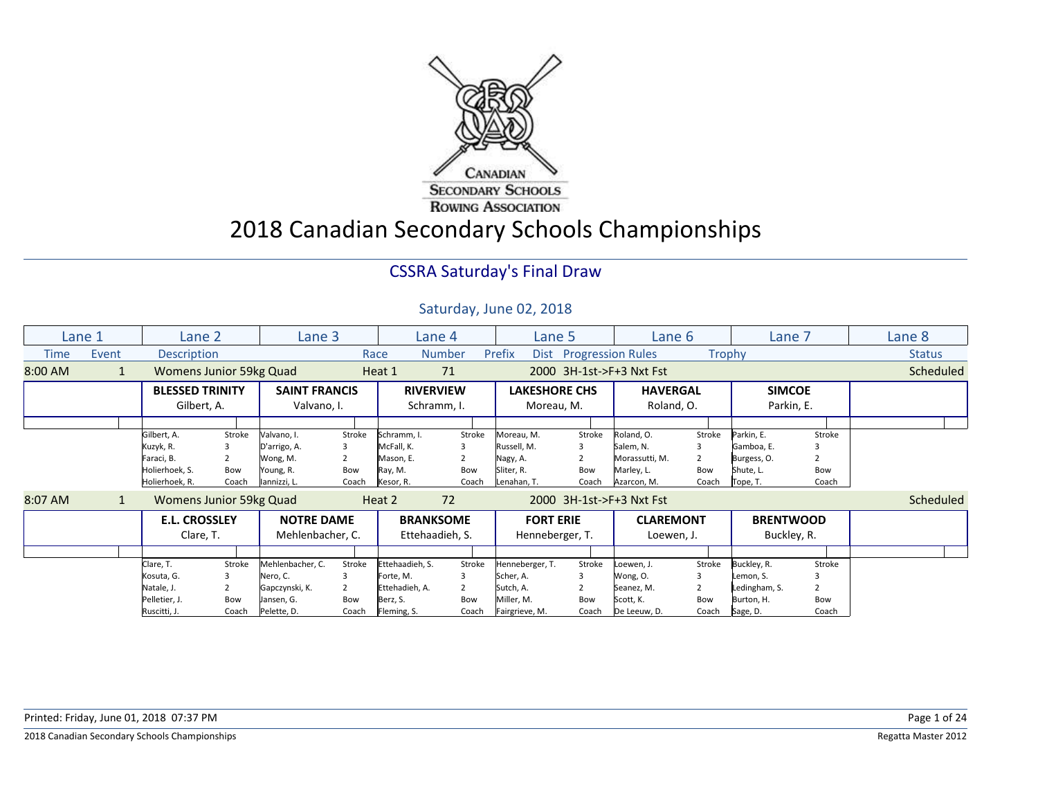

2018 Canadian Secondary Schools Championships

### CSSRA Saturday's Final Draw

|         | Lane 1       | Lane 2                  |        | Lane 3               |        |                 | Lane 4           |                 | Lane 5                 | Lane 6                   |        |               | Lane 7           | Lane 8           |
|---------|--------------|-------------------------|--------|----------------------|--------|-----------------|------------------|-----------------|------------------------|--------------------------|--------|---------------|------------------|------------------|
| Time    | Event        | <b>Description</b>      |        |                      |        | Race            | <b>Number</b>    | Prefix          | Dist Progression Rules |                          | Trophy |               |                  | <b>Status</b>    |
| 8:00 AM | $\mathbf{1}$ | Womens Junior 59kg Quad |        |                      |        | Heat 1          | 71               |                 |                        | 2000 3H-1st->F+3 Nxt Fst |        |               |                  | <b>Scheduled</b> |
|         |              | <b>BLESSED TRINITY</b>  |        | <b>SAINT FRANCIS</b> |        |                 | <b>RIVERVIEW</b> |                 | <b>LAKESHORE CHS</b>   | <b>HAVERGAL</b>          |        |               | <b>SIMCOE</b>    |                  |
|         |              | Gilbert, A.             |        | Valvano, I.          |        |                 | Schramm, I.      |                 | Moreau, M.             | Roland, O.               |        |               | Parkin, E.       |                  |
|         |              |                         |        |                      |        |                 |                  |                 |                        |                          |        |               |                  |                  |
|         |              | Gilbert, A.             | Stroke | Valvano, I.          | Stroke | Schramm, I.     | Stroke           | Moreau, M.      | Stroke                 | Roland, O.               | Stroke | Parkin, E.    | Stroke           |                  |
|         |              | Kuzyk, R.               |        | D'arrigo, A.         |        | McFall, K.      |                  | Russell, M.     |                        | Salem, N.                |        | Gamboa, E.    |                  |                  |
|         |              | Faraci, B.              | 2      | Wong, M.             |        | Mason, E.       | $\overline{2}$   | Nagy, A.        |                        | Morassutti, M.           |        | Burgess, O.   |                  |                  |
|         |              | Holierhoek, S.          | Bow    | Young, R.            | Bow    | Ray, M.         | Bow              | Sliter, R.      | Bow                    | Marley, L.               | Bow    | Shute, L.     | Bow              |                  |
|         |              | Holierhoek, R.          | Coach  | lannizzi, L.         | Coach  | Kesor, R.       | Coach            | Lenahan, T.     | Coach                  | Azarcon, M.              | Coach  | Tope, T.      | Coach            |                  |
| 8:07 AM | $\mathbf{1}$ | Womens Junior 59kg Quad |        |                      |        | Heat 2          | 72               |                 |                        | 2000 3H-1st->F+3 Nxt Fst |        |               |                  | <b>Scheduled</b> |
|         |              | <b>E.L. CROSSLEY</b>    |        | <b>NOTRE DAME</b>    |        |                 | <b>BRANKSOME</b> |                 | <b>FORT ERIE</b>       | <b>CLAREMONT</b>         |        |               | <b>BRENTWOOD</b> |                  |
|         |              | Clare, T.               |        | Mehlenbacher, C.     |        |                 | Ettehaadieh, S.  |                 | Henneberger, T.        | Loewen, J.               |        |               | Buckley, R.      |                  |
|         |              |                         |        |                      |        |                 |                  |                 |                        |                          |        |               |                  |                  |
|         |              | Clare, T.               | Stroke | Mehlenbacher, C.     | Stroke | Ettehaadieh, S. | Stroke           | Henneberger, T. | Stroke                 | Loewen, J.               | Stroke | Buckley, R.   | Stroke           |                  |
|         |              | Kosuta, G.              | 3      | Nero, C.             |        | Forte, M.       | 3                | Scher, A.       | 3                      | Wong, O.                 |        | Lemon, S.     |                  |                  |
|         |              | Natale, J.              | 2      | Gapczynski, K.       |        | Ettehadieh, A.  |                  | Sutch, A.       |                        | Seanez, M.               |        | Ledingham, S. |                  |                  |
|         |              | Pelletier, J.           | Bow    | Jansen, G.           | Bow    | Berz, S.        | Bow              | Miller, M.      | Bow                    | Scott, K.                | Bow    | Burton, H.    | Bow              |                  |
|         |              | Ruscitti, J.            | Coach  | Pelette, D.          | Coach  | Fleming, S.     | Coach            | Fairgrieve, M.  | Coach                  | De Leeuw, D.             | Coach  | Sage, D.      | Coach            |                  |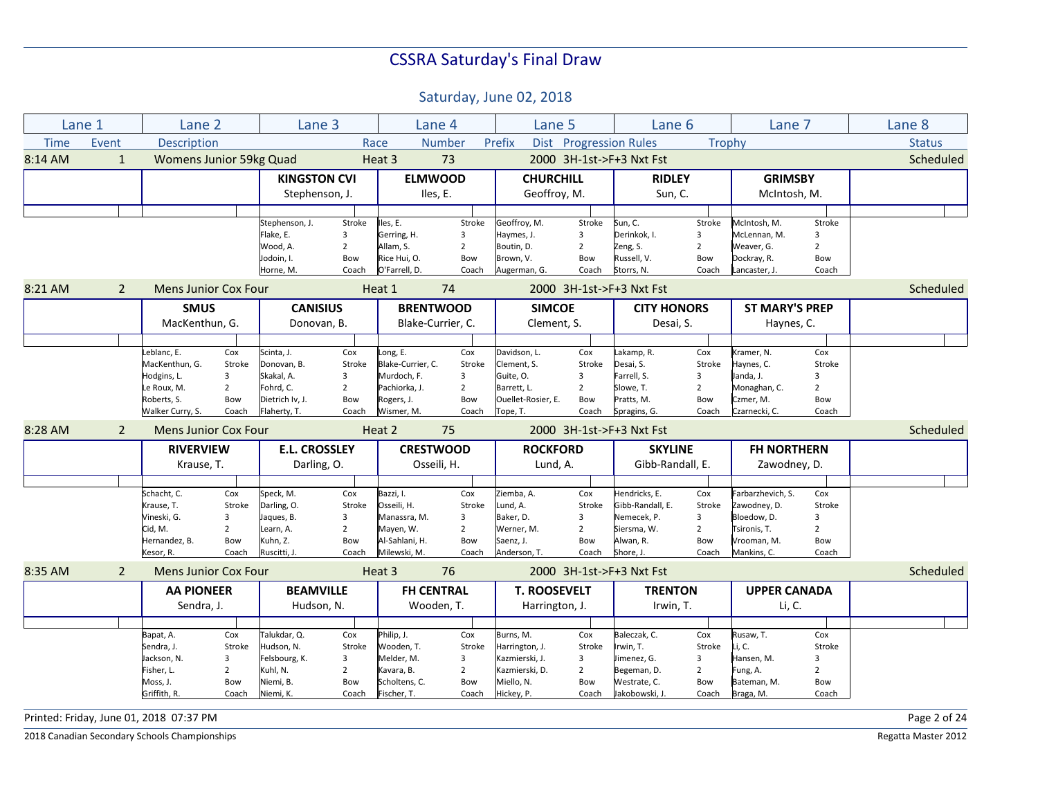Saturday, June 02, 2018

|             | Lane 1         | Lane 2                          |                | Lane 3                          |                |                                | Lane 4         | Lane 5                         |                | Lane 6                     |                | Lane 7                     |                | Lane 8        |
|-------------|----------------|---------------------------------|----------------|---------------------------------|----------------|--------------------------------|----------------|--------------------------------|----------------|----------------------------|----------------|----------------------------|----------------|---------------|
| <b>Time</b> | Event          | Description                     |                |                                 |                | Race                           | <b>Number</b>  | Prefix                         |                | Dist Progression Rules     | Trophy         |                            |                | <b>Status</b> |
| 8:14 AM     | $\mathbf{1}$   | Womens Junior 59kg Quad         |                |                                 |                | Heat 3                         | 73             |                                |                | 2000 3H-1st->F+3 Nxt Fst   |                |                            |                | Scheduled     |
|             |                |                                 |                | <b>KINGSTON CVI</b>             |                | <b>ELMWOOD</b>                 |                | <b>CHURCHILL</b>               |                | <b>RIDLEY</b>              |                | <b>GRIMSBY</b>             |                |               |
|             |                |                                 |                | Stephenson, J.                  |                | Iles, E.                       |                | Geoffroy, M.                   |                | Sun, C.                    |                | McIntosh, M.               |                |               |
|             |                |                                 |                |                                 |                |                                |                |                                |                |                            |                |                            |                |               |
|             |                |                                 |                | Stephenson, J.                  | Stroke         | Iles, E.                       | Stroke         | Geoffroy, M.                   | Stroke         | Sun, C.                    | Stroke         | McIntosh, M.               | Stroke         |               |
|             |                |                                 |                | Flake, E.                       | 3              | Gerring, H.                    | 3              | Haymes, J.                     | 3              | Derinkok, I.               | 3              | McLennan, M.               | 3              |               |
|             |                |                                 |                | Wood, A.                        | $\overline{2}$ | Allam, S.                      | $\overline{2}$ | Boutin, D.                     | $\overline{2}$ | Zeng, S.                   | $\overline{2}$ | Weaver, G.                 | $\overline{2}$ |               |
|             |                |                                 |                | Jodoin, I.                      | Bow            | Rice Hui, O.                   | Bow            | Brown, V.                      | Bow            | Russell, V.                | Bow            | Dockray, R.                | Bow            |               |
|             |                |                                 |                | Horne, M.                       | Coach          | O'Farrell, D.                  | Coach          | Augerman, G.                   | Coach          | Storrs, N.                 | Coach          | Lancaster, J.              | Coach          |               |
| 8:21 AM     | $\overline{2}$ | <b>Mens Junior Cox Four</b>     |                |                                 |                | Heat 1                         | 74             |                                |                | 2000 3H-1st->F+3 Nxt Fst   |                |                            |                | Scheduled     |
|             |                | <b>SMUS</b>                     |                | <b>CANISIUS</b>                 |                | <b>BRENTWOOD</b>               |                | <b>SIMCOE</b>                  |                | <b>CITY HONORS</b>         |                | <b>ST MARY'S PREP</b>      |                |               |
|             |                | MacKenthun, G.                  |                | Donovan, B.                     |                | Blake-Currier, C.              |                | Clement, S.                    |                | Desai, S.                  |                | Haynes, C.                 |                |               |
|             |                |                                 |                |                                 |                |                                |                |                                |                |                            |                |                            |                |               |
|             |                | Leblanc, E.                     | Cox            | Scinta, J.                      | Cox            | Long, E.                       | Cox            | Davidson, L.                   | Cox            | Lakamp, R.                 | Cox            | Kramer, N.                 | Cox            |               |
|             |                | MacKenthun, G.                  | Stroke         | Donovan, B.                     | Stroke         | Blake-Currier, C.              | Stroke         | Clement, S.                    | Stroke         | Desai, S.                  | Stroke         | Haynes, C.                 | Stroke         |               |
|             |                | Hodgins, L.                     | $\overline{3}$ | Skakal, A.                      | 3              | Murdoch, F.                    | 3              | Guite, O.                      | 3              | Farrell, S.                | 3              | Janda, J.                  | 3              |               |
|             |                | Le Roux, M.                     | $\overline{2}$ | Fohrd, C.                       | $\overline{2}$ | Pachiorka, J.                  | $\overline{2}$ | Barrett, L.                    | $\overline{2}$ | Slowe, T.                  | $\overline{2}$ | Monaghan, C.               | $\overline{2}$ |               |
|             |                | Roberts, S.<br>Walker Curry, S. | Bow<br>Coach   | Dietrich Iv, J.<br>Flaherty, T. | Bow<br>Coach   | Rogers, J.<br>Wismer, M.       | Bow<br>Coach   | Ouellet-Rosier, E.<br>Tope, T. | Bow<br>Coach   | Pratts, M.<br>Spragins, G. | Bow<br>Coach   | Czmer, M.<br>Czarnecki, C. | Bow<br>Coach   |               |
| 8:28 AM     |                |                                 |                |                                 |                | Heat 2                         | 75             |                                |                | 2000 3H-1st->F+3 Nxt Fst   |                |                            |                | Scheduled     |
|             | $\overline{2}$ | <b>Mens Junior Cox Four</b>     |                |                                 |                |                                |                |                                |                |                            |                |                            |                |               |
|             |                | <b>RIVERVIEW</b>                |                | <b>E.L. CROSSLEY</b>            |                | <b>CRESTWOOD</b>               |                | <b>ROCKFORD</b>                |                | <b>SKYLINE</b>             |                | <b>FH NORTHERN</b>         |                |               |
|             |                | Krause, T.                      |                | Darling, O.                     |                | Osseili, H.                    |                | Lund, A.                       |                | Gibb-Randall, E.           |                | Zawodney, D.               |                |               |
|             |                |                                 |                |                                 |                |                                |                |                                |                |                            |                |                            |                |               |
|             |                | Schacht, C.                     | Cox            | Speck, M.                       | Cox            | Bazzi, I.                      | Cox            | Ziemba, A.                     | Cox            | Hendricks, E.              | Cox            | Farbarzhevich, S.          | Cox            |               |
|             |                | Krause, T.                      | Stroke         | Darling, O.                     | Stroke         | Osseili, H.                    | Stroke         | Lund, A.                       | Stroke         | Gibb-Randall, E.           | Stroke         | Zawodney, D.               | Stroke         |               |
|             |                | Vineski, G.                     | 3              | Jaques, B.                      | 3              | Manassra, M.                   | 3              | Baker, D.                      | 3              | Nemecek, P.                | 3              | Bloedow, D.                | 3              |               |
|             |                | Cid, M.                         | $\overline{2}$ | Learn, A.                       | $\overline{2}$ | Mayen, W.                      | $\overline{2}$ | Werner, M.                     | $\overline{2}$ | Siersma, W.                | $\overline{2}$ | Tsironis, T.               | $\overline{2}$ |               |
|             |                | Hernandez, B.<br>Kesor, R.      | Bow<br>Coach   | Kuhn, Z.<br>Ruscitti, J.        | Bow<br>Coach   | Al-Sahlani, H.<br>Milewski, M. | Bow<br>Coach   | Saenz, J.<br>Anderson, T.      | Bow<br>Coach   | Alwan, R.<br>Shore. J.     | Bow<br>Coach   | Vrooman, M.<br>Mankins. C. | Bow<br>Coach   |               |
| 8:35 AM     | $\overline{2}$ | <b>Mens Junior Cox Four</b>     |                |                                 |                | Heat 3                         | 76             |                                |                | 2000 3H-1st->F+3 Nxt Fst   |                |                            |                | Scheduled     |
|             |                | <b>AA PIONEER</b>               |                | <b>BEAMVILLE</b>                |                | <b>FH CENTRAL</b>              |                | <b>T. ROOSEVELT</b>            |                | <b>TRENTON</b>             |                | <b>UPPER CANADA</b>        |                |               |
|             |                | Sendra, J.                      |                | Hudson, N.                      |                | Wooden, T.                     |                | Harrington, J.                 |                | Irwin, T.                  |                | Li, C.                     |                |               |
|             |                |                                 |                |                                 |                |                                |                |                                |                |                            |                |                            |                |               |
|             |                | Bapat, A.                       | Cox            | Talukdar, Q.                    | Cox            | Philip, J.                     | Cox            | Burns, M.                      | Cox            | Baleczak, C.               | Cox            | Rusaw, T.                  | Cox            |               |
|             |                | Sendra, J.                      | Stroke         | Hudson, N.                      | Stroke         | Wooden, T.                     | Stroke         | Harrington, J.                 | Stroke         | Irwin, T.                  | Stroke         | Li, C.                     | Stroke         |               |
|             |                | Jackson, N.                     | 3              | Felsbourg, K.                   | 3              | Melder, M.                     | 3              | Kazmierski, J.                 | $\overline{3}$ | Jimenez, G.                | 3              | Hansen, M.                 | 3              |               |
|             |                | Fisher, L.                      | $\overline{2}$ | Kuhl, N.                        | $\overline{2}$ | Kavara, B.                     | $\overline{2}$ | Kazmierski, D.                 | $\overline{2}$ | Begeman, D.                | $\overline{2}$ | Fung, A.                   | $\overline{2}$ |               |
|             |                | Moss, J.                        | Bow            | Niemi, B.                       | Bow            | Scholtens, C.                  | Bow            | Miello, N.                     | Bow            | Westrate, C.               | Bow            | Bateman, M.                | Bow            |               |
|             |                | Griffith, R.                    | Coach          | Niemi, K.                       | Coach          | Fischer, T.                    | Coach          | Hickey, P.                     | Coach          | Jakobowski, J              | Coach          | Braga, M.                  | Coach          |               |

Printed: Friday, June 01, 2018 07:37 PM Page 2 of 24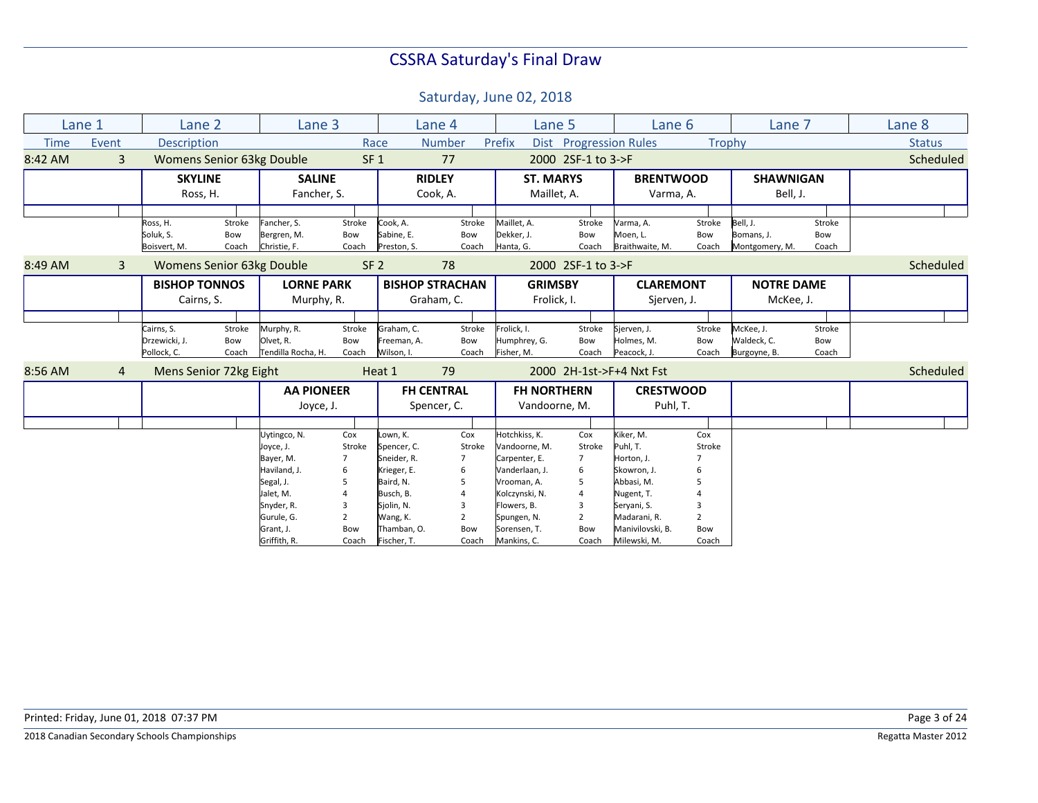|             | Lane 1         | Lane <sub>2</sub>      |        | Lane 3                           |                 |             | Lane 4                 | Lane 5             |                    | Lane 6                        |                | Lane 7            |        | Lane 8        |
|-------------|----------------|------------------------|--------|----------------------------------|-----------------|-------------|------------------------|--------------------|--------------------|-------------------------------|----------------|-------------------|--------|---------------|
| <b>Time</b> | Event          | Description            |        |                                  |                 | Race        | <b>Number</b>          | Prefix             |                    | <b>Dist</b> Progression Rules | Trophy         |                   |        | <b>Status</b> |
| 8:42 AM     | $\overline{3}$ |                        |        | <b>Womens Senior 63kg Double</b> | SF <sub>1</sub> |             | 77                     |                    | 2000 2SF-1 to 3->F |                               |                |                   |        | Scheduled     |
|             |                | <b>SKYLINE</b>         |        | <b>SALINE</b>                    |                 |             | <b>RIDLEY</b>          | <b>ST. MARYS</b>   |                    | <b>BRENTWOOD</b>              |                | <b>SHAWNIGAN</b>  |        |               |
|             |                | Ross, H.               |        | Fancher, S.                      |                 |             | Cook, A.               | Maillet, A.        |                    | Varma, A.                     |                | Bell, J.          |        |               |
|             |                |                        |        |                                  |                 |             |                        |                    |                    |                               |                |                   |        |               |
|             |                | Ross, H.               | Stroke | Fancher, S.                      | Stroke          | Cook, A.    | Stroke                 | Maillet, A.        | Stroke             | Varma, A.                     | Stroke         | Bell, J.          | Stroke |               |
|             |                | Soluk, S.              | Bow    | Bergren, M.                      | Bow             | Sabine, E.  | Bow                    | Dekker, J.         | Bow                | Moen, L.                      | Bow            | Bomans, J.        | Bow    |               |
|             |                | Boisvert, M.           | Coach  | Christie, F.                     | Coach           | Preston, S. | Coach                  | Hanta, G.          | Coach              | Braithwaite, M.               | Coach          | Montgomery, M.    | Coach  |               |
| 8:49 AM     | 3              |                        |        | <b>Womens Senior 63kg Double</b> | SF <sub>2</sub> |             | 78                     |                    | 2000 2SF-1 to 3->F |                               |                |                   |        | Scheduled     |
|             |                | <b>BISHOP TONNOS</b>   |        | <b>LORNE PARK</b>                |                 |             | <b>BISHOP STRACHAN</b> | <b>GRIMSBY</b>     |                    | <b>CLAREMONT</b>              |                | <b>NOTRE DAME</b> |        |               |
|             |                | Cairns, S.             |        | Murphy, R.                       |                 |             | Graham, C.             | Frolick, I.        |                    | Sjerven, J.                   |                | McKee, J.         |        |               |
|             |                |                        |        |                                  |                 |             |                        |                    |                    |                               |                |                   |        |               |
|             |                | Cairns, S.             | Stroke | Murphy, R.                       | Stroke          | Graham, C.  | Stroke                 | Frolick, I.        | Stroke             | Sierven, J.                   | Stroke         | McKee, J.         | Stroke |               |
|             |                | Drzewicki, J.          | Bow    | Olvet, R.                        | Bow             | Freeman, A. | Bow                    | Humphrey, G.       | Bow                | Holmes, M.                    | Bow            | Waldeck, C.       | Bow    |               |
|             |                | Pollock, C.            | Coach  | Tendilla Rocha, H.               | Coach           | Wilson. I.  | Coach                  | Fisher, M.         | Coach              | Peacock, J.                   | Coach          | Burgoyne, B.      | Coach  |               |
| 8:56 AM     | $\overline{4}$ | Mens Senior 72kg Eight |        |                                  |                 | Heat 1      | 79                     |                    |                    | 2000 2H-1st->F+4 Nxt Fst      |                |                   |        | Scheduled     |
|             |                |                        |        | <b>AA PIONEER</b>                |                 |             | <b>FH CENTRAL</b>      | <b>FH NORTHERN</b> |                    | <b>CRESTWOOD</b>              |                |                   |        |               |
|             |                |                        |        | Joyce, J.                        |                 |             | Spencer, C.            | Vandoorne, M.      |                    | Puhl, T.                      |                |                   |        |               |
|             |                |                        |        |                                  |                 |             |                        |                    |                    |                               |                |                   |        |               |
|             |                |                        |        | Uytingco, N.                     | Cox             | Lown, K.    | Cox                    | Hotchkiss, K.      | Cox                | Kiker, M.                     | Cox            |                   |        |               |
|             |                |                        |        | Joyce, J.                        | Stroke          | Spencer, C. | Stroke                 | Vandoorne, M.      | Stroke             | Puhl, T.                      | Stroke         |                   |        |               |
|             |                |                        |        | Bayer, M.                        |                 | Sneider, R. | 7                      | Carpenter, E.      | 7                  | Horton, J.                    |                |                   |        |               |
|             |                |                        |        | Haviland, J.                     | 6               | Krieger, E. | 6                      | Vanderlaan, J.     | 6                  | Skowron, J.                   |                |                   |        |               |
|             |                |                        |        | Segal, J.                        | 5               | Baird, N.   | 5                      | Vrooman, A.        | 5                  | Abbasi, M.                    |                |                   |        |               |
|             |                |                        |        | Jalet, M.                        |                 | Busch, B.   | $\overline{A}$         | Kolczynski, N.     | 4                  | Nugent, T.                    |                |                   |        |               |
|             |                |                        |        | Snyder, R.                       | 3               | Sjolin, N.  | 3                      | Flowers, B.        | 3                  | Servani, S.                   |                |                   |        |               |
|             |                |                        |        | Gurule, G.                       | $\overline{2}$  | Wang, K.    | $\overline{2}$         | Spungen, N.        | $\overline{2}$     | Madarani, R.                  | $\overline{2}$ |                   |        |               |
|             |                |                        |        | Grant, J.                        | Bow             | Thamban, O. | Bow                    | Sorensen, T.       | Bow                | Manivilovski, B.              | Bow            |                   |        |               |
|             |                |                        |        | Griffith, R.                     | Coach           | Fischer, T. | Coach                  | Mankins, C.        | Coach              | Milewski, M.                  | Coach          |                   |        |               |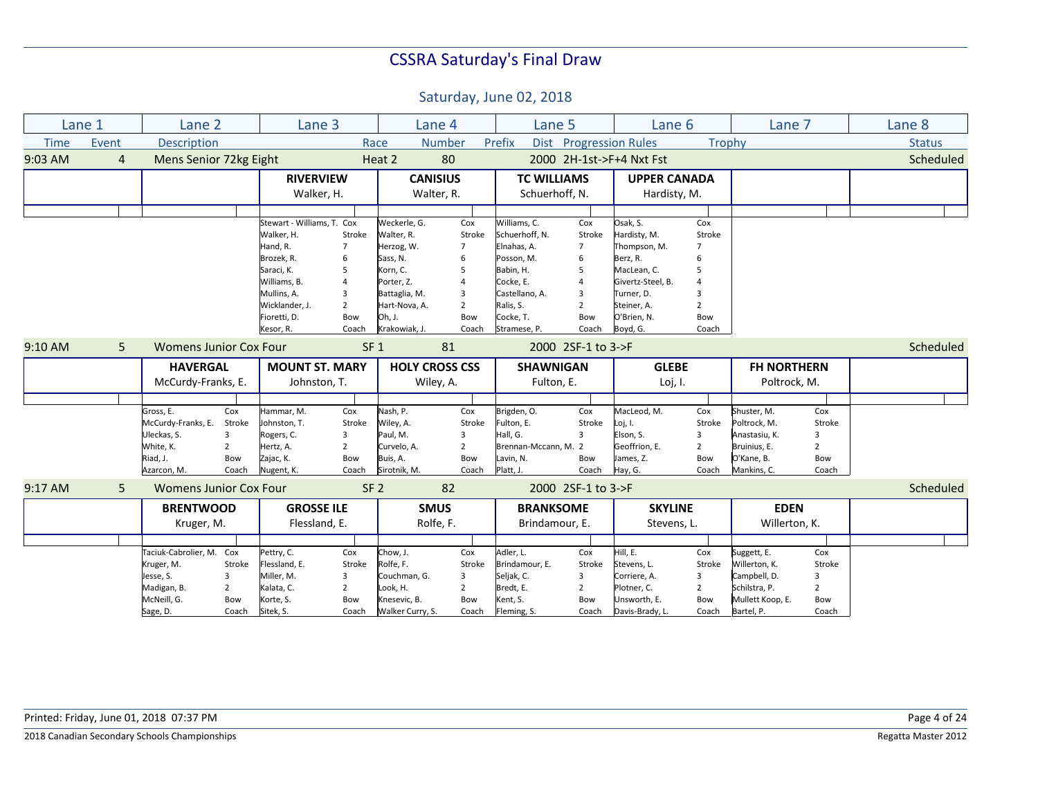|             | Lane 1         | Lane <sub>2</sub>             |                | Lane 3                     |                 | Lane 4                |                | Lane 5               |                    | Lane 6                   |                | Lane 7             |                | Lane 8        |
|-------------|----------------|-------------------------------|----------------|----------------------------|-----------------|-----------------------|----------------|----------------------|--------------------|--------------------------|----------------|--------------------|----------------|---------------|
| <b>Time</b> | Event          | <b>Description</b>            |                |                            |                 | Race                  | <b>Number</b>  | Prefix               |                    | Dist Progression Rules   |                | Trophy             |                | <b>Status</b> |
| 9:03 AM     | $\overline{4}$ | Mens Senior 72kg Eight        |                |                            |                 | Heat 2                | 80             |                      |                    | 2000 2H-1st->F+4 Nxt Fst |                |                    |                | Scheduled     |
|             |                |                               |                | <b>RIVERVIEW</b>           |                 | <b>CANISIUS</b>       |                | <b>TC WILLIAMS</b>   |                    | <b>UPPER CANADA</b>      |                |                    |                |               |
|             |                |                               |                | Walker, H.                 |                 | Walter, R.            |                | Schuerhoff. N.       |                    | Hardisty, M.             |                |                    |                |               |
|             |                |                               |                |                            |                 |                       |                |                      |                    |                          |                |                    |                |               |
|             |                |                               |                | Stewart - Williams, T. Cox |                 | Weckerle, G.          | Cox            | Williams, C.         | Cox                | Osak, S.                 | Cox            |                    |                |               |
|             |                |                               |                | Walker, H.                 | Stroke          | Walter, R.            | Stroke         | Schuerhoff. N.       | Stroke             | Hardisty, M.             | Stroke         |                    |                |               |
|             |                |                               |                | Hand, R.                   |                 |                       | $\overline{7}$ | Elnahas, A.          | $\overline{7}$     |                          | 7              |                    |                |               |
|             |                |                               |                |                            | 7               | Herzog, W.            |                |                      |                    | Thompson, M.             |                |                    |                |               |
|             |                |                               |                | Brozek, R.                 | 6               | Sass, N.              | 6              | Posson, M.           | 6                  | Berz, R.                 | հ              |                    |                |               |
|             |                |                               |                | Saraci, K.                 | 5               | Korn, C.              | 5              | Babin, H.            | 5                  | MacLean, C.              | 5              |                    |                |               |
|             |                |                               |                | Williams, B.               |                 | Porter, Z.            |                | Cocke, E.            | $\overline{4}$     | Givertz-Steel, B.        |                |                    |                |               |
|             |                |                               |                | Mullins, A.                | 3               | Battaglia, M.         | 3              | Castellano, A.       | 3                  | Turner, D.               | 3              |                    |                |               |
|             |                |                               |                | Wicklander, J.             | $\overline{2}$  | Hart-Nova, A.         | $\overline{2}$ | Ralis, S.            | $\overline{2}$     | Steiner, A.              | $\overline{2}$ |                    |                |               |
|             |                |                               |                | Fioretti, D.               | Bow             | Oh. J.                | Bow            | Cocke, T.            | Bow                | O'Brien. N.              | Bow            |                    |                |               |
|             |                |                               |                | Kesor, R.                  | Coach           | Krakowiak. J.         | Coach          | Stramese, P.         | Coach              | Boyd, G.                 | Coach          |                    |                |               |
| $9:10$ AM   | 5              | <b>Womens Junior Cox Four</b> |                |                            | SF <sub>1</sub> |                       | 81             |                      | 2000 2SF-1 to 3->F |                          |                |                    |                | Scheduled     |
|             |                | <b>HAVERGAL</b>               |                | <b>MOUNT ST. MARY</b>      |                 | <b>HOLY CROSS CSS</b> |                | <b>SHAWNIGAN</b>     |                    | <b>GLEBE</b>             |                | <b>FH NORTHERN</b> |                |               |
|             |                | McCurdy-Franks, E.            |                | Johnston, T.               |                 | Wiley, A.             |                | Fulton, E.           |                    | Loj, I.                  |                | Poltrock, M.       |                |               |
|             |                |                               |                |                            |                 |                       |                |                      |                    |                          |                |                    |                |               |
|             |                | Gross, E.                     | Cox            | Hammar, M.                 | Cox             | Nash, P.              | Cox            | Brigden, O.          | Cox                | MacLeod, M.              | Cox            | Shuster, M.        | Cox            |               |
|             |                | McCurdy-Franks, E.            | Stroke         | Johnston, T.               | Stroke          | Wiley, A.             | Stroke         | Fulton, E.           | Stroke             | Loj, I.                  | Stroke         | Poltrock, M.       | Stroke         |               |
|             |                | Uleckas, S.                   | 3              | Rogers, C.                 | 3               | Paul, M.              | 3              | Hall, G.             | 3                  | Elson, S.                | 3              | Anastasiu, K.      | $\overline{3}$ |               |
|             |                | White, K.                     | $\overline{2}$ | Hertz, A.                  | $\overline{2}$  | Curvelo, A.           | $\overline{2}$ | Brennan-Mccann, M. 2 |                    | Geoffrion, E.            | $\overline{2}$ | Bruinius, E.       | $\overline{2}$ |               |
|             |                |                               |                |                            |                 |                       |                |                      |                    |                          |                |                    |                |               |
|             |                | Riad, J.                      | Bow            | Zajac, K.                  | Bow             | Buis, A.              | Bow            | Lavin, N.            | Bow                | James, Z.                | Bow            | O'Kane, B.         | Bow            |               |
|             |                | Azarcon, M.                   | Coach          | Nugent, K.                 | Coach           | Sirotnik, M.          | Coach          | Platt, J.            | Coach              | Hay, G.                  | Coach          | Mankins, C.        | Coach          |               |
| $9:17$ AM   | 5              | <b>Womens Junior Cox Four</b> |                |                            | SF <sub>2</sub> |                       | 82             |                      | 2000 2SF-1 to 3->F |                          |                |                    |                | Scheduled     |
|             |                | <b>BRENTWOOD</b>              |                | <b>GROSSE ILE</b>          |                 | <b>SMUS</b>           |                | <b>BRANKSOME</b>     |                    | <b>SKYLINE</b>           |                | <b>EDEN</b>        |                |               |
|             |                | Kruger, M.                    |                | Flessland, E.              |                 | Rolfe, F.             |                | Brindamour, E.       |                    | Stevens, L.              |                | Willerton, K.      |                |               |
|             |                |                               |                |                            |                 |                       |                |                      |                    |                          |                |                    |                |               |
|             |                | Taciuk-Cabrolier, M. Cox      |                | Pettry, C.                 | Cox             | Chow, J.              | Cox            | Adler, L.            | Cox                | Hill, E.                 | Cox            | Suggett, E.        | Cox            |               |
|             |                | Kruger, M.                    | Stroke         | Flessland, E.              | Stroke          | Rolfe, F.             | Stroke         | Brindamour, E.       | Stroke             | Stevens, L.              | Stroke         | Willerton, K.      | Stroke         |               |
|             |                | Jesse, S.                     | 3              | Miller, M.                 | 3               | Couchman, G.          | 3              | Seljak, C.           | 3                  | Corriere, A.             | 3              | Campbell, D.       | 3              |               |
|             |                |                               |                |                            |                 |                       |                |                      |                    |                          |                | Schilstra, P.      | $\overline{2}$ |               |
|             |                | Madigan, B.                   | $\overline{2}$ | Kalata, C.                 | $\overline{2}$  | Look, H.              | $\overline{2}$ | Bredt, E.            | $\overline{2}$     | Plotner, C.              | $\overline{2}$ |                    |                |               |
|             |                | McNeill, G.                   | Bow            | Korte, S.                  | Bow             | Knesevic, B.          | Bow            | Kent, S.             | Bow                | Unsworth, E.             | Bow            | Mullett Koop, E.   | Bow            |               |
|             |                | Sage, D.                      | Coach          | Sitek, S.                  | Coach           | Walker Curry, S.      | Coach          | Fleming, S.          | Coach              | Davis-Brady, L.          | Coach          | Bartel, P.         | Coach          |               |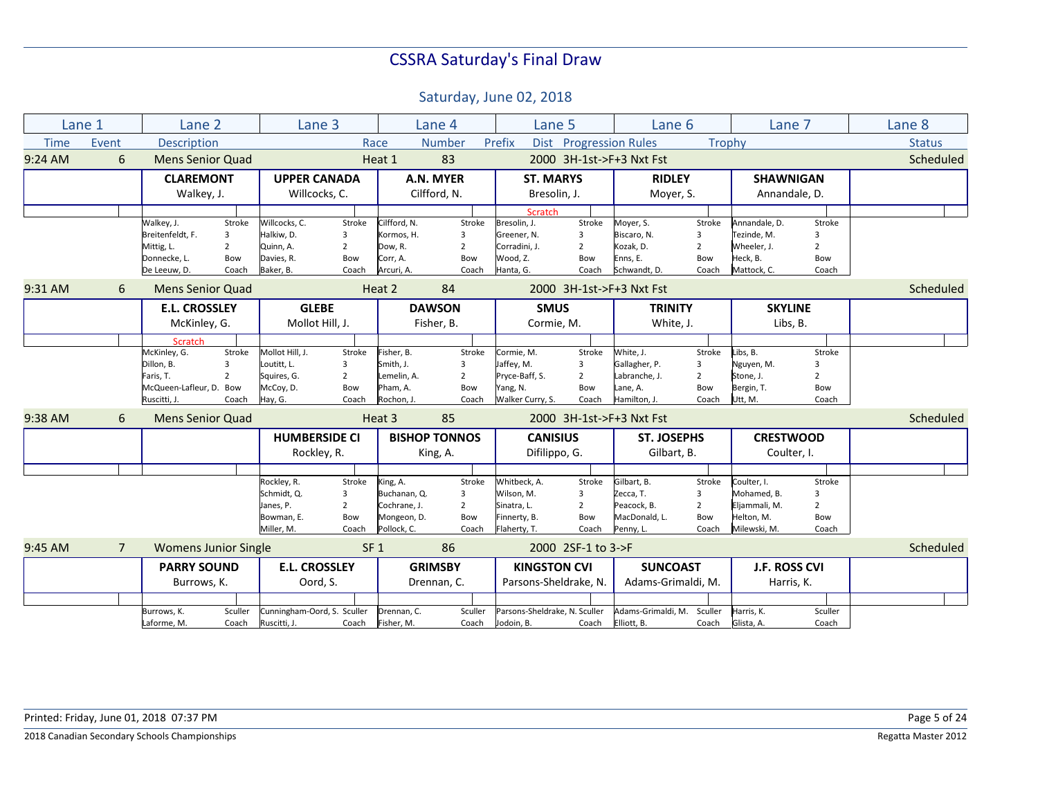|             | Lane 1         | Lane 2                      |                | Lane 3                      |                 |              | Lane 4               | Lane 5                        |                        | Lane 6                     |                | Lane 7               |                         | Lane 8        |
|-------------|----------------|-----------------------------|----------------|-----------------------------|-----------------|--------------|----------------------|-------------------------------|------------------------|----------------------------|----------------|----------------------|-------------------------|---------------|
| <b>Time</b> | Event          | Description                 |                |                             |                 | Race         | <b>Number</b>        | Prefix                        | Dist Progression Rules |                            | Trophy         |                      |                         | <b>Status</b> |
| $9:24$ AM   | 6              | <b>Mens Senior Quad</b>     |                |                             |                 | Heat 1       | 83                   |                               |                        | 2000 3H-1st->F+3 Nxt Fst   |                |                      |                         | Scheduled     |
|             |                | <b>CLAREMONT</b>            |                | <b>UPPER CANADA</b>         |                 |              | A.N. MYER            | <b>ST. MARYS</b>              |                        | <b>RIDLEY</b>              |                | <b>SHAWNIGAN</b>     |                         |               |
|             |                | Walkey, J.                  |                | Willcocks, C.               |                 |              | Cilfford, N.         | Bresolin, J.                  |                        | Moyer, S.                  |                | Annandale, D.        |                         |               |
|             |                |                             |                |                             |                 |              |                      | <b>Scratch</b>                |                        |                            |                |                      |                         |               |
|             |                | Walkey, J.                  | Stroke         | Willcocks, C.               | Stroke          | Cilfford, N. | Stroke               | Bresolin, J.                  | Stroke                 | Moyer, S.                  | Stroke         | Annandale, D.        | Stroke                  |               |
|             |                | Breitenfeldt, F.            | 3              | Halkiw, D.                  | 3               | Kormos, H.   | 3                    | Greener, N.                   | 3                      | Biscaro, N.                | 3              | Tezinde, M.          | 3                       |               |
|             |                | Mittig, L.                  | $\overline{2}$ | Quinn, A.                   | $\overline{2}$  | Dow, R.      | $2^{\circ}$          | Corradini, J.                 | $\overline{2}$         | Kozak, D.                  | $\overline{2}$ | Wheeler, J.          | $\overline{2}$          |               |
|             |                | Donnecke, L.                | Bow            | Davies, R.                  | Bow             | Corr, A.     | Bow                  | Wood, Z.                      | Bow                    | Enns, E.                   | Bow            | Heck, B.             | Bow                     |               |
|             |                | De Leeuw, D.                | Coach          | Baker, B.                   | Coach           | Arcuri, A.   | Coach                | Hanta, G.                     | Coach                  | Schwandt, D.               | Coach          | Mattock, C.          | Coach                   |               |
| 9:31 AM     | 6              | <b>Mens Senior Quad</b>     |                |                             |                 | Heat 2       | 84                   |                               |                        | 2000 3H-1st->F+3 Nxt Fst   |                |                      |                         | Scheduled     |
|             |                | <b>E.L. CROSSLEY</b>        |                | <b>GLEBE</b>                |                 |              | <b>DAWSON</b>        | <b>SMUS</b>                   |                        | <b>TRINITY</b>             |                | <b>SKYLINE</b>       |                         |               |
|             |                | McKinley, G.                |                | Mollot Hill, J.             |                 |              | Fisher, B.           | Cormie, M.                    |                        | White, J.                  |                | Libs, B.             |                         |               |
|             |                | Scratch                     |                |                             |                 |              |                      |                               |                        |                            |                |                      |                         |               |
|             |                | McKinley, G.                | Stroke         | Mollot Hill, J.             | Stroke          | Fisher, B.   | Stroke               | Cormie, M.                    | Stroke                 | White, J.                  | Stroke         | Libs, B.             | Stroke                  |               |
|             |                | Dillon, B.                  | 3              | Loutitt. L.                 | 3               | Smith, J.    | 3                    | Jaffey, M.                    | 3                      | Gallagher, P.              | 3              | Nguyen, M.           | $\overline{\mathbf{3}}$ |               |
|             |                | Faris, T.                   | $\overline{2}$ | Squires, G.                 | $\overline{2}$  | Lemelin, A.  | $\overline{2}$       | Pryce-Baff, S.                | $\overline{2}$         | Labranche, J.              | $\overline{2}$ | Stone, J.            | $\overline{2}$          |               |
|             |                | McQueen-Lafleur, D. Bow     |                | McCoy, D.                   | Bow             | Pham, A.     | Bow                  | Yang, N.                      | Bow                    | Lane, A.                   | Bow            | Bergin, T.           | Bow                     |               |
|             |                | Ruscitti, J.                | Coach          | Hay, G.                     | Coach           | Rochon, J    | Coach                | Walker Curry, S.              | Coach                  | Hamilton, J.               | Coach          | Utt, M.              | Coach                   |               |
| 9:38 AM     | 6              | <b>Mens Senior Quad</b>     |                |                             |                 | Heat 3       | 85                   |                               |                        | 2000 3H-1st->F+3 Nxt Fst   |                |                      |                         | Scheduled     |
|             |                |                             |                | <b>HUMBERSIDE CI</b>        |                 |              | <b>BISHOP TONNOS</b> | <b>CANISIUS</b>               |                        | <b>ST. JOSEPHS</b>         |                | <b>CRESTWOOD</b>     |                         |               |
|             |                |                             |                | Rockley, R.                 |                 |              | King, A.             | Difilippo, G.                 |                        | Gilbart, B.                |                | Coulter, I.          |                         |               |
|             |                |                             |                |                             |                 |              |                      |                               |                        |                            |                |                      |                         |               |
|             |                |                             |                | Rockley, R.                 | Stroke          | King, A.     | Stroke               | Whitbeck. A.                  | Stroke                 | Gilbart, B.                | Stroke         | Coulter, I.          | Stroke                  |               |
|             |                |                             |                | Schmidt, Q.                 | 3               | Buchanan. Q. | 3                    | Wilson, M.                    | 3                      | Zecca, T.                  | 3              | Mohamed. B.          | 3                       |               |
|             |                |                             |                | Janes, P.                   | $\overline{2}$  | Cochrane. J. | $\overline{2}$       | Sinatra, L.                   | $\overline{2}$         | Peacock. B.                | $\overline{2}$ | Eljammali, M.        | $\overline{2}$          |               |
|             |                |                             |                | Bowman, E.                  | Bow             | Mongeon, D.  | Bow                  | Finnerty, B.                  | Bow                    | MacDonald, L.              | Bow            | Helton. M.           | Bow                     |               |
|             |                |                             |                | Miller, M.                  | Coach           | Pollock, C.  | Coach                | Flaherty, T.                  | Coach                  | Penny, L.                  | Coach          | Milewski, M.         | Coach                   |               |
| $9:45$ AM   | $\overline{7}$ | <b>Womens Junior Single</b> |                |                             | SF <sub>1</sub> |              | 86                   |                               | 2000 2SF-1 to 3->F     |                            |                |                      |                         | Scheduled     |
|             |                | <b>PARRY SOUND</b>          |                | <b>E.L. CROSSLEY</b>        |                 |              | <b>GRIMSBY</b>       | <b>KINGSTON CVI</b>           |                        | <b>SUNCOAST</b>            |                | <b>J.F. ROSS CVI</b> |                         |               |
|             |                | Burrows, K.                 |                | Oord, S.                    |                 |              | Drennan, C.          | Parsons-Sheldrake, N.         |                        | Adams-Grimaldi, M.         |                | Harris, K.           |                         |               |
|             |                |                             |                |                             |                 |              |                      |                               |                        |                            |                |                      |                         |               |
|             |                | Burrows, K.                 | Sculler        | Cunningham-Oord, S. Sculler |                 | Drennan, C.  | Sculler              | Parsons-Sheldrake, N. Sculler |                        | Adams-Grimaldi, M. Sculler |                | Harris, K.           | Sculler                 |               |
|             |                | Laforme, M.                 | Coach          | Ruscitti, J.                | Coach           | Fisher, M.   | Coach                | Jodoin, B.                    | Coach                  | Elliott, B.                | Coach          | Glista, A.           | Coach                   |               |
|             |                |                             |                |                             |                 |              |                      |                               |                        |                            |                |                      |                         |               |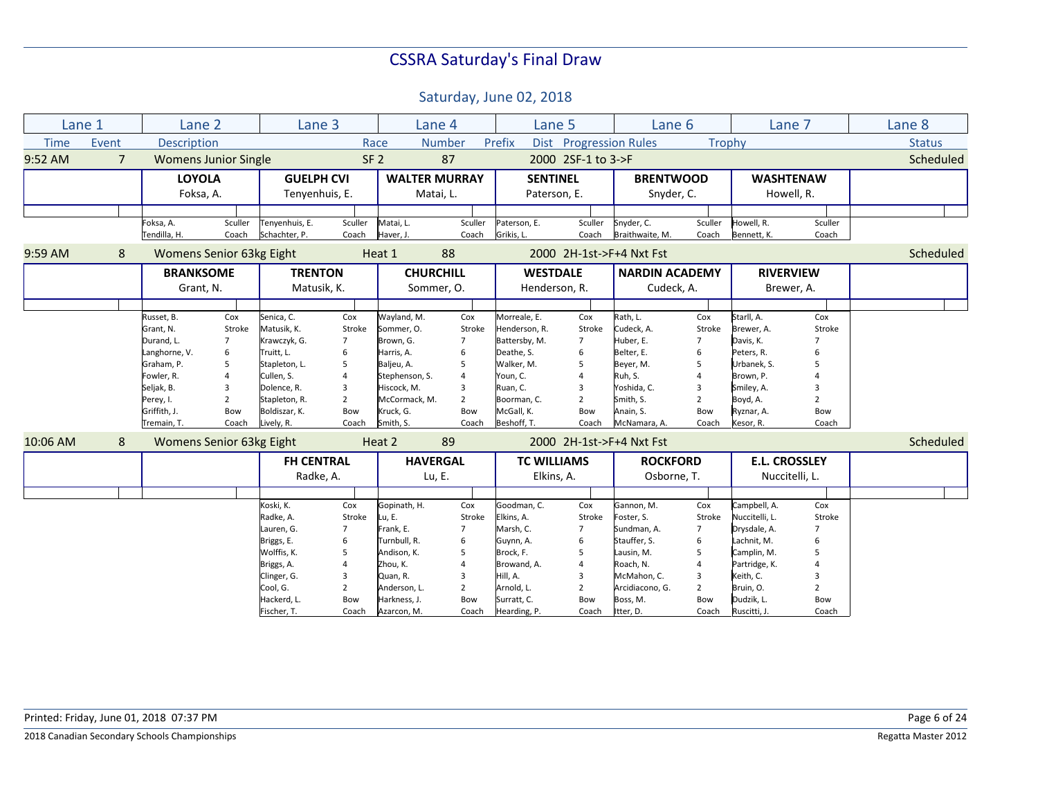| Lane 1<br>Lane 2<br>Lane 3<br>Lane 8<br>Lane 4<br>Lane 5<br>Lane 6<br>Lane 7<br>Event<br>Description<br><b>Number</b><br>Prefix<br>Dist Progression Rules<br>Trophy<br><b>Status</b><br><b>Time</b><br>Race<br>SF <sub>2</sub><br>87<br>2000 2SF-1 to 3->F<br>Scheduled<br>$9:52$ AM<br>$\overline{7}$<br><b>Womens Junior Single</b><br><b>LOYOLA</b><br><b>GUELPH CVI</b><br><b>WALTER MURRAY</b><br><b>SENTINEL</b><br><b>BRENTWOOD</b><br><b>WASHTENAW</b><br>Foksa, A.<br>Tenyenhuis, E.<br>Snyder, C.<br>Howell, R.<br>Matai, L.<br>Paterson, E.<br>Sculler<br>Sculler<br>Sculler<br>Matai, L.<br>Sculler<br>Snyder, C.<br>Sculler<br>Howell, R.<br>Sculler<br>Foksa, A.<br>Tenyenhuis, E.<br>Paterson, E.<br>Tendilla, H.<br>Coach<br>Schachter, P.<br>Haver, J.<br>Coach<br>Grikis, L.<br>Braithwaite, M.<br>Coach<br>Coach<br>Coach<br>Bennett, K.<br>Coach<br>88<br>Scheduled<br>9:59 AM<br>8<br>Womens Senior 63kg Eight<br>Heat 1<br>2000 2H-1st->F+4 Nxt Fst<br><b>TRENTON</b><br><b>CHURCHILL</b><br><b>NARDIN ACADEMY</b><br><b>BRANKSOME</b><br><b>WESTDALE</b><br><b>RIVERVIEW</b><br>Cudeck, A.<br>Grant, N.<br>Matusik, K.<br>Sommer, O.<br>Henderson, R.<br>Brewer, A.<br>Wayland, M.<br>Rath, L.<br>Cox<br>Senica, C.<br>Cox<br>Cox<br>Morreale, E.<br>Cox<br>Cox<br>Starll, A.<br>Cox<br>Russet, B.<br>Cudeck, A.<br>Matusik, K.<br>Grant, N.<br>Stroke<br>Stroke<br>Sommer, O.<br>Stroke<br>Henderson, R.<br>Stroke<br>Stroke<br>Brewer, A.<br>Stroke<br>Durand, L.<br>$\overline{7}$<br>Krawczyk, G.<br>Brown, G.<br>Battersby, M.<br>$\overline{7}$<br>Huber, E.<br>$\overline{7}$<br>Davis, K.<br>7<br>$\overline{7}$<br>$\overline{7}$<br>6<br>Harris, A.<br>Deathe, S.<br>6<br>Langhorne, V.<br>Truitt, L.<br>6<br>Belter, E.<br>6<br>Peters, R.<br>6<br>6<br>5<br>Baljeu, A.<br>Graham, P.<br>Stapleton, L.<br>Walker, M.<br>5<br>Beyer, M.<br>Urbanek, S.<br>5<br>5<br>5<br>5<br>Ruh, S.<br>Fowler, R.<br>$\overline{4}$<br>Cullen, S.<br>Stephenson, S.<br>Youn, C.<br>$\overline{4}$<br>Brown, P.<br>$\Delta$<br>3<br>Hiscock, M.<br>Ruan, C.<br>Yoshida, C.<br>Seljak, B.<br>Dolence, R.<br>3<br>Smiley, A.<br>3<br>3<br>3<br>3<br>$\overline{2}$<br>$\overline{2}$<br>Smith, S.<br>Stapleton, R.<br>$\overline{2}$<br>Boyd, A.<br>Perey, I.<br>McCormack, M.<br>$\overline{2}$<br>Boorman, C.<br>$\mathcal{P}$<br>$\overline{2}$<br>Anain. S.<br>Griffith, J.<br>Bow<br>Boldiszar, K.<br>Kruck, G.<br>McGall, K.<br>Bow<br>Bow<br>Bow<br>Bow<br>Ryznar, A.<br>Bow<br>Coach<br>Coach<br>Smith, S.<br>Coach<br>Lively, R.<br>Coach<br>Beshoff, T.<br>Coach<br>McNamara, A.<br>Coach<br>Kesor, R.<br>Tremain, T.<br>Scheduled<br>8<br>Womens Senior 63kg Eight<br>89<br>10:06 AM<br>Heat 2<br>2000 2H-1st->F+4 Nxt Fst<br><b>HAVERGAL</b><br><b>E.L. CROSSLEY</b><br><b>FH CENTRAL</b><br><b>TC WILLIAMS</b><br><b>ROCKFORD</b><br>Radke, A.<br>Lu, E.<br>Elkins, A.<br>Osborne, T.<br>Nuccitelli, L.<br>Koski, K.<br>Gopinath, H.<br>Cox<br>Goodman, C.<br>Cox<br>Gannon, M.<br>Cox<br>Campbell, A.<br>Cox<br>Cox<br>Radke, A.<br>Stroke<br>Elkins, A.<br>Nuccitelli, L.<br>Stroke<br>Stroke<br>Lu, E.<br>Stroke<br>Foster, S.<br>Stroke<br>Frank, E.<br>Marsh, C.<br>Sundman, A.<br>Drysdale, A.<br>Lauren, G.<br>$\overline{7}$<br>$\overline{7}$<br>$\overline{7}$<br>$\overline{7}$<br>Turnbull, R.<br>Briggs, E.<br>Guynn, A.<br>6<br>Stauffer, S.<br>Lachnit, M.<br>6<br>6<br>6<br>6<br>Wolffis, K.<br>Andison, K.<br>Brock, F.<br>5<br>5<br>Lausin, M.<br>5<br>Camplin, M.<br>5<br>5<br>Briggs, A.<br>Roach, N.<br>Partridge, K.<br>Zhou, K.<br>Browand, A.<br>$\overline{4}$<br>Hill, A.<br>Clinger, G.<br>Quan, R.<br>3<br>McMahon, C.<br>3<br>Keith, C.<br>3<br>3<br>R<br>Arnold, L.<br>Arcidiacono, G.<br>Bruin, O.<br>Cool, G.<br>Anderson, L.<br>$\overline{2}$<br>$\overline{2}$<br>$\overline{2}$<br>$\overline{2}$<br>2<br>Hackerd, L.<br>Harkness, J.<br>Dudzik, L.<br>Bow<br>Bow<br>Bow<br>Surratt, C.<br>Bow<br>Boss, M.<br>Bow<br>Itter, D.<br>Fischer, T.<br>Coach<br>Azarcon, M.<br>Hearding, P.<br>Coach<br>Coach<br>Ruscitti, J.<br>Coach<br>Coach |  |  |  |  |  |  |  |  |
|------------------------------------------------------------------------------------------------------------------------------------------------------------------------------------------------------------------------------------------------------------------------------------------------------------------------------------------------------------------------------------------------------------------------------------------------------------------------------------------------------------------------------------------------------------------------------------------------------------------------------------------------------------------------------------------------------------------------------------------------------------------------------------------------------------------------------------------------------------------------------------------------------------------------------------------------------------------------------------------------------------------------------------------------------------------------------------------------------------------------------------------------------------------------------------------------------------------------------------------------------------------------------------------------------------------------------------------------------------------------------------------------------------------------------------------------------------------------------------------------------------------------------------------------------------------------------------------------------------------------------------------------------------------------------------------------------------------------------------------------------------------------------------------------------------------------------------------------------------------------------------------------------------------------------------------------------------------------------------------------------------------------------------------------------------------------------------------------------------------------------------------------------------------------------------------------------------------------------------------------------------------------------------------------------------------------------------------------------------------------------------------------------------------------------------------------------------------------------------------------------------------------------------------------------------------------------------------------------------------------------------------------------------------------------------------------------------------------------------------------------------------------------------------------------------------------------------------------------------------------------------------------------------------------------------------------------------------------------------------------------------------------------------------------------------------------------------------------------------------------------------------------------------------------------------------------------------------------------------------------------------------------------------------------------------------------------------------------------------------------------------------------------------------------------------------------------------------------------------------------------------------------------------------------------------------------------------------------------------------------------------------------------------------------------------------------------------------------------------------------------------------------------------------------------------------------------------------------------------------------------------------------------------------------------------------------------------------------------------------------------------------------------------------------------------------------------------------------------------|--|--|--|--|--|--|--|--|
|                                                                                                                                                                                                                                                                                                                                                                                                                                                                                                                                                                                                                                                                                                                                                                                                                                                                                                                                                                                                                                                                                                                                                                                                                                                                                                                                                                                                                                                                                                                                                                                                                                                                                                                                                                                                                                                                                                                                                                                                                                                                                                                                                                                                                                                                                                                                                                                                                                                                                                                                                                                                                                                                                                                                                                                                                                                                                                                                                                                                                                                                                                                                                                                                                                                                                                                                                                                                                                                                                                                                                                                                                                                                                                                                                                                                                                                                                                                                                                                                                                                                                                            |  |  |  |  |  |  |  |  |
|                                                                                                                                                                                                                                                                                                                                                                                                                                                                                                                                                                                                                                                                                                                                                                                                                                                                                                                                                                                                                                                                                                                                                                                                                                                                                                                                                                                                                                                                                                                                                                                                                                                                                                                                                                                                                                                                                                                                                                                                                                                                                                                                                                                                                                                                                                                                                                                                                                                                                                                                                                                                                                                                                                                                                                                                                                                                                                                                                                                                                                                                                                                                                                                                                                                                                                                                                                                                                                                                                                                                                                                                                                                                                                                                                                                                                                                                                                                                                                                                                                                                                                            |  |  |  |  |  |  |  |  |
|                                                                                                                                                                                                                                                                                                                                                                                                                                                                                                                                                                                                                                                                                                                                                                                                                                                                                                                                                                                                                                                                                                                                                                                                                                                                                                                                                                                                                                                                                                                                                                                                                                                                                                                                                                                                                                                                                                                                                                                                                                                                                                                                                                                                                                                                                                                                                                                                                                                                                                                                                                                                                                                                                                                                                                                                                                                                                                                                                                                                                                                                                                                                                                                                                                                                                                                                                                                                                                                                                                                                                                                                                                                                                                                                                                                                                                                                                                                                                                                                                                                                                                            |  |  |  |  |  |  |  |  |
|                                                                                                                                                                                                                                                                                                                                                                                                                                                                                                                                                                                                                                                                                                                                                                                                                                                                                                                                                                                                                                                                                                                                                                                                                                                                                                                                                                                                                                                                                                                                                                                                                                                                                                                                                                                                                                                                                                                                                                                                                                                                                                                                                                                                                                                                                                                                                                                                                                                                                                                                                                                                                                                                                                                                                                                                                                                                                                                                                                                                                                                                                                                                                                                                                                                                                                                                                                                                                                                                                                                                                                                                                                                                                                                                                                                                                                                                                                                                                                                                                                                                                                            |  |  |  |  |  |  |  |  |
|                                                                                                                                                                                                                                                                                                                                                                                                                                                                                                                                                                                                                                                                                                                                                                                                                                                                                                                                                                                                                                                                                                                                                                                                                                                                                                                                                                                                                                                                                                                                                                                                                                                                                                                                                                                                                                                                                                                                                                                                                                                                                                                                                                                                                                                                                                                                                                                                                                                                                                                                                                                                                                                                                                                                                                                                                                                                                                                                                                                                                                                                                                                                                                                                                                                                                                                                                                                                                                                                                                                                                                                                                                                                                                                                                                                                                                                                                                                                                                                                                                                                                                            |  |  |  |  |  |  |  |  |
|                                                                                                                                                                                                                                                                                                                                                                                                                                                                                                                                                                                                                                                                                                                                                                                                                                                                                                                                                                                                                                                                                                                                                                                                                                                                                                                                                                                                                                                                                                                                                                                                                                                                                                                                                                                                                                                                                                                                                                                                                                                                                                                                                                                                                                                                                                                                                                                                                                                                                                                                                                                                                                                                                                                                                                                                                                                                                                                                                                                                                                                                                                                                                                                                                                                                                                                                                                                                                                                                                                                                                                                                                                                                                                                                                                                                                                                                                                                                                                                                                                                                                                            |  |  |  |  |  |  |  |  |
|                                                                                                                                                                                                                                                                                                                                                                                                                                                                                                                                                                                                                                                                                                                                                                                                                                                                                                                                                                                                                                                                                                                                                                                                                                                                                                                                                                                                                                                                                                                                                                                                                                                                                                                                                                                                                                                                                                                                                                                                                                                                                                                                                                                                                                                                                                                                                                                                                                                                                                                                                                                                                                                                                                                                                                                                                                                                                                                                                                                                                                                                                                                                                                                                                                                                                                                                                                                                                                                                                                                                                                                                                                                                                                                                                                                                                                                                                                                                                                                                                                                                                                            |  |  |  |  |  |  |  |  |
|                                                                                                                                                                                                                                                                                                                                                                                                                                                                                                                                                                                                                                                                                                                                                                                                                                                                                                                                                                                                                                                                                                                                                                                                                                                                                                                                                                                                                                                                                                                                                                                                                                                                                                                                                                                                                                                                                                                                                                                                                                                                                                                                                                                                                                                                                                                                                                                                                                                                                                                                                                                                                                                                                                                                                                                                                                                                                                                                                                                                                                                                                                                                                                                                                                                                                                                                                                                                                                                                                                                                                                                                                                                                                                                                                                                                                                                                                                                                                                                                                                                                                                            |  |  |  |  |  |  |  |  |
|                                                                                                                                                                                                                                                                                                                                                                                                                                                                                                                                                                                                                                                                                                                                                                                                                                                                                                                                                                                                                                                                                                                                                                                                                                                                                                                                                                                                                                                                                                                                                                                                                                                                                                                                                                                                                                                                                                                                                                                                                                                                                                                                                                                                                                                                                                                                                                                                                                                                                                                                                                                                                                                                                                                                                                                                                                                                                                                                                                                                                                                                                                                                                                                                                                                                                                                                                                                                                                                                                                                                                                                                                                                                                                                                                                                                                                                                                                                                                                                                                                                                                                            |  |  |  |  |  |  |  |  |
|                                                                                                                                                                                                                                                                                                                                                                                                                                                                                                                                                                                                                                                                                                                                                                                                                                                                                                                                                                                                                                                                                                                                                                                                                                                                                                                                                                                                                                                                                                                                                                                                                                                                                                                                                                                                                                                                                                                                                                                                                                                                                                                                                                                                                                                                                                                                                                                                                                                                                                                                                                                                                                                                                                                                                                                                                                                                                                                                                                                                                                                                                                                                                                                                                                                                                                                                                                                                                                                                                                                                                                                                                                                                                                                                                                                                                                                                                                                                                                                                                                                                                                            |  |  |  |  |  |  |  |  |
|                                                                                                                                                                                                                                                                                                                                                                                                                                                                                                                                                                                                                                                                                                                                                                                                                                                                                                                                                                                                                                                                                                                                                                                                                                                                                                                                                                                                                                                                                                                                                                                                                                                                                                                                                                                                                                                                                                                                                                                                                                                                                                                                                                                                                                                                                                                                                                                                                                                                                                                                                                                                                                                                                                                                                                                                                                                                                                                                                                                                                                                                                                                                                                                                                                                                                                                                                                                                                                                                                                                                                                                                                                                                                                                                                                                                                                                                                                                                                                                                                                                                                                            |  |  |  |  |  |  |  |  |
|                                                                                                                                                                                                                                                                                                                                                                                                                                                                                                                                                                                                                                                                                                                                                                                                                                                                                                                                                                                                                                                                                                                                                                                                                                                                                                                                                                                                                                                                                                                                                                                                                                                                                                                                                                                                                                                                                                                                                                                                                                                                                                                                                                                                                                                                                                                                                                                                                                                                                                                                                                                                                                                                                                                                                                                                                                                                                                                                                                                                                                                                                                                                                                                                                                                                                                                                                                                                                                                                                                                                                                                                                                                                                                                                                                                                                                                                                                                                                                                                                                                                                                            |  |  |  |  |  |  |  |  |
|                                                                                                                                                                                                                                                                                                                                                                                                                                                                                                                                                                                                                                                                                                                                                                                                                                                                                                                                                                                                                                                                                                                                                                                                                                                                                                                                                                                                                                                                                                                                                                                                                                                                                                                                                                                                                                                                                                                                                                                                                                                                                                                                                                                                                                                                                                                                                                                                                                                                                                                                                                                                                                                                                                                                                                                                                                                                                                                                                                                                                                                                                                                                                                                                                                                                                                                                                                                                                                                                                                                                                                                                                                                                                                                                                                                                                                                                                                                                                                                                                                                                                                            |  |  |  |  |  |  |  |  |
|                                                                                                                                                                                                                                                                                                                                                                                                                                                                                                                                                                                                                                                                                                                                                                                                                                                                                                                                                                                                                                                                                                                                                                                                                                                                                                                                                                                                                                                                                                                                                                                                                                                                                                                                                                                                                                                                                                                                                                                                                                                                                                                                                                                                                                                                                                                                                                                                                                                                                                                                                                                                                                                                                                                                                                                                                                                                                                                                                                                                                                                                                                                                                                                                                                                                                                                                                                                                                                                                                                                                                                                                                                                                                                                                                                                                                                                                                                                                                                                                                                                                                                            |  |  |  |  |  |  |  |  |
|                                                                                                                                                                                                                                                                                                                                                                                                                                                                                                                                                                                                                                                                                                                                                                                                                                                                                                                                                                                                                                                                                                                                                                                                                                                                                                                                                                                                                                                                                                                                                                                                                                                                                                                                                                                                                                                                                                                                                                                                                                                                                                                                                                                                                                                                                                                                                                                                                                                                                                                                                                                                                                                                                                                                                                                                                                                                                                                                                                                                                                                                                                                                                                                                                                                                                                                                                                                                                                                                                                                                                                                                                                                                                                                                                                                                                                                                                                                                                                                                                                                                                                            |  |  |  |  |  |  |  |  |
|                                                                                                                                                                                                                                                                                                                                                                                                                                                                                                                                                                                                                                                                                                                                                                                                                                                                                                                                                                                                                                                                                                                                                                                                                                                                                                                                                                                                                                                                                                                                                                                                                                                                                                                                                                                                                                                                                                                                                                                                                                                                                                                                                                                                                                                                                                                                                                                                                                                                                                                                                                                                                                                                                                                                                                                                                                                                                                                                                                                                                                                                                                                                                                                                                                                                                                                                                                                                                                                                                                                                                                                                                                                                                                                                                                                                                                                                                                                                                                                                                                                                                                            |  |  |  |  |  |  |  |  |
|                                                                                                                                                                                                                                                                                                                                                                                                                                                                                                                                                                                                                                                                                                                                                                                                                                                                                                                                                                                                                                                                                                                                                                                                                                                                                                                                                                                                                                                                                                                                                                                                                                                                                                                                                                                                                                                                                                                                                                                                                                                                                                                                                                                                                                                                                                                                                                                                                                                                                                                                                                                                                                                                                                                                                                                                                                                                                                                                                                                                                                                                                                                                                                                                                                                                                                                                                                                                                                                                                                                                                                                                                                                                                                                                                                                                                                                                                                                                                                                                                                                                                                            |  |  |  |  |  |  |  |  |
|                                                                                                                                                                                                                                                                                                                                                                                                                                                                                                                                                                                                                                                                                                                                                                                                                                                                                                                                                                                                                                                                                                                                                                                                                                                                                                                                                                                                                                                                                                                                                                                                                                                                                                                                                                                                                                                                                                                                                                                                                                                                                                                                                                                                                                                                                                                                                                                                                                                                                                                                                                                                                                                                                                                                                                                                                                                                                                                                                                                                                                                                                                                                                                                                                                                                                                                                                                                                                                                                                                                                                                                                                                                                                                                                                                                                                                                                                                                                                                                                                                                                                                            |  |  |  |  |  |  |  |  |
|                                                                                                                                                                                                                                                                                                                                                                                                                                                                                                                                                                                                                                                                                                                                                                                                                                                                                                                                                                                                                                                                                                                                                                                                                                                                                                                                                                                                                                                                                                                                                                                                                                                                                                                                                                                                                                                                                                                                                                                                                                                                                                                                                                                                                                                                                                                                                                                                                                                                                                                                                                                                                                                                                                                                                                                                                                                                                                                                                                                                                                                                                                                                                                                                                                                                                                                                                                                                                                                                                                                                                                                                                                                                                                                                                                                                                                                                                                                                                                                                                                                                                                            |  |  |  |  |  |  |  |  |
|                                                                                                                                                                                                                                                                                                                                                                                                                                                                                                                                                                                                                                                                                                                                                                                                                                                                                                                                                                                                                                                                                                                                                                                                                                                                                                                                                                                                                                                                                                                                                                                                                                                                                                                                                                                                                                                                                                                                                                                                                                                                                                                                                                                                                                                                                                                                                                                                                                                                                                                                                                                                                                                                                                                                                                                                                                                                                                                                                                                                                                                                                                                                                                                                                                                                                                                                                                                                                                                                                                                                                                                                                                                                                                                                                                                                                                                                                                                                                                                                                                                                                                            |  |  |  |  |  |  |  |  |
|                                                                                                                                                                                                                                                                                                                                                                                                                                                                                                                                                                                                                                                                                                                                                                                                                                                                                                                                                                                                                                                                                                                                                                                                                                                                                                                                                                                                                                                                                                                                                                                                                                                                                                                                                                                                                                                                                                                                                                                                                                                                                                                                                                                                                                                                                                                                                                                                                                                                                                                                                                                                                                                                                                                                                                                                                                                                                                                                                                                                                                                                                                                                                                                                                                                                                                                                                                                                                                                                                                                                                                                                                                                                                                                                                                                                                                                                                                                                                                                                                                                                                                            |  |  |  |  |  |  |  |  |
|                                                                                                                                                                                                                                                                                                                                                                                                                                                                                                                                                                                                                                                                                                                                                                                                                                                                                                                                                                                                                                                                                                                                                                                                                                                                                                                                                                                                                                                                                                                                                                                                                                                                                                                                                                                                                                                                                                                                                                                                                                                                                                                                                                                                                                                                                                                                                                                                                                                                                                                                                                                                                                                                                                                                                                                                                                                                                                                                                                                                                                                                                                                                                                                                                                                                                                                                                                                                                                                                                                                                                                                                                                                                                                                                                                                                                                                                                                                                                                                                                                                                                                            |  |  |  |  |  |  |  |  |
|                                                                                                                                                                                                                                                                                                                                                                                                                                                                                                                                                                                                                                                                                                                                                                                                                                                                                                                                                                                                                                                                                                                                                                                                                                                                                                                                                                                                                                                                                                                                                                                                                                                                                                                                                                                                                                                                                                                                                                                                                                                                                                                                                                                                                                                                                                                                                                                                                                                                                                                                                                                                                                                                                                                                                                                                                                                                                                                                                                                                                                                                                                                                                                                                                                                                                                                                                                                                                                                                                                                                                                                                                                                                                                                                                                                                                                                                                                                                                                                                                                                                                                            |  |  |  |  |  |  |  |  |
|                                                                                                                                                                                                                                                                                                                                                                                                                                                                                                                                                                                                                                                                                                                                                                                                                                                                                                                                                                                                                                                                                                                                                                                                                                                                                                                                                                                                                                                                                                                                                                                                                                                                                                                                                                                                                                                                                                                                                                                                                                                                                                                                                                                                                                                                                                                                                                                                                                                                                                                                                                                                                                                                                                                                                                                                                                                                                                                                                                                                                                                                                                                                                                                                                                                                                                                                                                                                                                                                                                                                                                                                                                                                                                                                                                                                                                                                                                                                                                                                                                                                                                            |  |  |  |  |  |  |  |  |
|                                                                                                                                                                                                                                                                                                                                                                                                                                                                                                                                                                                                                                                                                                                                                                                                                                                                                                                                                                                                                                                                                                                                                                                                                                                                                                                                                                                                                                                                                                                                                                                                                                                                                                                                                                                                                                                                                                                                                                                                                                                                                                                                                                                                                                                                                                                                                                                                                                                                                                                                                                                                                                                                                                                                                                                                                                                                                                                                                                                                                                                                                                                                                                                                                                                                                                                                                                                                                                                                                                                                                                                                                                                                                                                                                                                                                                                                                                                                                                                                                                                                                                            |  |  |  |  |  |  |  |  |
|                                                                                                                                                                                                                                                                                                                                                                                                                                                                                                                                                                                                                                                                                                                                                                                                                                                                                                                                                                                                                                                                                                                                                                                                                                                                                                                                                                                                                                                                                                                                                                                                                                                                                                                                                                                                                                                                                                                                                                                                                                                                                                                                                                                                                                                                                                                                                                                                                                                                                                                                                                                                                                                                                                                                                                                                                                                                                                                                                                                                                                                                                                                                                                                                                                                                                                                                                                                                                                                                                                                                                                                                                                                                                                                                                                                                                                                                                                                                                                                                                                                                                                            |  |  |  |  |  |  |  |  |
|                                                                                                                                                                                                                                                                                                                                                                                                                                                                                                                                                                                                                                                                                                                                                                                                                                                                                                                                                                                                                                                                                                                                                                                                                                                                                                                                                                                                                                                                                                                                                                                                                                                                                                                                                                                                                                                                                                                                                                                                                                                                                                                                                                                                                                                                                                                                                                                                                                                                                                                                                                                                                                                                                                                                                                                                                                                                                                                                                                                                                                                                                                                                                                                                                                                                                                                                                                                                                                                                                                                                                                                                                                                                                                                                                                                                                                                                                                                                                                                                                                                                                                            |  |  |  |  |  |  |  |  |
|                                                                                                                                                                                                                                                                                                                                                                                                                                                                                                                                                                                                                                                                                                                                                                                                                                                                                                                                                                                                                                                                                                                                                                                                                                                                                                                                                                                                                                                                                                                                                                                                                                                                                                                                                                                                                                                                                                                                                                                                                                                                                                                                                                                                                                                                                                                                                                                                                                                                                                                                                                                                                                                                                                                                                                                                                                                                                                                                                                                                                                                                                                                                                                                                                                                                                                                                                                                                                                                                                                                                                                                                                                                                                                                                                                                                                                                                                                                                                                                                                                                                                                            |  |  |  |  |  |  |  |  |
|                                                                                                                                                                                                                                                                                                                                                                                                                                                                                                                                                                                                                                                                                                                                                                                                                                                                                                                                                                                                                                                                                                                                                                                                                                                                                                                                                                                                                                                                                                                                                                                                                                                                                                                                                                                                                                                                                                                                                                                                                                                                                                                                                                                                                                                                                                                                                                                                                                                                                                                                                                                                                                                                                                                                                                                                                                                                                                                                                                                                                                                                                                                                                                                                                                                                                                                                                                                                                                                                                                                                                                                                                                                                                                                                                                                                                                                                                                                                                                                                                                                                                                            |  |  |  |  |  |  |  |  |
|                                                                                                                                                                                                                                                                                                                                                                                                                                                                                                                                                                                                                                                                                                                                                                                                                                                                                                                                                                                                                                                                                                                                                                                                                                                                                                                                                                                                                                                                                                                                                                                                                                                                                                                                                                                                                                                                                                                                                                                                                                                                                                                                                                                                                                                                                                                                                                                                                                                                                                                                                                                                                                                                                                                                                                                                                                                                                                                                                                                                                                                                                                                                                                                                                                                                                                                                                                                                                                                                                                                                                                                                                                                                                                                                                                                                                                                                                                                                                                                                                                                                                                            |  |  |  |  |  |  |  |  |
|                                                                                                                                                                                                                                                                                                                                                                                                                                                                                                                                                                                                                                                                                                                                                                                                                                                                                                                                                                                                                                                                                                                                                                                                                                                                                                                                                                                                                                                                                                                                                                                                                                                                                                                                                                                                                                                                                                                                                                                                                                                                                                                                                                                                                                                                                                                                                                                                                                                                                                                                                                                                                                                                                                                                                                                                                                                                                                                                                                                                                                                                                                                                                                                                                                                                                                                                                                                                                                                                                                                                                                                                                                                                                                                                                                                                                                                                                                                                                                                                                                                                                                            |  |  |  |  |  |  |  |  |
|                                                                                                                                                                                                                                                                                                                                                                                                                                                                                                                                                                                                                                                                                                                                                                                                                                                                                                                                                                                                                                                                                                                                                                                                                                                                                                                                                                                                                                                                                                                                                                                                                                                                                                                                                                                                                                                                                                                                                                                                                                                                                                                                                                                                                                                                                                                                                                                                                                                                                                                                                                                                                                                                                                                                                                                                                                                                                                                                                                                                                                                                                                                                                                                                                                                                                                                                                                                                                                                                                                                                                                                                                                                                                                                                                                                                                                                                                                                                                                                                                                                                                                            |  |  |  |  |  |  |  |  |
|                                                                                                                                                                                                                                                                                                                                                                                                                                                                                                                                                                                                                                                                                                                                                                                                                                                                                                                                                                                                                                                                                                                                                                                                                                                                                                                                                                                                                                                                                                                                                                                                                                                                                                                                                                                                                                                                                                                                                                                                                                                                                                                                                                                                                                                                                                                                                                                                                                                                                                                                                                                                                                                                                                                                                                                                                                                                                                                                                                                                                                                                                                                                                                                                                                                                                                                                                                                                                                                                                                                                                                                                                                                                                                                                                                                                                                                                                                                                                                                                                                                                                                            |  |  |  |  |  |  |  |  |
|                                                                                                                                                                                                                                                                                                                                                                                                                                                                                                                                                                                                                                                                                                                                                                                                                                                                                                                                                                                                                                                                                                                                                                                                                                                                                                                                                                                                                                                                                                                                                                                                                                                                                                                                                                                                                                                                                                                                                                                                                                                                                                                                                                                                                                                                                                                                                                                                                                                                                                                                                                                                                                                                                                                                                                                                                                                                                                                                                                                                                                                                                                                                                                                                                                                                                                                                                                                                                                                                                                                                                                                                                                                                                                                                                                                                                                                                                                                                                                                                                                                                                                            |  |  |  |  |  |  |  |  |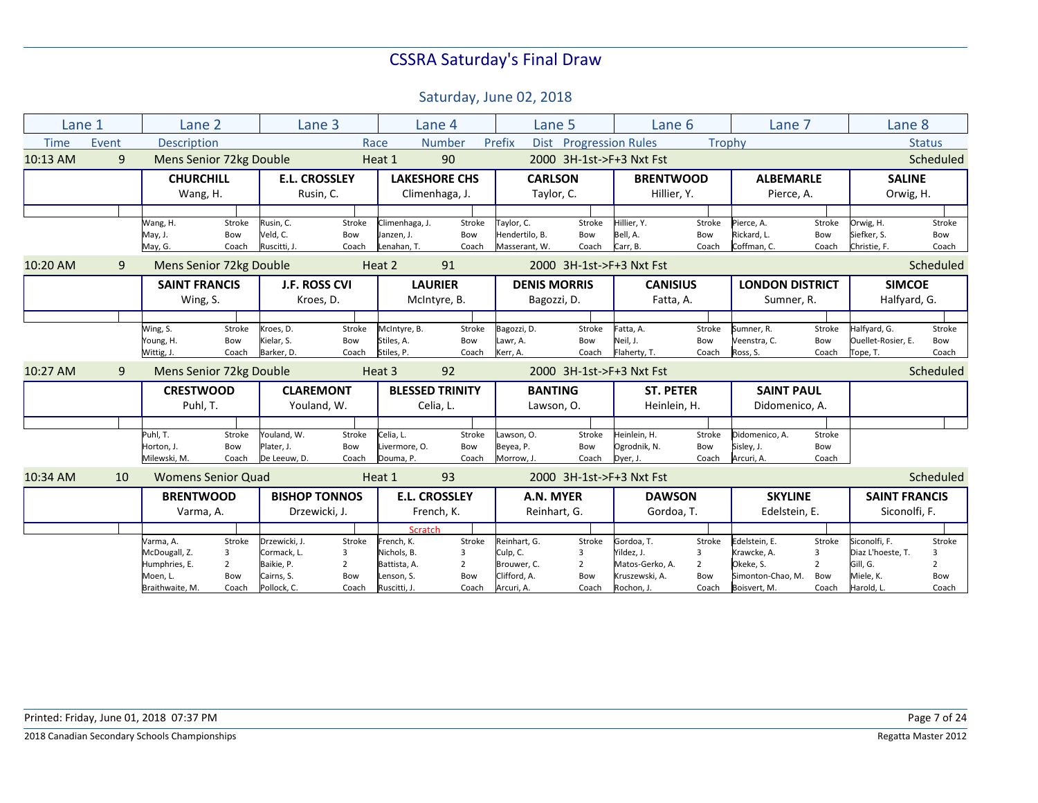|             | Lane 1 | Lane 2                    |                |                      | Lane 3               |                | Lane 4                 | Lane 5              |                | Lane 6                   |                | Lane 7                 |        | Lane 8               |                |
|-------------|--------|---------------------------|----------------|----------------------|----------------------|----------------|------------------------|---------------------|----------------|--------------------------|----------------|------------------------|--------|----------------------|----------------|
| <b>Time</b> | Event  | <b>Description</b>        |                |                      |                      | Race           | <b>Number</b>          | Prefix<br>Dist      |                | <b>Progression Rules</b> | Trophy         |                        |        |                      | <b>Status</b>  |
| 10:13 AM    | 9      | Mens Senior 72kg Double   |                |                      |                      | Heat 1         | 90                     |                     |                | 2000 3H-1st->F+3 Nxt Fst |                |                        |        |                      | Scheduled      |
|             |        | <b>CHURCHILL</b>          |                |                      | <b>E.L. CROSSLEY</b> |                | <b>LAKESHORE CHS</b>   | <b>CARLSON</b>      |                | <b>BRENTWOOD</b>         |                | <b>ALBEMARLE</b>       |        | <b>SALINE</b>        |                |
|             |        | Wang, H.                  |                |                      | Rusin, C.            |                | Climenhaga, J.         | Taylor, C.          |                | Hillier, Y.              |                | Pierce, A.             |        | Orwig, H.            |                |
|             |        |                           |                |                      |                      |                |                        |                     |                |                          |                |                        |        |                      |                |
|             |        | Wang, H.                  | Stroke         | Rusin, C.            | Stroke               | Climenhaga, J. | Stroke                 | Taylor, C.          | Stroke         | Hillier, Y.              | Stroke         | Pierce, A.             | Stroke | Orwig, H.            | Stroke         |
|             |        | May, J.                   | Bow            | Veld, C.             | Bow                  | Janzen, J.     | Bow                    | Hendertilo, B.      | Bow            | Bell, A.                 | Bow            | Rickard, L.            | Bow    | Siefker, S.          | Bow            |
|             |        | May, G.                   | Coach          | Ruscitti, J.         | Coach                | Lenahan, T.    | Coach                  | Masserant, W.       | Coach          | Carr, B.                 | Coach          | Coffman, C.            | Coach  | Christie, F.         | Coach          |
| 10:20 AM    | 9      | Mens Senior 72kg Double   |                |                      |                      | Heat 2         | 91                     |                     |                | 2000 3H-1st->F+3 Nxt Fst |                |                        |        |                      | Scheduled      |
|             |        | <b>SAINT FRANCIS</b>      |                |                      | <b>J.F. ROSS CVI</b> |                | <b>LAURIER</b>         | <b>DENIS MORRIS</b> |                | <b>CANISIUS</b>          |                | <b>LONDON DISTRICT</b> |        | <b>SIMCOE</b>        |                |
|             |        | Wing, S.                  |                |                      | Kroes, D.            |                | McIntyre, B.           | Bagozzi, D.         |                | Fatta, A.                |                | Sumner, R.             |        | Halfyard, G.         |                |
|             |        |                           |                |                      |                      |                |                        |                     |                |                          |                |                        |        |                      |                |
|             |        | Wing, S.                  | Stroke         | Kroes, D.            | Stroke               | McIntyre, B.   | Stroke                 | Bagozzi, D.         | Stroke         | Fatta, A.                | Stroke         | Sumner, R.             | Stroke | Halfyard, G.         | Stroke         |
|             |        | Young, H.                 | Bow            | Kielar, S.           | Bow                  | Stiles, A.     | Bow                    | Lawr, A.            | Bow            | Neil, J.                 | Bow            | Veenstra, C.           | Bow    | Ouellet-Rosier, E.   | Bow            |
|             |        | Wittig, J.                | Coach          | Barker, D.           | Coach                | Stiles, P.     | Coach                  | Kerr, A.            | Coach          | Flaherty, T.             | Coach          | Ross, S.               | Coach  | Tope, T.             | Coach          |
| 10:27 AM    | 9      | Mens Senior 72kg Double   |                |                      |                      | Heat 3         | 92                     |                     |                | 2000 3H-1st->F+3 Nxt Fst |                |                        |        |                      | Scheduled      |
|             |        | <b>CRESTWOOD</b>          |                | <b>CLAREMONT</b>     |                      |                | <b>BLESSED TRINITY</b> | <b>BANTING</b>      |                | <b>ST. PETER</b>         |                | <b>SAINT PAUL</b>      |        |                      |                |
|             |        | Puhl, T.                  |                |                      | Youland, W.          |                | Celia, L.              | Lawson, O.          |                | Heinlein, H.             |                | Didomenico, A.         |        |                      |                |
|             |        |                           |                |                      |                      |                |                        |                     |                |                          |                |                        |        |                      |                |
|             |        | Puhl, T.                  | Stroke         | Youland, W.          | Stroke               | Celia, L.      | Stroke                 | Lawson, O.          | Stroke         | Heinlein, H.             | Stroke         | Didomenico, A.         | Stroke |                      |                |
|             |        | Horton, J.                | Bow            | Plater, J.           | Bow                  | Livermore, O.  | Bow                    | Beyea, P.           | Bow            | Ogrodnik, N.             | Bow            | Sisley, J.             | Bow    |                      |                |
|             |        | Milewski, M.              | Coach          | De Leeuw, D.         | Coach                | Douma, P.      | Coach                  | Morrow, J           | Coach          | Dyer, J.                 | Coach          | Arcuri, A.             | Coach  |                      |                |
| 10:34 AM    | 10     | <b>Womens Senior Quad</b> |                |                      |                      | Heat 1         | 93                     |                     |                | 2000 3H-1st->F+3 Nxt Fst |                |                        |        |                      | Scheduled      |
|             |        | <b>BRENTWOOD</b>          |                | <b>BISHOP TONNOS</b> |                      |                | <b>E.L. CROSSLEY</b>   | A.N. MYER           |                | <b>DAWSON</b>            |                | <b>SKYLINE</b>         |        | <b>SAINT FRANCIS</b> |                |
|             |        | Varma, A.                 |                |                      | Drzewicki, J.        |                | French, K.             | Reinhart, G.        |                | Gordoa, T.               |                | Edelstein, E.          |        | Siconolfi, F.        |                |
|             |        |                           |                |                      |                      | <b>Scratch</b> |                        |                     |                |                          |                |                        |        |                      |                |
|             |        | Varma, A.                 | Stroke         | Drzewicki. J.        | Stroke               | French, K.     | Stroke                 | Reinhart. G.        | Stroke         | Gordoa, T.               | Stroke         | Edelstein. E.          | Stroke | Siconolfi. F.        | Stroke         |
|             |        | McDougall, Z.             | 3              | Cormack, L.          | 3                    | Nichols, B.    | 3                      | Culp, C.            | 3              | Yildez. J.               | 3              | Krawcke, A.            | 3      | Diaz L'hoeste, T.    | 3              |
|             |        | Humphries, E.             | $\overline{2}$ | Baikie, P.           | $\overline{2}$       | Battista, A.   | $\overline{2}$         | Brouwer, C.         | $\overline{2}$ | Matos-Gerko, A.          | $\overline{2}$ | Okeke, S.              | 2      | Gill, G.             | $\overline{2}$ |
|             |        | Moen, L.                  | Bow            | Cairns, S.           | Bow                  | Lenson, S.     | Bow                    | Clifford, A.        | Bow            | Kruszewski, A.           | Bow            | Simonton-Chao, M.      | Bow    | Miele, K.            | Bow            |
|             |        | Braithwaite, M.           | Coach          | Pollock. C.          | Coach                | Ruscitti, J.   | Coach                  | Arcuri, A.          | Coach          | Rochon, J.               | Coach          | Boisvert, M.           | Coach  | Harold, L.           | Coach          |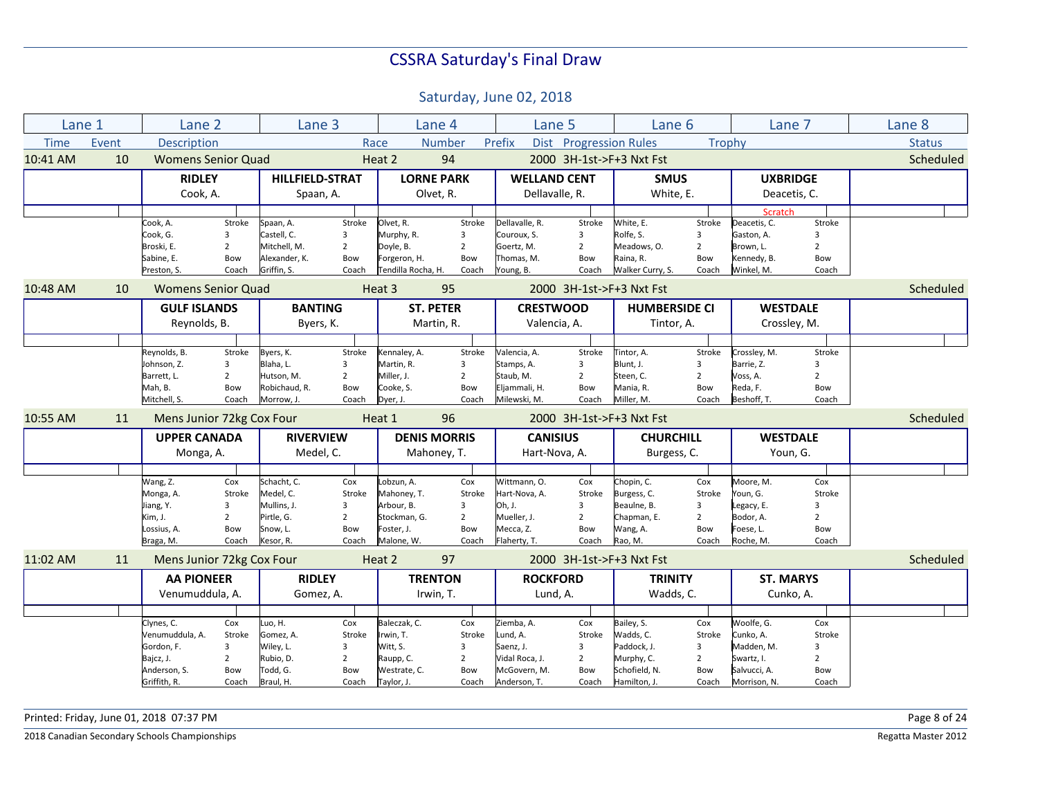Saturday, June 02, 2018

| Lane 1      |       | Lane <sub>2</sub>         |                | Lane 3                 |                |                     | Lane 4           | Lane 5              |                        | Lane 6                   |                | Lane 7           |                | Lane 8        |
|-------------|-------|---------------------------|----------------|------------------------|----------------|---------------------|------------------|---------------------|------------------------|--------------------------|----------------|------------------|----------------|---------------|
| <b>Time</b> | Event | Description               |                |                        |                | Race                | <b>Number</b>    | Prefix              | Dist Progression Rules |                          | <b>Trophy</b>  |                  |                | <b>Status</b> |
| 10:41 AM    | 10    | <b>Womens Senior Quad</b> |                |                        |                | Heat 2              | 94               |                     |                        | 2000 3H-1st->F+3 Nxt Fst |                |                  |                | Scheduled     |
|             |       | <b>RIDLEY</b>             |                | <b>HILLFIELD-STRAT</b> |                | <b>LORNE PARK</b>   |                  | <b>WELLAND CENT</b> |                        | <b>SMUS</b>              |                | <b>UXBRIDGE</b>  |                |               |
|             |       | Cook, A.                  |                | Spaan, A.              |                |                     | Olvet, R.        | Dellavalle, R.      |                        | White, E.                |                | Deacetis, C.     |                |               |
|             |       |                           |                |                        |                |                     |                  |                     |                        |                          |                | Scratch          |                |               |
|             |       | Cook, A.                  | Stroke         | Spaan, A.              | Stroke         | Olvet, R.           | Stroke           | Dellavalle, R.      | Stroke                 | White, E.                | Stroke         | Deacetis, C.     | Stroke         |               |
|             |       | Cook, G.                  | 3              | Castell, C.            | 3              | Murphy, R.          | 3                | Couroux, S.         | 3                      | Rolfe, S.                | 3              | Gaston, A.       | 3              |               |
|             |       | Broski, E.                | $\overline{2}$ | Mitchell. M.           | $\overline{2}$ | Doyle, B.           | $\overline{2}$   | Goertz, M.          | $2^{\circ}$            | Meadows, O.              | $\overline{2}$ | Brown. L.        | $\overline{2}$ |               |
|             |       | Sabine, E.                | Bow            | Alexander, K.          | Bow            | Forgeron, H.        | Bow              | Thomas, M.          | Bow                    | Raina, R.                | Bow            | Kennedy, B.      | Bow            |               |
|             |       | Preston, S.               | Coach          | Griffin, S.            | Coach          | Tendilla Rocha, H.  | Coach            | Young, B.           | Coach                  | Walker Curry, S.         | Coach          | Winkel, M.       | Coach          |               |
| 10:48 AM    | 10    | <b>Womens Senior Quad</b> |                |                        |                | Heat 3              | 95               |                     |                        | 2000 3H-1st->F+3 Nxt Fst |                |                  |                | Scheduled     |
|             |       | <b>GULF ISLANDS</b>       |                | <b>BANTING</b>         |                |                     | <b>ST. PETER</b> | <b>CRESTWOOD</b>    |                        | <b>HUMBERSIDE CI</b>     |                | <b>WESTDALE</b>  |                |               |
|             |       | Reynolds, B.              |                | Byers, K.              |                |                     | Martin, R.       | Valencia, A.        |                        | Tintor, A.               |                | Crossley, M.     |                |               |
|             |       |                           |                |                        |                |                     |                  |                     |                        |                          |                |                  |                |               |
|             |       | Reynolds, B.              | Stroke         | Byers, K.              | Stroke         | Kennaley, A.        | Stroke           | Valencia, A.        | Stroke                 | Tintor, A.               | Stroke         | Crossley, M.     | Stroke         |               |
|             |       | Johnson, Z.               | 3              | Blaha, L.              | 3              | Martin, R.          | 3                | Stamps, A.          | 3                      | Blunt, J.                | 3              | Barrie, Z.       | 3              |               |
|             |       | Barrett, L.               | $\overline{2}$ | Hutson, M.             | $\overline{2}$ | Miller, J.          | $\overline{2}$   | Staub, M.           | $\overline{2}$         | Steen, C.                | $\overline{2}$ | Voss, A.         | $\overline{2}$ |               |
|             |       | Mah, B.                   | Bow            | Robichaud, R.          | Bow            | Cooke, S.           | Bow              | Eljammali, H.       | Bow                    | Mania, R.                | Bow            | Reda, F.         | Bow            |               |
|             |       | Mitchell, S.              | Coach          | Morrow, J.             | Coach          | Dyer, J.            | Coach            | Milewski, M.        | Coach                  | Miller, M.               | Coach          | Beshoff, T.      | Coach          |               |
| 10:55 AM    | 11    | Mens Junior 72kg Cox Four |                |                        |                | Heat 1              | 96               |                     |                        | 2000 3H-1st->F+3 Nxt Fst |                |                  |                | Scheduled     |
|             |       | <b>UPPER CANADA</b>       |                | <b>RIVERVIEW</b>       |                | <b>DENIS MORRIS</b> |                  | <b>CANISIUS</b>     |                        | <b>CHURCHILL</b>         |                | <b>WESTDALE</b>  |                |               |
|             |       | Monga, A.                 |                | Medel, C.              |                |                     | Mahoney, T.      | Hart-Nova, A.       |                        | Burgess, C.              |                | Youn, G.         |                |               |
|             |       |                           |                |                        |                |                     |                  |                     |                        |                          |                |                  |                |               |
|             |       | Wang, Z.                  | Cox            | Schacht, C.            | Cox            | Lobzun, A.          | Cox              | Wittmann, O.        | Cox                    | Chopin, C.               | Cox            | Moore, M.        | Cox            |               |
|             |       | Monga, A.                 | Stroke         | Medel, C.              | Stroke         | Mahoney, T.         | Stroke           | Hart-Nova, A.       | Stroke                 | Burgess, C.              | Stroke         | Youn, G.         | Stroke         |               |
|             |       | Jiang, Y.                 | 3              | Mullins, J.            | 3              | Arbour, B.          | $\overline{3}$   | Oh. J.              | $\overline{3}$         | Beaulne, B.              | 3              | Legacy, E.       | $\overline{3}$ |               |
|             |       | Kim, J.                   | $\overline{2}$ | Pirtle, G.             | $\overline{2}$ | Stockman. G.        | $\overline{2}$   | Mueller, J.         | $\overline{2}$         | Chapman, E.              | $\overline{2}$ | Bodor, A.        | $\overline{2}$ |               |
|             |       | Lossius, A.               | Bow            | Snow, L.               | Bow            | Foster, J.          | Bow              | Mecca, Z.           | Bow                    | Wang, A.                 | Bow            | Foese, L.        | Bow            |               |
|             |       | Braga, M.                 | Coach          | Kesor, R.              | Coach          | Malone, W.          | Coach            | Flaherty, T.        | Coach                  | Rao, M.                  | Coach          | Roche, M.        | Coach          |               |
| 11:02 AM    | 11    | Mens Junior 72kg Cox Four |                |                        |                | Heat 2              | 97               |                     |                        | 2000 3H-1st->F+3 Nxt Fst |                |                  |                | Scheduled     |
|             |       | <b>AA PIONEER</b>         |                | <b>RIDLEY</b>          |                |                     | <b>TRENTON</b>   | <b>ROCKFORD</b>     |                        | <b>TRINITY</b>           |                | <b>ST. MARYS</b> |                |               |
|             |       | Venumuddula, A.           |                | Gomez, A.              |                |                     | Irwin, T.        | Lund, A.            |                        | Wadds, C.                |                | Cunko, A.        |                |               |
|             |       |                           |                |                        |                |                     |                  |                     |                        |                          |                |                  |                |               |
|             |       | Clynes, C.                | Cox            | Luo, H.                | Cox            | Baleczak, C.        | Cox              | Ziemba, A.          | Cox                    | Bailey, S.               | Cox            | Woolfe, G.       | Cox            |               |
|             |       | Venumuddula, A.           | Stroke         | Gomez, A.              | Stroke         | Irwin, T.           | Stroke           | Lund, A.            | Stroke                 | Wadds, C.                | Stroke         | Cunko, A.        | Stroke         |               |
|             |       | Gordon, F.                | 3              | Wiley, L.              | 3              | Witt, S.            | 3                | Saenz, J.           | 3                      | Paddock, J.              | 3              | Madden, M.       | $\overline{3}$ |               |
|             |       | Bajcz, J.                 | $\overline{2}$ | Rubio, D.              | $\overline{2}$ | Raupp, C.           | $\overline{2}$   | Vidal Roca, J.      | $\overline{2}$         | Murphy, C.               | $\overline{2}$ | Swartz, I.       | $\overline{2}$ |               |
|             |       | Anderson, S.              | Bow            | Todd, G.               | Bow            | Westrate, C.        | Bow              | McGovern, M.        | Bow                    | Schofield, N.            | Bow            | Salvucci, A.     | Bow            |               |
|             |       | Griffith, R.              | Coach          | Braul, H.              | Coach          | Taylor, J.          | Coach            | Anderson, T.        | Coach                  | Hamilton, J.             | Coach          | Morrison, N.     | Coach          |               |

Printed: Friday, June 01, 2018 07:37 PM Page 8 of 24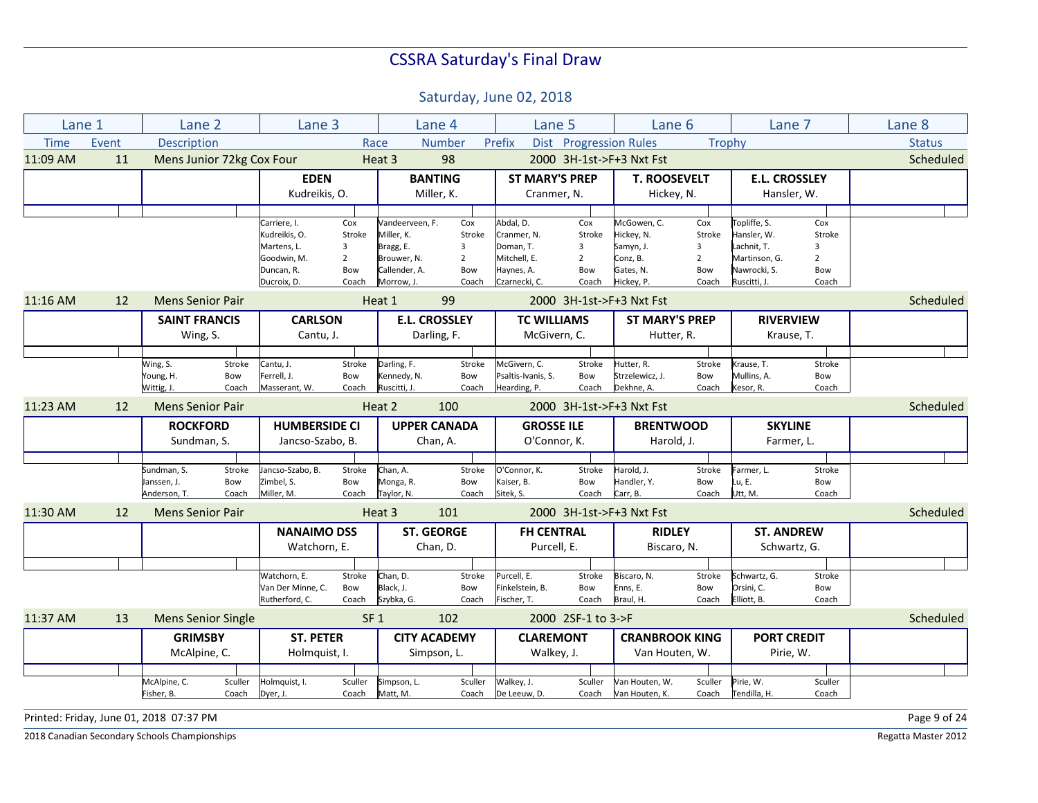Saturday, June 02, 2018

| Lane 1      |       | Lane 2                    |         | Lane 3                    |                       |                              | Lane 4                | Lane 5                      |                        | Lane 6                   |                     | Lane 7                        |                       | Lane 8        |
|-------------|-------|---------------------------|---------|---------------------------|-----------------------|------------------------------|-----------------------|-----------------------------|------------------------|--------------------------|---------------------|-------------------------------|-----------------------|---------------|
| <b>Time</b> | Event | <b>Description</b>        |         |                           |                       | Race                         | <b>Number</b>         | Prefix                      | Dist Progression Rules |                          | Trophy              |                               |                       | <b>Status</b> |
| 11:09 AM    | 11    | Mens Junior 72kg Cox Four |         |                           |                       | Heat 3                       | 98                    |                             |                        | 2000 3H-1st->F+3 Nxt Fst |                     |                               |                       | Scheduled     |
|             |       |                           |         | <b>EDEN</b>               |                       |                              | <b>BANTING</b>        | <b>ST MARY'S PREP</b>       |                        | <b>T. ROOSEVELT</b>      |                     | <b>E.L. CROSSLEY</b>          |                       |               |
|             |       |                           |         | Kudreikis, O.             |                       |                              | Miller, K.            | Cranmer, N.                 |                        | Hickey, N.               |                     | Hansler, W.                   |                       |               |
|             |       |                           |         |                           |                       |                              |                       |                             |                        |                          |                     |                               |                       |               |
|             |       |                           |         | Carriere, I.              | Cox                   | Vandeerveen, F.              | Cox                   | Abdal, D.                   | Cox                    | McGowen, C.              | Cox                 | Topliffe, S.                  | Cox                   |               |
|             |       |                           |         | Kudreikis, O.             | Stroke                | Miller. K.                   | Stroke                | Cranmer. N.                 | Stroke                 | Hickey, N.               | Stroke              | Hansler. W.                   | Stroke                |               |
|             |       |                           |         | Martens, L.               | 3                     | Bragg, E.                    | 3                     | Doman, T.                   | 3                      | Samyn, J.                | 3<br>$\overline{2}$ | Lachnit, T.                   | 3                     |               |
|             |       |                           |         | Goodwin, M.               | $\overline{2}$<br>Bow | Brouwer, N.<br>Callender, A. | $\overline{2}$<br>Bow | Mitchell, E.                | $\overline{2}$<br>Bow  | Conz, B.                 | Bow                 | Martinson, G.<br>Nawrocki, S. | $\overline{2}$<br>Bow |               |
|             |       |                           |         | Duncan, R.<br>Ducroix, D. | Coach                 | Morrow. J.                   | Coach                 | Haynes, A.<br>Czarnecki, C. | Coach                  | Gates, N.<br>Hickey, P.  | Coach               | Ruscitti, J.                  | Coach                 |               |
| 11:16 AM    | 12    | <b>Mens Senior Pair</b>   |         |                           |                       | Heat 1                       | 99                    |                             |                        | 2000 3H-1st->F+3 Nxt Fst |                     |                               |                       | Scheduled     |
|             |       | <b>SAINT FRANCIS</b>      |         | <b>CARLSON</b>            |                       |                              | <b>E.L. CROSSLEY</b>  | <b>TC WILLIAMS</b>          |                        | <b>ST MARY'S PREP</b>    |                     | <b>RIVERVIEW</b>              |                       |               |
|             |       |                           |         |                           |                       |                              |                       |                             |                        |                          |                     |                               |                       |               |
|             |       | Wing, S.                  |         | Cantu, J.                 |                       |                              | Darling, F.           | McGivern, C.                |                        | Hutter, R.               |                     | Krause, T.                    |                       |               |
|             |       |                           |         |                           |                       |                              |                       |                             |                        |                          |                     |                               |                       |               |
|             |       | Wing, S.                  | Stroke  | Cantu, J.                 | Stroke                | Darling, F.                  | Stroke                | McGivern, C.                | Stroke                 | Hutter, R.               | Stroke              | Krause, T.                    | Stroke                |               |
|             |       | Young, H.                 | Bow     | Ferrell, J.               | Bow                   | Kennedy, N.                  | Bow                   | Psaltis-Ivanis, S.          | Bow                    | Strzelewicz, J.          | Bow                 | Mullins, A.                   | Bow                   |               |
|             |       | Wittig, J.                | Coach   | Masserant, W.             | Coach                 | Ruscitti, J.                 | Coach                 | Hearding, P.                | Coach                  | Dekhne. A                | Coach               | Kesor, R.                     | Coach                 |               |
| 11:23 AM    | 12    | <b>Mens Senior Pair</b>   |         |                           |                       | Heat 2                       | 100                   |                             |                        | 2000 3H-1st->F+3 Nxt Fst |                     |                               |                       | Scheduled     |
|             |       | <b>ROCKFORD</b>           |         | <b>HUMBERSIDE CI</b>      |                       |                              | <b>UPPER CANADA</b>   | <b>GROSSE ILE</b>           |                        | <b>BRENTWOOD</b>         |                     | <b>SKYLINE</b>                |                       |               |
|             |       | Sundman, S.               |         | Jancso-Szabo, B.          |                       |                              | Chan, A.              | O'Connor, K.                |                        | Harold, J.               |                     | Farmer, L.                    |                       |               |
|             |       |                           |         |                           |                       |                              |                       |                             |                        |                          |                     |                               |                       |               |
|             |       | Sundman, S.               | Stroke  | Jancso-Szabo, B.          | Stroke                | Chan, A.                     | Stroke                | O'Connor, K.                | Stroke                 | Harold, J.               | Stroke              | Farmer, L.                    | Stroke                |               |
|             |       | Janssen, J.               | Bow     | Zimbel, S.                | Bow                   | Monga, R.                    | Bow                   | Kaiser, B.                  | Bow                    | Handler, Y.              | Bow                 | Lu, E.                        | Bow                   |               |
|             |       | Anderson, T.              | Coach   | Miller, M.                | Coach                 | Taylor, N.                   | Coach                 | Sitek, S.                   | Coach                  | Carr, B.                 | Coach               | Utt, M.                       | Coach                 |               |
| 11:30 AM    | 12    | <b>Mens Senior Pair</b>   |         |                           |                       | Heat 3                       | 101                   |                             |                        | 2000 3H-1st->F+3 Nxt Fst |                     |                               |                       | Scheduled     |
|             |       |                           |         | <b>NANAIMO DSS</b>        |                       |                              | <b>ST. GEORGE</b>     | <b>FH CENTRAL</b>           |                        | <b>RIDLEY</b>            |                     | <b>ST. ANDREW</b>             |                       |               |
|             |       |                           |         | Watchorn, E.              |                       |                              | Chan, D.              | Purcell, E.                 |                        | Biscaro, N.              |                     | Schwartz, G.                  |                       |               |
|             |       |                           |         |                           |                       |                              |                       |                             |                        |                          |                     |                               |                       |               |
|             |       |                           |         | Watchorn, E.              | Stroke                | Chan, D.                     | Stroke                | Purcell, E.                 | Stroke                 | Biscaro, N.              | Stroke              | Schwartz, G.                  | Stroke                |               |
|             |       |                           |         | Van Der Minne, C.         | Bow                   | Black, J.                    | Bow                   | Finkelstein, B.             | Bow                    | Enns, E.                 | Bow                 | Orsini, C.                    | Bow                   |               |
|             |       |                           |         | Rutherford, C.            | Coach                 | Szybka, G.                   | Coach                 | Fischer, T.                 | Coach                  | Braul, H.                | Coach               | Elliott, B.                   | Coach                 |               |
| 11:37 AM    | 13    | <b>Mens Senior Single</b> |         |                           | SF <sub>1</sub>       |                              | 102                   |                             | 2000 2SF-1 to 3->F     |                          |                     |                               |                       | Scheduled     |
|             |       | <b>GRIMSBY</b>            |         | <b>ST. PETER</b>          |                       |                              | <b>CITY ACADEMY</b>   | <b>CLAREMONT</b>            |                        | <b>CRANBROOK KING</b>    |                     | <b>PORT CREDIT</b>            |                       |               |
|             |       | McAlpine, C.              |         | Holmquist, I.             |                       |                              | Simpson, L.           | Walkey, J.                  |                        | Van Houten, W.           |                     | Pirie, W.                     |                       |               |
|             |       |                           |         |                           |                       |                              |                       |                             |                        |                          |                     |                               |                       |               |
|             |       | McAlpine, C.              | Sculler | Holmquist, I.             | Sculler               | Simpson, L.                  | Sculler               | Walkey, J.                  | Sculler                | Van Houten, W.           | Sculler             | Pirie, W.                     | Sculler               |               |
|             |       | Fisher, B.                | Coach   | Dyer, J.                  | Coach                 | Matt, M.                     | Coach                 | De Leeuw, D.                | Coach                  | Van Houten, K.           | Coach               | Tendilla, H.                  | Coach                 |               |
|             |       |                           |         |                           |                       |                              |                       |                             |                        |                          |                     |                               |                       |               |

Printed: Friday, June 01, 2018 07:37 PM Page 9 of 24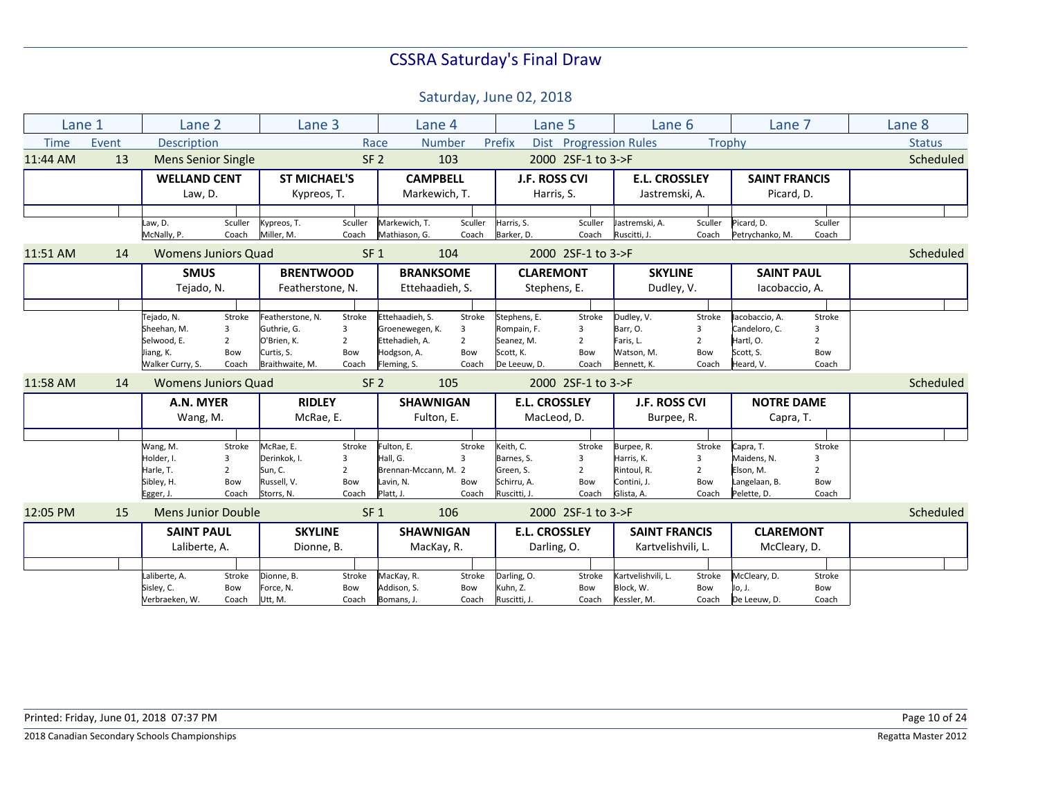| Lane 1      |       | Lane 2                                                                    |                                                            | Lane 3                                                                          |                                               |                                                                                    | Lane 4                                        |                                                                        | Lane 5                                        | Lane 6                                                               |                                               | Lane 7                                                                 |                                                            | Lane 8        |
|-------------|-------|---------------------------------------------------------------------------|------------------------------------------------------------|---------------------------------------------------------------------------------|-----------------------------------------------|------------------------------------------------------------------------------------|-----------------------------------------------|------------------------------------------------------------------------|-----------------------------------------------|----------------------------------------------------------------------|-----------------------------------------------|------------------------------------------------------------------------|------------------------------------------------------------|---------------|
| <b>Time</b> | Event | <b>Description</b>                                                        |                                                            |                                                                                 |                                               | Race                                                                               | <b>Number</b>                                 | Prefix                                                                 | Dist Progression Rules                        |                                                                      | Trophy                                        |                                                                        |                                                            | <b>Status</b> |
| 11:44 AM    | 13    | <b>Mens Senior Single</b>                                                 |                                                            |                                                                                 | SF <sub>2</sub>                               |                                                                                    | 103                                           |                                                                        | 2000 2SF-1 to 3->F                            |                                                                      |                                               |                                                                        |                                                            | Scheduled     |
|             |       | <b>WELLAND CENT</b><br>Law, D.                                            |                                                            | <b>ST MICHAEL'S</b><br>Kypreos, T.                                              |                                               | <b>CAMPBELL</b><br>Markewich, T.                                                   |                                               |                                                                        | <b>J.F. ROSS CVI</b><br>Harris, S.            | <b>E.L. CROSSLEY</b><br>Jastremski, A.                               |                                               | <b>SAINT FRANCIS</b><br>Picard, D.                                     |                                                            |               |
|             |       | Law, D.<br>McNally, P.                                                    | Sculler<br>Coach                                           | Kypreos, T.<br>Miller, M.                                                       | Sculler<br>Coach                              | Markewich. T.<br>Mathiason, G.                                                     | Sculler<br>Coach                              | Harris, S.<br>Barker, D.                                               | Sculler<br>Coach                              | Jastremski, A.<br>Ruscitti, J.                                       | Sculler<br>Coach                              | Picard. D.<br>Petrychanko, M.                                          | Sculler<br>Coach                                           |               |
| 11:51 AM    | 14    | <b>Womens Juniors Quad</b>                                                |                                                            |                                                                                 | SF <sub>1</sub>                               |                                                                                    | 104                                           |                                                                        | 2000 2SF-1 to 3->F                            |                                                                      |                                               |                                                                        |                                                            | Scheduled     |
|             |       | <b>SMUS</b><br>Tejado, N.                                                 |                                                            | <b>BRENTWOOD</b><br>Featherstone, N.                                            |                                               | <b>BRANKSOME</b><br>Ettehaadieh, S.                                                |                                               |                                                                        | <b>CLAREMONT</b><br>Stephens, E.              | <b>SKYLINE</b><br>Dudley, V.                                         |                                               | <b>SAINT PAUL</b><br>lacobaccio, A.                                    |                                                            |               |
|             |       | Tejado, N.<br>Sheehan, M.<br>Selwood, E.<br>Jiang, K.<br>Walker Curry, S. | Stroke<br>3<br>$\overline{2}$<br>Bow<br>Coach              | Featherstone, N.<br>Guthrie, G.<br>O'Brien, K.<br>Curtis. S.<br>Braithwaite. M. | Stroke<br>3<br>$\overline{2}$<br>Bow<br>Coach | Ettehaadieh, S.<br>Groenewegen, K.<br>Ettehadieh. A.<br>Hodgson, A.<br>Fleming, S. | Stroke<br>3<br>$\overline{2}$<br>Bow<br>Coach | Stephens, E.<br>Rompain, F.<br>Seanez, M.<br>Scott, K.<br>De Leeuw. D. | Stroke<br>3<br>$\overline{2}$<br>Bow<br>Coach | Dudley, V.<br>Barr, O.<br>Faris. L.<br>Watson, M.<br>Bennett. K.     | Stroke<br>3<br>$\overline{2}$<br>Bow<br>Coach | lacobaccio, A.<br>Candeloro, C.<br>Hartl. O.<br>Scott, S.<br>Heard, V. | Stroke<br>$\overline{3}$<br>$\overline{2}$<br>Bow<br>Coach |               |
| 11:58 AM    | 14    | <b>Womens Juniors Quad</b>                                                |                                                            |                                                                                 | SF <sub>2</sub>                               |                                                                                    | 105                                           |                                                                        | 2000 2SF-1 to 3->F                            |                                                                      |                                               |                                                                        |                                                            | Scheduled     |
|             |       | A.N. MYER<br>Wang, M.                                                     |                                                            | <b>RIDLEY</b><br>McRae, E.                                                      |                                               | <b>SHAWNIGAN</b><br>Fulton, E.                                                     |                                               |                                                                        | <b>E.L. CROSSLEY</b><br>MacLeod, D.           | <b>J.F. ROSS CVI</b><br>Burpee, R.                                   |                                               | <b>NOTRE DAME</b><br>Capra, T.                                         |                                                            |               |
|             |       | Wang, M.<br>Holder, I.<br>Harle, T.<br>Sibley, H.<br>Egger, J.            | Stroke<br>$\overline{3}$<br>$\overline{2}$<br>Bow<br>Coach | McRae. E.<br>Derinkok. I.<br>Sun, C.<br>Russell, V.<br>Storrs, N.               | Stroke<br>3<br>$\overline{2}$<br>Bow<br>Coach | Fulton, E.<br>Hall. G.<br>Brennan-Mccann, M. 2<br>Lavin, N.<br>Platt, J.           | Stroke<br>3<br>Bow<br>Coach                   | Keith. C.<br>Barnes. S.<br>Green, S.<br>Schirru, A.<br>Ruscitti, J.    | Stroke<br>3<br>$\overline{2}$<br>Bow<br>Coach | Burpee, R.<br>Harris, K.<br>Rintoul, R.<br>Contini, J.<br>Glista, A. | Stroke<br>3<br>$\overline{2}$<br>Bow<br>Coach | Capra, T.<br>Maidens. N.<br>Elson, M.<br>Langelaan, B.<br>Pelette, D.  | Stroke<br>3<br>$\overline{2}$<br>Bow<br>Coach              |               |
| 12:05 PM    | 15    | <b>Mens Junior Double</b>                                                 |                                                            |                                                                                 | SF <sub>1</sub>                               |                                                                                    | 106                                           |                                                                        | 2000 2SF-1 to 3->F                            |                                                                      |                                               |                                                                        |                                                            | Scheduled     |
|             |       | <b>SAINT PAUL</b><br>Laliberte, A.                                        |                                                            | <b>SKYLINE</b><br>Dionne, B.                                                    |                                               | <b>SHAWNIGAN</b>                                                                   | MacKay, R.                                    |                                                                        | <b>E.L. CROSSLEY</b><br>Darling, O.           | <b>SAINT FRANCIS</b><br>Kartvelishvili, L.                           |                                               | <b>CLAREMONT</b><br>McCleary, D.                                       |                                                            |               |
|             |       | Laliberte, A.<br>Sisley, C.<br>Verbraeken, W.                             | Stroke<br>Bow<br>Coach                                     | Dionne, B.<br>Force, N.<br>Utt, M.                                              | Stroke<br>Bow<br>Coach                        | MacKay, R.<br>Addison, S.<br>Bomans, J.                                            | Stroke<br>Bow<br>Coach                        | Darling, O.<br>Kuhn, Z.<br>Ruscitti, J.                                | Stroke<br>Bow<br>Coach                        | Kartvelishvili, L.<br>Block, W.<br>Kessler, M.                       | Stroke<br>Bow<br>Coach                        | McCleary, D.<br>Jo, J.<br>De Leeuw, D.                                 | Stroke<br>Bow<br>Coach                                     |               |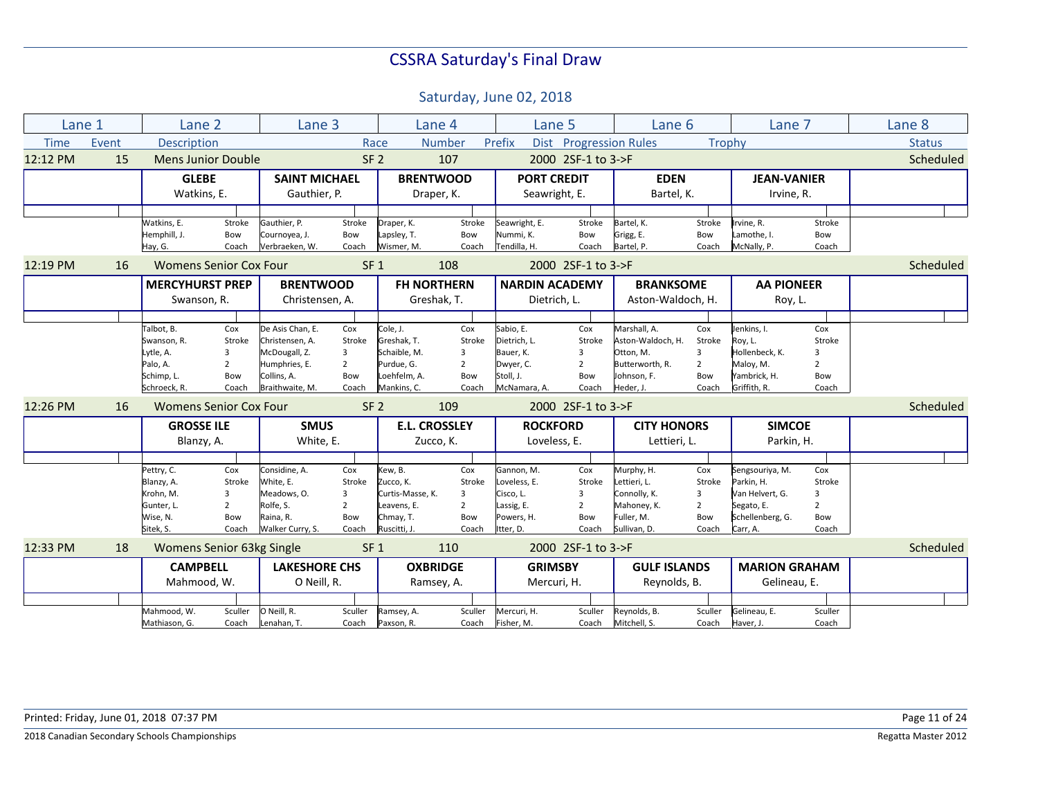| Lane 1      |       | Lane 2                                                                           |                                                                   | Lane 3                                                                                                  |                                                      |                                                                                      | Lane 4                                               | Lane 5                                                                           |                                                      | Lane 6                                                                                        |                                                      | Lane 7                                                                                         |                                                      | Lane 8        |
|-------------|-------|----------------------------------------------------------------------------------|-------------------------------------------------------------------|---------------------------------------------------------------------------------------------------------|------------------------------------------------------|--------------------------------------------------------------------------------------|------------------------------------------------------|----------------------------------------------------------------------------------|------------------------------------------------------|-----------------------------------------------------------------------------------------------|------------------------------------------------------|------------------------------------------------------------------------------------------------|------------------------------------------------------|---------------|
| <b>Time</b> | Event | <b>Description</b>                                                               |                                                                   |                                                                                                         |                                                      | Race                                                                                 | <b>Number</b>                                        | Prefix                                                                           | Dist Progression Rules                               |                                                                                               | Trophy                                               |                                                                                                |                                                      | <b>Status</b> |
| 12:12 PM    | 15    | <b>Mens Junior Double</b>                                                        |                                                                   |                                                                                                         | SF <sub>2</sub>                                      |                                                                                      | 107                                                  |                                                                                  | 2000 2SF-1 to 3->F                                   |                                                                                               |                                                      |                                                                                                |                                                      | Scheduled     |
|             |       | <b>GLEBE</b><br>Watkins, E.                                                      |                                                                   | <b>SAINT MICHAEL</b><br>Gauthier, P.                                                                    |                                                      |                                                                                      | <b>BRENTWOOD</b><br>Draper, K.                       | <b>PORT CREDIT</b><br>Seawright, E.                                              |                                                      | <b>EDEN</b><br>Bartel, K.                                                                     |                                                      | <b>JEAN-VANIER</b><br>Irvine, R.                                                               |                                                      |               |
|             |       |                                                                                  |                                                                   |                                                                                                         |                                                      |                                                                                      |                                                      |                                                                                  |                                                      |                                                                                               |                                                      |                                                                                                |                                                      |               |
|             |       | Watkins, E.<br>Hemphill, J.<br>Hay, G.                                           | Stroke<br>Bow<br>Coach                                            | Gauthier, P.<br>Cournoyea, J.<br>Verbraeken, W.                                                         | Stroke<br>Bow<br>Coach                               | Draper, K.<br>Lapsley, T.<br>Wismer, M.                                              | Stroke<br>Bow<br>Coach                               | Seawright, E.<br>Nummi, K.<br>Tendilla, H.                                       | Stroke<br>Bow<br>Coach                               | Bartel, K.<br>Grigg, E.<br>Bartel, P.                                                         | Stroke<br>Bow<br>Coach                               | Irvine, R.<br>Lamothe, I.<br>McNally, P.                                                       | Stroke<br>Bow<br>Coach                               |               |
| 12:19 PM    | 16    | <b>Womens Senior Cox Four</b>                                                    |                                                                   |                                                                                                         | SF <sub>1</sub>                                      |                                                                                      | 108                                                  |                                                                                  | 2000 2SF-1 to 3->F                                   |                                                                                               |                                                      |                                                                                                |                                                      | Scheduled     |
|             |       | <b>MERCYHURST PREP</b>                                                           |                                                                   | <b>BRENTWOOD</b>                                                                                        |                                                      |                                                                                      | <b>FH NORTHERN</b>                                   | <b>NARDIN ACADEMY</b>                                                            |                                                      | <b>BRANKSOME</b>                                                                              |                                                      | <b>AA PIONEER</b>                                                                              |                                                      |               |
|             |       | Swanson, R.                                                                      |                                                                   | Christensen, A.                                                                                         |                                                      |                                                                                      | Greshak, T.                                          | Dietrich. L.                                                                     |                                                      | Aston-Waldoch, H.                                                                             |                                                      | Roy, L.                                                                                        |                                                      |               |
|             |       |                                                                                  |                                                                   |                                                                                                         |                                                      |                                                                                      |                                                      |                                                                                  |                                                      |                                                                                               |                                                      |                                                                                                |                                                      |               |
|             |       | Talbot, B.<br>Swanson, R.<br>Lytle, A.<br>Palo, A.<br>Schimp, L.<br>Schroeck, R. | Cox<br>Stroke<br>3<br>$\overline{2}$<br>Bow<br>Coach              | De Asis Chan, E.<br>Christensen, A.<br>McDougall, Z.<br>Humphries, E.<br>Collins, A.<br>Braithwaite, M. | Cox<br>Stroke<br>3<br>$\overline{2}$<br>Bow<br>Coach | Cole, J.<br>Greshak, T.<br>Schaible, M.<br>Purdue, G.<br>Loehfelm, A.<br>Mankins, C. | Cox<br>Stroke<br>3<br>$\overline{2}$<br>Bow<br>Coach | Sabio, E.<br>Dietrich, L.<br>Bauer, K.<br>Dwyer, C.<br>Stoll, J.<br>McNamara, A. | Cox<br>Stroke<br>3<br>$\overline{2}$<br>Bow<br>Coach | Marshall, A.<br>Aston-Waldoch, H.<br>Otton, M.<br>Butterworth, R.<br>Johnson, F.<br>Heder, J. | Cox<br>Stroke<br>3<br>$\overline{2}$<br>Bow<br>Coach | Jenkins, I.<br>Roy, L.<br>Hollenbeck, K.<br>Maloy, M.<br>Yambrick, H.<br>Griffith, R.          | Cox<br>Stroke<br>3<br>$\overline{2}$<br>Bow<br>Coach |               |
| 12:26 PM    | 16    | <b>Womens Senior Cox Four</b>                                                    |                                                                   |                                                                                                         | SF <sub>2</sub>                                      |                                                                                      | 109                                                  |                                                                                  | 2000 2SF-1 to 3->F                                   |                                                                                               |                                                      |                                                                                                |                                                      | Scheduled     |
|             |       | <b>GROSSE ILE</b><br>Blanzy, A.                                                  |                                                                   | <b>SMUS</b><br>White, E.                                                                                |                                                      |                                                                                      | <b>E.L. CROSSLEY</b><br>Zucco, K.                    | <b>ROCKFORD</b><br>Loveless, E.                                                  |                                                      | <b>CITY HONORS</b><br>Lettieri, L.                                                            |                                                      | <b>SIMCOE</b><br>Parkin, H.                                                                    |                                                      |               |
|             |       |                                                                                  |                                                                   |                                                                                                         |                                                      |                                                                                      |                                                      |                                                                                  |                                                      |                                                                                               |                                                      |                                                                                                |                                                      |               |
|             |       | Pettry, C.<br>Blanzy, A.<br>Krohn, M.<br>Gunter, L.<br>Wise, N.<br>Sitek, S.     | Cox<br>Stroke<br>$\overline{3}$<br>$\overline{2}$<br>Bow<br>Coach | Considine. A.<br>White. E.<br>Meadows, O.<br>Rolfe, S.<br>Raina. R.<br>Walker Curry, S.                 | Cox<br>Stroke<br>3<br>$\overline{2}$<br>Bow<br>Coach | Kew, B.<br>Zucco, K.<br>Curtis-Masse. K.<br>Leavens, E.<br>Chmay, T.<br>Ruscitti, J. | Cox<br>Stroke<br>3<br>$\overline{2}$<br>Bow<br>Coach | Gannon, M.<br>Loveless, E.<br>Cisco, L.<br>Lassig, E.<br>Powers, H.<br>Itter, D. | Cox<br>Stroke<br>3<br>$\overline{2}$<br>Bow<br>Coach | Murphy, H.<br>Lettieri. L.<br>Connolly, K.<br>Mahoney, K.<br>Fuller. M.<br>Sullivan, D.       | Cox<br>Stroke<br>3<br>$\overline{2}$<br>Bow<br>Coach | Sengsouriya, M.<br>Parkin. H.<br>Van Helvert, G.<br>Segato, E.<br>Schellenberg, G.<br>Carr, A. | Cox<br>Stroke<br>3<br>$\overline{2}$<br>Bow<br>Coach |               |
| 12:33 PM    | 18    | Womens Senior 63kg Single                                                        |                                                                   |                                                                                                         | SF <sub>1</sub>                                      |                                                                                      | 110                                                  |                                                                                  | 2000 2SF-1 to 3->F                                   |                                                                                               |                                                      |                                                                                                |                                                      | Scheduled     |
|             |       | <b>CAMPBELL</b>                                                                  |                                                                   | <b>LAKESHORE CHS</b>                                                                                    |                                                      |                                                                                      | <b>OXBRIDGE</b>                                      | <b>GRIMSBY</b>                                                                   |                                                      | <b>GULF ISLANDS</b>                                                                           |                                                      | <b>MARION GRAHAM</b>                                                                           |                                                      |               |
|             |       | Mahmood, W.                                                                      |                                                                   | O Neill, R.                                                                                             |                                                      |                                                                                      | Ramsey, A.                                           | Mercuri, H.                                                                      |                                                      | Reynolds, B.                                                                                  |                                                      | Gelineau, E.                                                                                   |                                                      |               |
|             |       |                                                                                  |                                                                   |                                                                                                         |                                                      |                                                                                      |                                                      |                                                                                  |                                                      |                                                                                               |                                                      |                                                                                                |                                                      |               |
|             |       | Mahmood, W.<br>Mathiason, G.                                                     | Sculler<br>Coach                                                  | O Neill, R.<br>Lenahan, T.                                                                              | Sculler<br>Coach                                     | Ramsey, A.<br>Paxson, R.                                                             | Sculler<br>Coach                                     | Mercuri, H.<br>Fisher, M.                                                        | Sculler<br>Coach                                     | Reynolds, B.<br>Mitchell, S.                                                                  | Sculler<br>Coach                                     | Gelineau, E.<br>Haver, J.                                                                      | Sculler<br>Coach                                     |               |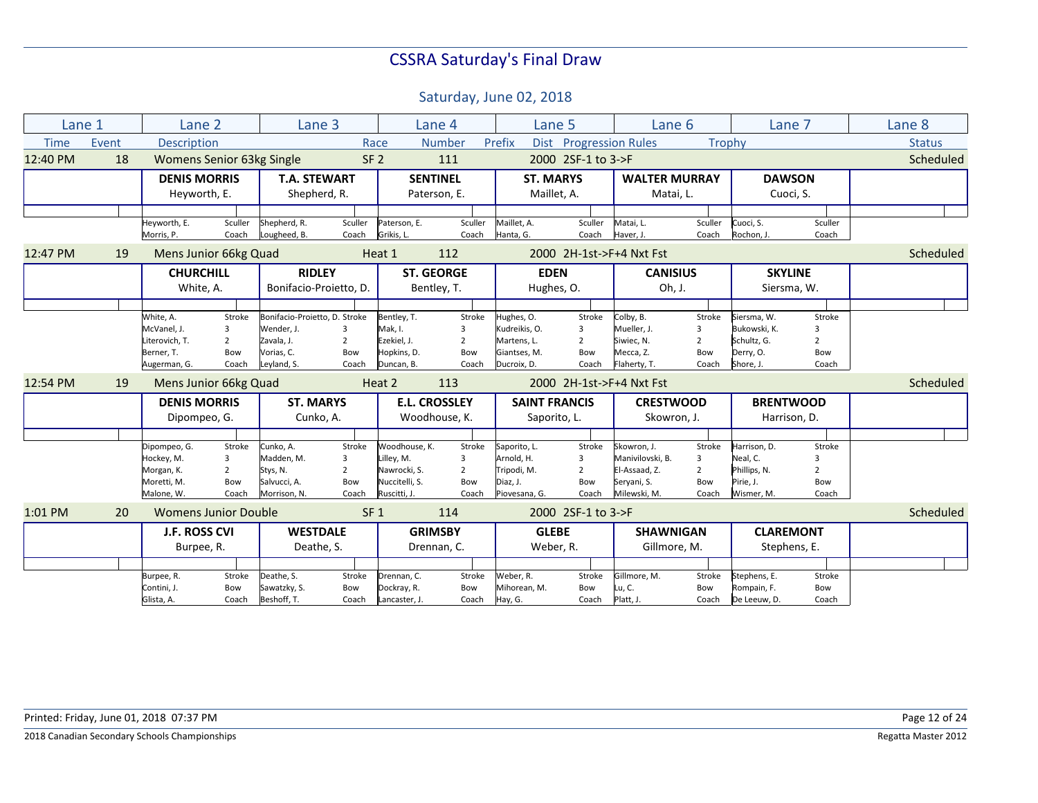|             | Lane 1 | Lane 2               |                                  |                               | Lane 3          |                | Lane 4               |                      | Lane 5                 | Lane 6                   |                | Lane 7           |                | Lane 8        |
|-------------|--------|----------------------|----------------------------------|-------------------------------|-----------------|----------------|----------------------|----------------------|------------------------|--------------------------|----------------|------------------|----------------|---------------|
| <b>Time</b> | Event  | <b>Description</b>   |                                  |                               | Race            |                | <b>Number</b>        | Prefix               | Dist Progression Rules |                          | Trophy         |                  |                | <b>Status</b> |
| 12:40 PM    | 18     |                      | <b>Womens Senior 63kg Single</b> |                               | SF <sub>2</sub> |                | 111                  |                      | 2000 2SF-1 to 3->F     |                          |                |                  |                | Scheduled     |
|             |        | <b>DENIS MORRIS</b>  |                                  | <b>T.A. STEWART</b>           |                 |                | <b>SENTINEL</b>      | <b>ST. MARYS</b>     |                        | <b>WALTER MURRAY</b>     |                | <b>DAWSON</b>    |                |               |
|             |        | Heyworth, E.         |                                  | Shepherd, R.                  |                 |                | Paterson, E.         |                      | Maillet, A.            | Matai, L.                |                |                  | Cuoci, S.      |               |
|             |        |                      |                                  |                               |                 |                |                      |                      |                        |                          |                |                  |                |               |
|             |        | Heyworth, E.         | Sculler                          | Shepherd, R.                  | Sculler         | Paterson, E.   | Sculler              | Maillet, A.          | Sculler                | Matai, L.                | Sculler        | Cuoci, S.        | Sculler        |               |
|             |        | Morris, P.           | Coach                            | Lougheed, B.                  | Coach           | Grikis, L.     | Coach                | Hanta, G.            | Coach                  | Haver, J.                | Coach          | Rochon, J.       | Coach          |               |
| 12:47 PM    | 19     |                      | Mens Junior 66kg Quad            |                               |                 | Heat 1         | 112                  |                      |                        | 2000 2H-1st->F+4 Nxt Fst |                |                  |                | Scheduled     |
|             |        | <b>CHURCHILL</b>     |                                  | <b>RIDLEY</b>                 |                 |                | <b>ST. GEORGE</b>    | <b>EDEN</b>          |                        | <b>CANISIUS</b>          |                | <b>SKYLINE</b>   |                |               |
|             |        | White, A.            |                                  | Bonifacio-Proietto, D.        |                 |                | Bentley, T.          |                      | Hughes, O.             | Oh, J.                   |                | Siersma, W.      |                |               |
|             |        |                      |                                  |                               |                 |                |                      |                      |                        |                          |                |                  |                |               |
|             |        | White, A.            | Stroke                           | Bonifacio-Proietto, D. Stroke |                 | Bentley, T.    | Stroke               | Hughes, O.           | Stroke                 | Colby, B.                | Stroke         | Siersma, W.      | Stroke         |               |
|             |        | McVanel, J.          | 3                                | Wender, J.                    | 3               | Mak, I.        | 3                    | Kudreikis, O.        | 3                      | Mueller, J.              | 3              | Bukowski, K.     | 3              |               |
|             |        | Literovich, T.       | $\overline{2}$                   | Zavala, J.                    | $\overline{2}$  | Ezekiel, J.    | $\overline{2}$       | Martens, L.          | $\overline{2}$         | Siwiec, N.               | $\overline{2}$ | Schultz, G.      | $\overline{2}$ |               |
|             |        | Berner, T.           | Bow                              | Vorias. C.                    | Bow             | Hopkins, D.    | Bow                  | Giantses, M.         | Bow                    | Mecca, Z.                | Bow            | Derry, O.        | Bow            |               |
|             |        | Augerman, G.         | Coach                            | Leyland, S.                   | Coach           | Duncan, B.     | Coach                | Ducroix, D.          | Coach                  | Flaherty, T.             | Coach          | Shore, J.        | Coach          |               |
| 12:54 PM    | 19     |                      | Mens Junior 66kg Quad            |                               |                 | Heat 2         | 113                  |                      |                        | 2000 2H-1st->F+4 Nxt Fst |                |                  |                | Scheduled     |
|             |        | <b>DENIS MORRIS</b>  |                                  | <b>ST. MARYS</b>              |                 |                | <b>E.L. CROSSLEY</b> | <b>SAINT FRANCIS</b> |                        | <b>CRESTWOOD</b>         |                | <b>BRENTWOOD</b> |                |               |
|             |        | Dipompeo, G.         |                                  | Cunko, A.                     |                 |                | Woodhouse, K.        | Saporito, L.         |                        | Skowron, J.              |                | Harrison, D.     |                |               |
|             |        |                      |                                  |                               |                 |                |                      |                      |                        |                          |                |                  |                |               |
|             |        | Dipompeo, G.         | Stroke                           | Cunko, A.                     | Stroke          | Woodhouse, K.  | Stroke               | Saporito, L.         | Stroke                 | Skowron, J.              | Stroke         | Harrison, D.     | Stroke         |               |
|             |        | Hockey, M.           | 3                                | Madden. M.                    | 3               | Lillev. M.     | 3                    | Arnold. H.           | $\overline{3}$         | Manivilovski, B.         | 3              | Neal. C.         |                |               |
|             |        | Morgan, K.           | $\overline{2}$                   | Stys, N.                      | $\overline{2}$  | Nawrocki, S.   | $\overline{2}$       | Tripodi, M.          | $\overline{2}$         | El-Assaad, Z.            | $\overline{2}$ | Phillips, N.     | $\mathcal{P}$  |               |
|             |        | Moretti, M.          | Bow                              | Salvucci, A.                  | Bow             | Nuccitelli. S. | Bow                  | Diaz, J.             | Bow                    | Seryani, S.              | Bow            | Pirie. J.        | Bow            |               |
|             |        | Malone, W.           | Coach                            | Morrison, N.                  | Coach           | Ruscitti, J.   | Coach                | Piovesana, G.        | Coach                  | Milewski, M.             | Coach          | Wismer, M.       | Coach          |               |
| 1:01 PM     | 20     |                      | <b>Womens Junior Double</b>      |                               | SF <sub>1</sub> |                | 114                  |                      | 2000 2SF-1 to 3->F     |                          |                |                  |                | Scheduled     |
|             |        | <b>J.F. ROSS CVI</b> |                                  | <b>WESTDALE</b>               |                 |                | <b>GRIMSBY</b>       | <b>GLEBE</b>         |                        | <b>SHAWNIGAN</b>         |                | <b>CLAREMONT</b> |                |               |
|             |        | Burpee, R.           |                                  | Deathe, S.                    |                 |                | Drennan, C.          |                      | Weber, R.              | Gillmore, M.             |                | Stephens, E.     |                |               |
|             |        |                      |                                  |                               |                 |                |                      |                      |                        |                          |                |                  |                |               |
|             |        | Burpee, R.           | Stroke                           | Deathe, S.                    | Stroke          | Drennan, C.    | Stroke               | Weber, R.            | Stroke                 | Gillmore, M.             | Stroke         | Stephens, E.     | Stroke         |               |
|             |        | Contini, J.          | Bow                              | Sawatzky, S.                  | Bow             | Dockray, R.    | Bow                  | Mihorean, M.         | Bow                    | Lu, C.                   | Bow            | Rompain, F.      | Bow            |               |
|             |        | Glista, A.           | Coach                            | Beshoff, T.                   | Coach           | Lancaster, J.  | Coach                | Hay, G.              | Coach                  | Platt, J.                | Coach          | De Leeuw, D.     | Coach          |               |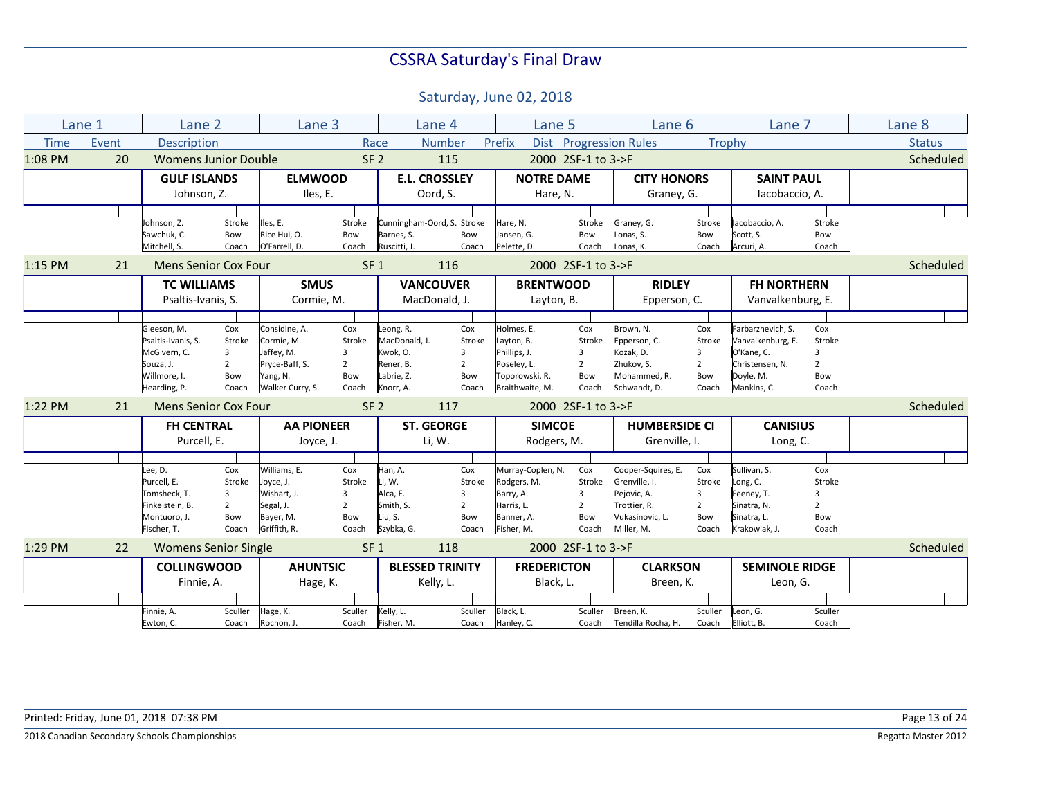|             | Lane 1 | Lane 2                          |                       | Lane 3                        |                       |                            | Lane 4                     | Lane 5                      |                       | Lane 6                          |                       | Lane 7                        |                       | Lane 8        |
|-------------|--------|---------------------------------|-----------------------|-------------------------------|-----------------------|----------------------------|----------------------------|-----------------------------|-----------------------|---------------------------------|-----------------------|-------------------------------|-----------------------|---------------|
| <b>Time</b> | Event  | <b>Description</b>              |                       |                               | Race                  |                            | <b>Number</b>              | Prefix                      |                       | Dist Progression Rules          |                       | Trophy                        |                       | <b>Status</b> |
| 1:08 PM     | 20     | <b>Womens Junior Double</b>     |                       |                               | SF <sub>2</sub>       |                            | 115                        |                             | 2000 2SF-1 to 3->F    |                                 |                       |                               |                       | Scheduled     |
|             |        | <b>GULF ISLANDS</b>             |                       | <b>ELMWOOD</b>                |                       |                            | <b>E.L. CROSSLEY</b>       | <b>NOTRE DAME</b>           |                       | <b>CITY HONORS</b>              |                       | <b>SAINT PAUL</b>             |                       |               |
|             |        | Johnson, Z.                     |                       | Iles, E.                      |                       |                            | Oord, S.                   | Hare, N.                    |                       | Graney, G.                      |                       | lacobaccio, A.                |                       |               |
|             |        |                                 |                       |                               |                       |                            |                            |                             |                       |                                 |                       |                               |                       |               |
|             |        | Johnson, Z.                     | Stroke                | Iles, E.                      | Stroke                |                            | Cunningham-Oord, S. Stroke | Hare, N.                    | Stroke                | Graney, G.                      | Stroke                | lacobaccio, A.                | Stroke                |               |
|             |        | Sawchuk, C.<br>Mitchell, S.     | Bow<br>Coach          | Rice Hui, O.<br>O'Farrell, D. | Bow<br>Coach          | Barnes, S.<br>Ruscitti, J. | Bow<br>Coach               | Jansen, G.<br>Pelette, D.   | Bow<br>Coach          | Lonas, S.<br>Lonas, K.          | Bow<br>Coach          | Scott, S.<br>Arcuri, A.       | Bow<br>Coach          |               |
| $1:15$ PM   | 21     | <b>Mens Senior Cox Four</b>     |                       |                               | SF <sub>1</sub>       |                            | 116                        |                             | 2000 2SF-1 to 3->F    |                                 |                       |                               |                       | Scheduled     |
|             |        | <b>TC WILLIAMS</b>              |                       | <b>SMUS</b>                   |                       |                            | <b>VANCOUVER</b>           | <b>BRENTWOOD</b>            |                       | <b>RIDLEY</b>                   |                       | <b>FH NORTHERN</b>            |                       |               |
|             |        | Psaltis-Ivanis, S.              |                       | Cormie, M.                    |                       |                            | MacDonald, J.              | Layton, B.                  |                       | Epperson, C.                    |                       | Vanvalkenburg, E.             |                       |               |
|             |        |                                 |                       |                               |                       |                            |                            |                             |                       |                                 |                       |                               |                       |               |
|             |        | Gleeson, M.                     | Cox                   | Considine, A.                 | Cox                   | Leong, R.                  | Cox                        | Holmes, E.                  | Cox                   | Brown, N.                       | Cox                   | Farbarzhevich, S.             | Cox                   |               |
|             |        | Psaltis-Ivanis, S.              | Stroke                | Cormie, M.                    | Stroke                | MacDonald, J.              | Stroke                     | Layton, B.                  | Stroke                | Epperson, C.                    | Stroke                | Vanvalkenburg, E.             | Stroke                |               |
|             |        | McGivern, C.<br>Souza, J.       | 3<br>$\overline{2}$   | Jaffey, M.<br>Pryce-Baff, S.  | 3<br>$\overline{2}$   | Kwok, O.<br>Rener, B.      | 3<br>$\overline{2}$        | Phillips, J.<br>Poseley, L. | 3<br>$\overline{2}$   | Kozak, D.<br>Zhukov. S.         | 3<br>$\overline{2}$   | O'Kane, C.<br>Christensen. N. | 3<br>$\overline{2}$   |               |
|             |        | Willmore, I.                    | Bow                   | Yang, N.                      | Bow                   | Labrie, Z.                 | Bow                        | Toporowski, R.              | Bow                   | Mohammed, R.                    | Bow                   | Doyle, M.                     | Bow                   |               |
|             |        | Hearding, P.                    | Coach                 | Walker Curry, S.              | Coach                 | Knorr, A.                  | Coach                      | Braithwaite, M.             | Coach                 | Schwandt, D.                    | Coach                 | Mankins, C.                   | Coach                 |               |
| 1:22 PM     | 21     | Mens Senior Cox Four            |                       |                               | SF <sub>2</sub>       |                            | 117                        |                             | 2000 2SF-1 to 3->F    |                                 |                       |                               |                       | Scheduled     |
|             |        | <b>FH CENTRAL</b>               |                       | <b>AA PIONEER</b>             |                       |                            | <b>ST. GEORGE</b>          | <b>SIMCOE</b>               |                       | <b>HUMBERSIDE CI</b>            |                       | <b>CANISIUS</b>               |                       |               |
|             |        | Purcell, E.                     |                       | Joyce, J.                     |                       |                            | Li, W.                     | Rodgers, M.                 |                       | Grenville, I.                   |                       | Long, C.                      |                       |               |
|             |        |                                 |                       |                               |                       |                            |                            |                             |                       |                                 |                       |                               |                       |               |
|             |        | Lee, D.                         | Cox                   | Williams, E.                  | Cox                   | Han, A.                    | Cox                        | Murray-Coplen, N.           | Cox                   | Cooper-Squires, E.              | Cox                   | Sullivan, S.                  | Cox                   |               |
|             |        | Purcell, E.                     | Stroke                | Joyce, J.                     | Stroke                | Li, W.                     | Stroke                     | Rodgers, M.                 | Stroke                | Grenville, I.                   | Stroke                | Long, C.                      | Stroke                |               |
|             |        | Tomsheck, T.                    | 3                     | Wishart, J.                   | 3                     | Alca, E.                   | 3                          | Barry, A.                   | 3                     | Pejovic, A.                     | 3                     | Feeney, T.                    | 3                     |               |
|             |        | Finkelstein, B.<br>Montuoro, J. | $\overline{2}$<br>Bow | Segal, J.<br>Bayer, M.        | $\overline{2}$<br>Bow | Smith, S.<br>Liu, S.       | $\overline{2}$<br>Bow      | Harris, L.<br>Banner, A.    | $\overline{2}$<br>Bow | Trottier, R.<br>Vukasinovic, L. | $\overline{2}$<br>Bow | Sinatra, N.<br>Sinatra, L.    | $\overline{2}$<br>Bow |               |
|             |        | Fischer, T.                     | Coach                 | Griffith, R.                  | Coach                 | Szybka, G.                 | Coach                      | Fisher, M.                  | Coach                 | Miller, M.                      | Coach                 | Krakowiak, J.                 | Coach                 |               |
| 1:29 PM     | 22     | <b>Womens Senior Single</b>     |                       |                               | SF <sub>1</sub>       |                            | 118                        |                             | 2000 2SF-1 to 3->F    |                                 |                       |                               |                       | Scheduled     |
|             |        | <b>COLLINGWOOD</b>              |                       | <b>AHUNTSIC</b>               |                       |                            | <b>BLESSED TRINITY</b>     | <b>FREDERICTON</b>          |                       | <b>CLARKSON</b>                 |                       | <b>SEMINOLE RIDGE</b>         |                       |               |
|             |        | Finnie, A.                      |                       | Hage, K.                      |                       |                            | Kelly, L.                  | Black, L.                   |                       | Breen, K.                       |                       | Leon, G.                      |                       |               |
|             |        |                                 |                       |                               |                       |                            |                            |                             |                       |                                 |                       |                               |                       |               |
|             |        | Finnie, A.                      | Sculler               | Hage, K.                      | Sculler               | Kelly, L.                  | Sculler                    | Black, L.                   | Sculler               | Breen, K.                       | Sculler               | Leon, G.                      | Sculler               |               |
|             |        | Ewton, C.                       | Coach                 | Rochon, J.                    | Coach                 | Fisher, M.                 | Coach                      | Hanley, C.                  | Coach                 | Tendilla Rocha, H.              | Coach                 | Elliott, B.                   | Coach                 |               |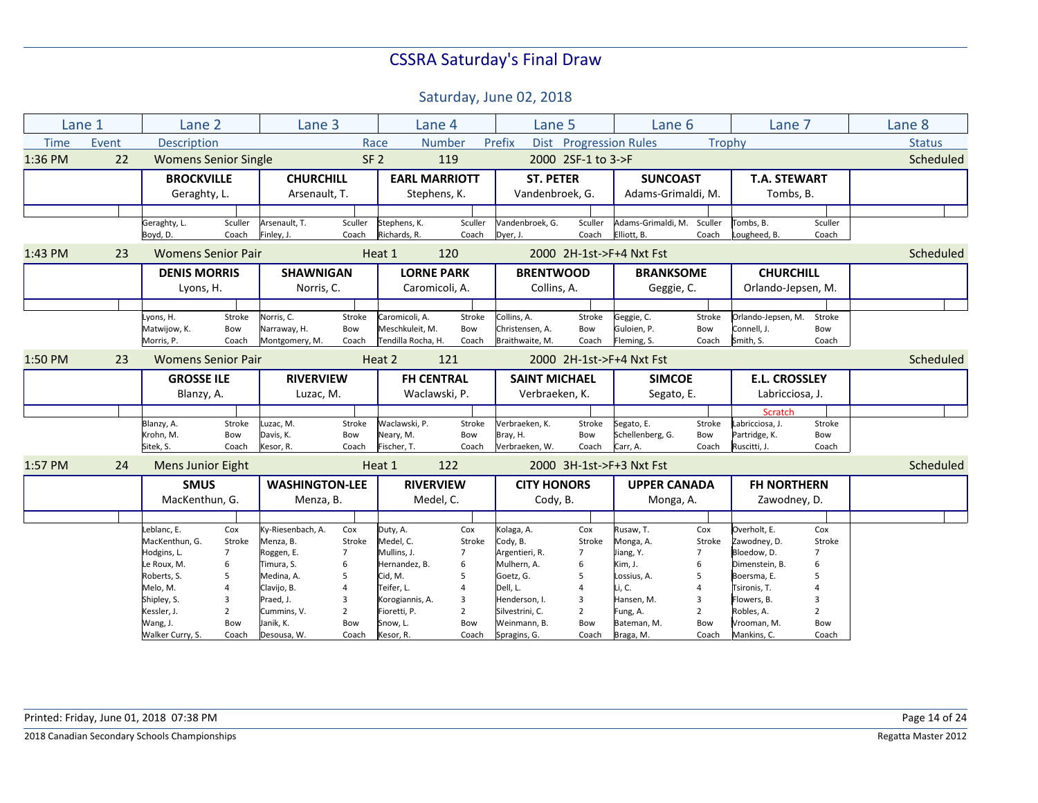|             | Lane 1 | Lane 2                      |                | Lane 3                         |                 |                                       | Lane 4         | Lane 5                             |                    |                            | Lane 6              | Lane 7                   |                | Lane <sub>8</sub> |
|-------------|--------|-----------------------------|----------------|--------------------------------|-----------------|---------------------------------------|----------------|------------------------------------|--------------------|----------------------------|---------------------|--------------------------|----------------|-------------------|
| <b>Time</b> | Event  | <b>Description</b>          |                |                                |                 | Race                                  | <b>Number</b>  | Prefix                             |                    | Dist Progression Rules     | Trophy              |                          |                | <b>Status</b>     |
| 1:36 PM     | 22     | <b>Womens Senior Single</b> |                |                                | SF <sub>2</sub> |                                       | 119            |                                    | 2000 2SF-1 to 3->F |                            |                     |                          |                | Scheduled         |
|             |        | <b>BROCKVILLE</b>           |                | <b>CHURCHILL</b>               |                 | <b>EARL MARRIOTT</b>                  |                | <b>ST. PETER</b>                   |                    | <b>SUNCOAST</b>            |                     | <b>T.A. STEWART</b>      |                |                   |
|             |        | Geraghty, L.                |                | Arsenault, T.                  |                 |                                       | Stephens, K.   | Vandenbroek, G.                    |                    |                            | Adams-Grimaldi, M.  | Tombs, B.                |                |                   |
|             |        |                             |                |                                |                 |                                       |                |                                    |                    |                            |                     |                          |                |                   |
|             |        | Geraghty, L.                | Sculler        | Arsenault, T.                  | Sculler         | Stephens, K.                          | Sculler        | Vandenbroek, G.                    | Sculler            | Adams-Grimaldi, M. Sculler |                     | Tombs, B.                | Sculler        |                   |
|             |        | Boyd, D.                    | Coach          | Finley, J.                     | Coach           | Richards, R.                          | Coach          | Dyer, J.                           | Coach              | Elliott, B.                | Coach               | Lougheed, B.             | Coach          |                   |
| 1:43 PM     | 23     | <b>Womens Senior Pair</b>   |                |                                |                 | Heat 1                                | 120            |                                    |                    | 2000 2H-1st->F+4 Nxt Fst   |                     |                          |                | Scheduled         |
|             |        | <b>DENIS MORRIS</b>         |                | <b>SHAWNIGAN</b>               |                 | <b>LORNE PARK</b>                     |                | <b>BRENTWOOD</b>                   |                    | <b>BRANKSOME</b>           |                     | <b>CHURCHILL</b>         |                |                   |
|             |        | Lyons, H.                   |                | Norris. C.                     |                 |                                       | Caromicoli, A. | Collins, A.                        |                    |                            | Geggie, C.          | Orlando-Jepsen, M.       |                |                   |
|             |        |                             |                |                                |                 |                                       |                |                                    |                    |                            |                     |                          |                |                   |
|             |        |                             |                |                                |                 |                                       |                |                                    |                    |                            |                     |                          |                |                   |
|             |        | Lyons, H.                   | Stroke         | Norris, C.                     | Stroke          | Caromicoli, A.                        | Stroke         | Collins, A.                        | Stroke             | Geggie, C.                 | Stroke              | Orlando-Jepsen, M.       | Stroke         |                   |
|             |        | Matwijow, K.<br>Morris, P.  | Bow<br>Coach   | Narraway, H.<br>Montgomery, M. | Bow<br>Coach    | Meschkuleit, M.<br>Tendilla Rocha, H. | Bow<br>Coach   | Christensen, A.<br>Braithwaite, M. | Bow<br>Coach       | Guloien, P.<br>Fleming, S. | Bow<br>Coach        | Connell, J.<br>Smith, S. | Bow<br>Coach   |                   |
|             |        |                             |                |                                |                 |                                       |                |                                    |                    |                            |                     |                          |                |                   |
| 1:50 PM     | 23     | <b>Womens Senior Pair</b>   |                |                                |                 | Heat 2                                | 121            |                                    |                    | 2000 2H-1st->F+4 Nxt Fst   |                     |                          |                | Scheduled         |
|             |        | <b>GROSSE ILE</b>           |                | <b>RIVERVIEW</b>               |                 | <b>FH CENTRAL</b>                     |                | <b>SAINT MICHAEL</b>               |                    |                            | <b>SIMCOE</b>       | <b>E.L. CROSSLEY</b>     |                |                   |
|             |        | Blanzy, A.                  |                | Luzac, M.                      |                 |                                       | Waclawski, P.  | Verbraeken, K.                     |                    |                            | Segato, E.          | Labricciosa, J.          |                |                   |
|             |        |                             |                |                                |                 |                                       |                |                                    |                    |                            |                     | Scratch                  |                |                   |
|             |        | Blanzy, A.                  | Stroke         | Luzac, M.                      | Stroke          | Waclawski, P.                         | Stroke         | Verbraeken, K.                     | Stroke             | Segato, E.                 | Stroke              | Labricciosa, J.          | Stroke         |                   |
|             |        | Krohn, M.                   | Bow            | Davis, K.                      | Bow             | Neary, M.                             | Bow            | Bray, H.                           | Bow                | Schellenberg, G.           | Bow                 | Partridge, K.            | Bow            |                   |
|             |        | Sitek, S.                   | Coach          | Kesor, R.                      | Coach           | Fischer, T.                           | Coach          | Verbraeken, W.                     | Coach              | Carr, A.                   | Coach               | Ruscitti, J.             | Coach          |                   |
| 1:57 PM     | 24     | <b>Mens Junior Eight</b>    |                |                                |                 | Heat 1                                | 122            |                                    |                    | 2000 3H-1st->F+3 Nxt Fst   |                     |                          |                | Scheduled         |
|             |        | <b>SMUS</b>                 |                | <b>WASHINGTON-LEE</b>          |                 | <b>RIVERVIEW</b>                      |                | <b>CITY HONORS</b>                 |                    |                            | <b>UPPER CANADA</b> | <b>FH NORTHERN</b>       |                |                   |
|             |        | MacKenthun, G.              |                | Menza, B.                      |                 |                                       | Medel, C.      | Cody, B.                           |                    |                            | Monga, A.           | Zawodney, D.             |                |                   |
|             |        |                             |                |                                |                 |                                       |                |                                    |                    |                            |                     |                          |                |                   |
|             |        | Leblanc, E.                 | Cox            | Ky-Riesenbach, A.              | Cox             | Duty, A.                              | Cox            | Kolaga, A.                         | Cox                | Rusaw, T.                  | Cox                 | Overholt, E.             | Cox            |                   |
|             |        | MacKenthun, G.              | Stroke         | Menza, B.                      | Stroke          | Medel, C.                             | Stroke         | Cody, B.                           | Stroke             | Monga, A.                  | Stroke              | Zawodney, D.             | Stroke         |                   |
|             |        | Hodgins, L.                 | $\overline{7}$ | Roggen, E.                     | $\overline{7}$  | Mullins, J.                           |                | Argentieri, R.                     | $\overline{7}$     | Jiang, Y.                  | $\overline{7}$      | Bloedow, D.              | $\overline{7}$ |                   |
|             |        | Le Roux, M.                 | 6              | Timura, S.                     | 6               | Hernandez, B.                         | 6              | Mulhern, A.                        | 6                  | Kim, J.                    | 6                   | Dimenstein, B.           | 6              |                   |
|             |        | Roberts, S.                 | 5              | Medina, A.                     | 5               | Cid, M.                               | 5              | Goetz, G.                          | 5                  | Lossius, A.                | 5                   | Boersma, E.              | 5              |                   |
|             |        | Melo, M.                    | 4              | Clavijo, B.                    | 4               | Teifer, L.                            |                | Dell, L.                           | $\overline{4}$     | Li, C.                     |                     | Tsironis, T.             | 4              |                   |
|             |        | Shipley, S.                 | 3              | Praed, J.                      | 3               | Korogiannis, A.                       | 3              | Henderson, I.                      | 3                  | Hansen, M.                 | 3                   | Flowers, B.              | 3              |                   |
|             |        | Kessler, J.                 | $\overline{2}$ | Cummins, V.                    | $\overline{2}$  | Fioretti, P.                          | $\overline{2}$ | Silvestrini. C.                    | $\overline{2}$     | Fung, A.                   | $\overline{2}$      | Robles, A.               | $\overline{2}$ |                   |
|             |        | Wang, J.                    | Bow            | Janik, K.                      | Bow             | Snow, L.                              | Bow            | Weinmann, B.                       | Bow                | Bateman, M.                | Bow                 | Vrooman, M.              | Bow            |                   |
|             |        | Walker Curry, S.            | Coach          | Desousa, W.                    | Coach           | Kesor, R.                             | Coach          | Spragins, G.                       | Coach              | Braga, M.                  | Coach               | Mankins, C.              | Coach          |                   |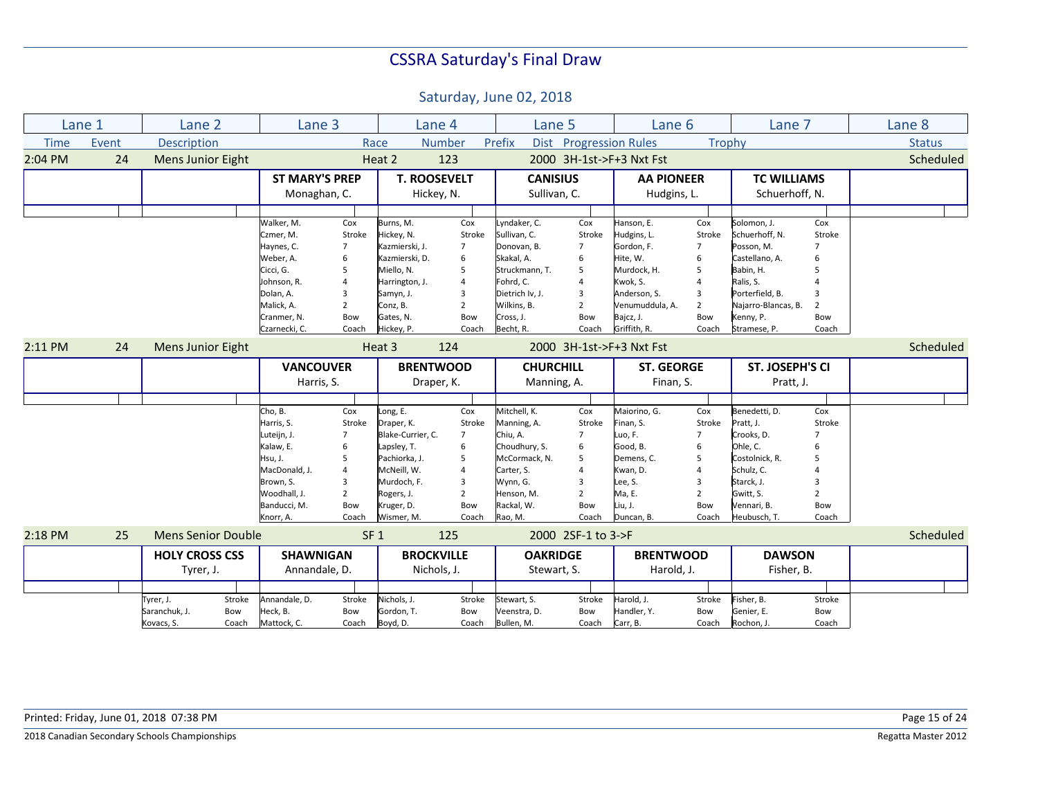|             | Lane 1 | Lane 2                    | Lane 3                |                         | Lane 4              |                | Lane 5           |                        | Lane 6                   |                | Lane 7              |                | Lane 8        |
|-------------|--------|---------------------------|-----------------------|-------------------------|---------------------|----------------|------------------|------------------------|--------------------------|----------------|---------------------|----------------|---------------|
| <b>Time</b> | Event  | <b>Description</b>        |                       |                         | Race                | <b>Number</b>  | Prefix           | Dist Progression Rules |                          | Trophy         |                     |                | <b>Status</b> |
| 2:04 PM     | 24     | <b>Mens Junior Eight</b>  |                       |                         | Heat 2              | 123            |                  |                        | 2000 3H-1st->F+3 Nxt Fst |                |                     |                | Scheduled     |
|             |        |                           | <b>ST MARY'S PREP</b> |                         | <b>T. ROOSEVELT</b> |                | <b>CANISIUS</b>  |                        | <b>AA PIONEER</b>        |                | <b>TC WILLIAMS</b>  |                |               |
|             |        |                           | Monaghan, C.          |                         | Hickey, N.          |                | Sullivan, C.     |                        | Hudgins, L.              |                | Schuerhoff, N.      |                |               |
|             |        |                           |                       |                         |                     |                |                  |                        |                          |                |                     |                |               |
|             |        |                           | Walker, M.            | Cox                     | Burns, M.           | Cox            | yndaker, C.      | Cox                    | Hanson, E.               | Cox            | Solomon, J.         | Cox            |               |
|             |        |                           | Czmer, M.             | Stroke                  | Hickey, N.          | Stroke         | Sullivan, C.     | Stroke                 | Hudgins, L.              | Stroke         | Schuerhoff, N.      | Stroke         |               |
|             |        |                           | Haynes, C.            | $\overline{7}$          | Kazmierski, J.      | $\overline{7}$ | Donovan, B.      | $\overline{7}$         | Gordon, F.               | $\overline{7}$ | Posson, M.          | $\overline{7}$ |               |
|             |        |                           | Weber, A.             | 6                       | Kazmierski, D.      | 6              | Skakal, A.       | 6                      | Hite, W.                 | 6              | Castellano, A.      | 6              |               |
|             |        |                           | Cicci, G.             | 5                       | Miello, N.          | 5              | Struckmann, T.   | 5                      | Murdock, H.              | 5              | Babin, H.           | 5              |               |
|             |        |                           | Johnson, R.           | $\overline{\mathbf{A}}$ | Harrington, J.      | $\overline{a}$ | Fohrd, C.        | $\overline{4}$         | Kwok, S.                 |                | Ralis, S.           |                |               |
|             |        |                           | Dolan, A.             | 3                       | Samyn, J.           | 3              | Dietrich Iv, J.  | 3                      | Anderson, S.             | 3              | Porterfield, B.     |                |               |
|             |        |                           | Malick, A.            | $\overline{2}$          | Conz, B.            | $\overline{2}$ | Wilkins, B.      | $\overline{2}$         | Venumuddula, A.          | $\overline{2}$ | Najarro-Blancas, B. |                |               |
|             |        |                           | Cranmer, N.           | Bow                     | Gates, N.           | Bow            | Cross, J.        | Bow                    | Bajcz, J.                | Bow            | Kenny, P.           | Bow            |               |
|             |        |                           | Czarnecki, C.         | Coach                   | Hickey, P.          | Coach          | Becht, R.        | Coach                  | Griffith, R.             | Coach          | Stramese, P.        | Coach          |               |
| $2:11$ PM   | 24     | <b>Mens Junior Eight</b>  |                       |                         | Heat 3              | 124            |                  |                        | 2000 3H-1st->F+3 Nxt Fst |                |                     |                | Scheduled     |
|             |        |                           | <b>VANCOUVER</b>      |                         | <b>BRENTWOOD</b>    |                | <b>CHURCHILL</b> |                        | <b>ST. GEORGE</b>        |                | ST. JOSEPH'S CI     |                |               |
|             |        |                           | Harris, S.            |                         | Draper, K.          |                | Manning, A.      |                        | Finan, S.                |                | Pratt, J.           |                |               |
|             |        |                           |                       |                         |                     |                |                  |                        |                          |                |                     |                |               |
|             |        |                           | Cho, B.               | Cox                     | Long, E.            | Cox            | Mitchell, K.     | Cox                    | Maiorino, G.             | Cox            | Benedetti, D.       | Cox            |               |
|             |        |                           | Harris, S.            | Stroke                  | Draper, K.          | Stroke         | Manning, A.      | Stroke                 | Finan, S.                | Stroke         | Pratt, J.           | Stroke         |               |
|             |        |                           | Luteijn, J.           | 7                       | Blake-Currier, C.   | $\overline{7}$ | Chiu, A.         | $\overline{7}$         | Luo, F.                  | $\overline{7}$ | Crooks, D.          | $\overline{7}$ |               |
|             |        |                           | Kalaw, E.             | 6                       | Lapsley, T.         | 6              | Choudhury, S.    | 6                      | Good, B.                 | 6              | Ohle, C.            | 6              |               |
|             |        |                           | Hsu, J.               | 5                       | Pachiorka, J.       | 5              | McCormack, N.    | 5                      | Demens, C.               | 5              | Costolnick, R.      | 5              |               |
|             |        |                           | MacDonald, J.         | $\overline{a}$          | McNeill, W.         | $\overline{4}$ | Carter, S.       | $\overline{4}$         | Kwan, D.                 |                | Schulz, C.          |                |               |
|             |        |                           | Brown. S.             | 3                       | Murdoch. F.         | 3              | Wynn, G.         | 3                      | Lee, S.                  | 3              | Starck, J.          | 3              |               |
|             |        |                           | Woodhall, J.          | $\overline{2}$          | Rogers, J.          | $\overline{2}$ | Henson, M.       | $\overline{2}$         | Ma, E.                   | $\overline{2}$ | Gwitt, S.           | $\overline{2}$ |               |
|             |        |                           | Banducci, M.          | Bow                     | Kruger, D.          | Bow            | Rackal, W.       | Bow                    | Liu, J.                  | Bow            | Vennari, B.         | Bow            |               |
|             |        |                           | Knorr, A.             | Coach                   | Wismer, M.          | Coach          | Rao, M.          | Coach                  | Duncan, B.               | Coach          | Heubusch, T.        | Coach          |               |
| 2:18 PM     | 25     | <b>Mens Senior Double</b> |                       | SF <sub>1</sub>         |                     | 125            |                  | 2000 2SF-1 to 3->F     |                          |                |                     |                | Scheduled     |
|             |        | <b>HOLY CROSS CSS</b>     | <b>SHAWNIGAN</b>      |                         | <b>BROCKVILLE</b>   |                | <b>OAKRIDGE</b>  |                        | <b>BRENTWOOD</b>         |                | <b>DAWSON</b>       |                |               |
|             |        | Tyrer, J.                 | Annandale, D.         |                         | Nichols, J.         |                | Stewart, S.      |                        | Harold, J.               |                | Fisher, B.          |                |               |
|             |        |                           |                       |                         |                     |                |                  |                        |                          |                |                     |                |               |
|             |        | Stroke<br>Tyrer, J.       | Annandale, D.         | Stroke                  | Nichols, J.         | Stroke         | Stewart, S.      | Stroke                 | Harold, J.               | Stroke         | Fisher, B.          | Stroke         |               |
|             |        | Saranchuk, J.<br>Bow      | Heck, B.              | Bow                     | Gordon, T.          | Bow            | Veenstra, D.     | Bow                    | Handler, Y.              | Bow            | Genier, E.          | Bow            |               |
|             |        | Kovacs, S.<br>Coach       | Mattock, C.           | Coach                   | Boyd, D.            | Coach          | Bullen, M.       | Coach                  | Carr, B.                 | Coach          | Rochon, J.          | Coach          |               |
|             |        |                           |                       |                         |                     |                |                  |                        |                          |                |                     |                |               |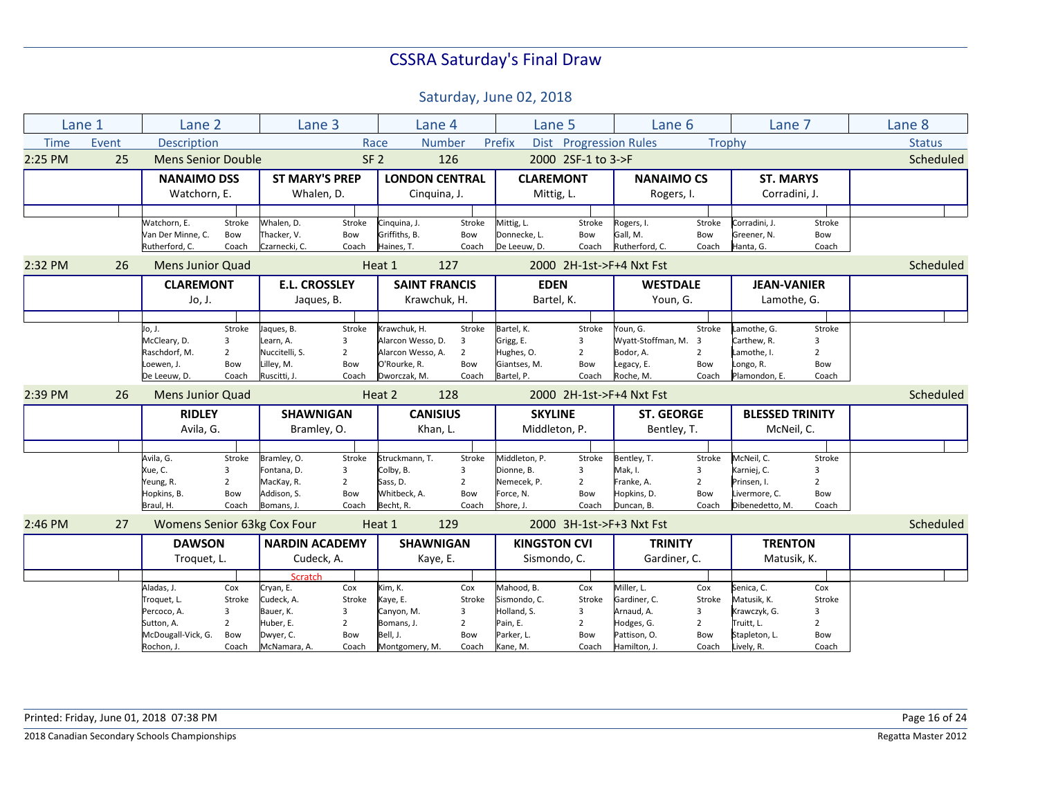|             | Lane 1 | Lane 2                      |                | Lane 3                |                | Lane 4                |                | Lane 5                |                          | Lane 6                   |                | Lane 7                 |                | Lane 8        |
|-------------|--------|-----------------------------|----------------|-----------------------|----------------|-----------------------|----------------|-----------------------|--------------------------|--------------------------|----------------|------------------------|----------------|---------------|
| <b>Time</b> | Event  | Description                 |                |                       |                | Race                  | <b>Number</b>  | Prefix<br><b>Dist</b> | <b>Progression Rules</b> |                          | Trophy         |                        |                | <b>Status</b> |
| 2:25 PM     | 25     | <b>Mens Senior Double</b>   |                |                       |                | SF <sub>2</sub>       | 126            |                       | 2000 2SF-1 to 3->F       |                          |                |                        |                | Scheduled     |
|             |        | <b>NANAIMO DSS</b>          |                | <b>ST MARY'S PREP</b> |                | <b>LONDON CENTRAL</b> |                | <b>CLAREMONT</b>      |                          | <b>NANAIMO CS</b>        |                | <b>ST. MARYS</b>       |                |               |
|             |        | Watchorn, E.                |                | Whalen, D.            |                | Cinquina, J.          |                | Mittig, L.            |                          | Rogers, I.               |                | Corradini. J.          |                |               |
|             |        |                             |                |                       |                |                       |                |                       |                          |                          |                |                        |                |               |
|             |        | Watchorn. E.                | Stroke         | Whalen. D.            | Stroke         | Cinguina. J.          | Stroke         | Mittig, L.            | Stroke                   | Rogers, I.               | Stroke         | Corradini. J.          | Stroke         |               |
|             |        | Van Der Minne, C.           | Bow            | Thacker. V.           | Bow            | Griffiths. B.         | Bow            | Donnecke, L.          | Bow                      | Gall, M.                 | Bow            | Greener, N.            | Bow            |               |
|             |        | Rutherford, C.              | Coach          | Czarnecki, C.         | Coach          | Haines, T.            | Coach          | De Leeuw, D.          | Coach                    | Rutherford, C.           | Coach          | Hanta, G.              | Coach          |               |
| 2:32 PM     | 26     | <b>Mens Junior Quad</b>     |                |                       |                | Heat 1                | 127            |                       |                          | 2000 2H-1st->F+4 Nxt Fst |                |                        |                | Scheduled     |
|             |        | <b>CLAREMONT</b>            |                | <b>E.L. CROSSLEY</b>  |                | <b>SAINT FRANCIS</b>  |                | <b>EDEN</b>           |                          | <b>WESTDALE</b>          |                | <b>JEAN-VANIER</b>     |                |               |
|             |        | Jo, J.                      |                | Jaques, B.            |                | Krawchuk. H.          |                | Bartel, K.            |                          | Youn, G.                 |                | Lamothe, G.            |                |               |
|             |        |                             |                |                       |                |                       |                |                       |                          |                          |                |                        |                |               |
|             |        | Jo, J.                      | Stroke         | Jaques, B.            | Stroke         | Krawchuk, H.          | Stroke         | Bartel, K.            | Stroke                   | Youn, G.                 | Stroke         | Lamothe, G.            | Stroke         |               |
|             |        | McCleary, D.                | 3              | Learn, A.             | 3              | Alarcon Wesso, D.     | 3              | Grigg, E.             | 3                        | Wyatt-Stoffman, M.       | 3              | Carthew, R.            | $\overline{3}$ |               |
|             |        | Raschdorf, M.               | $\overline{2}$ | Nuccitelli, S.        | $\overline{2}$ | Alarcon Wesso, A.     | $\overline{2}$ | Hughes, O.            | $\overline{2}$           | Bodor, A.                | $\overline{2}$ | Lamothe, I.            | $\overline{2}$ |               |
|             |        | Loewen, J.                  | Bow            | Lilley, M.            | Bow            | O'Rourke, R.          | Bow            | Giantses, M.          | Bow                      | Legacy, E.               | Bow            | Longo, R.              | Bow            |               |
|             |        | De Leeuw, D.                | Coach          | Ruscitti, J.          | Coach          | Dworczak, M.          | Coach          | Bartel, P.            | Coach                    | Roche, M.                | Coach          | Plamondon, E.          | Coach          |               |
| 2:39 PM     | 26     | <b>Mens Junior Quad</b>     |                |                       |                | Heat 2                | 128            |                       |                          | 2000 2H-1st->F+4 Nxt Fst |                |                        |                | Scheduled     |
|             |        | <b>RIDLEY</b>               |                | <b>SHAWNIGAN</b>      |                | <b>CANISIUS</b>       |                | <b>SKYLINE</b>        |                          | <b>ST. GEORGE</b>        |                | <b>BLESSED TRINITY</b> |                |               |
|             |        |                             |                |                       |                |                       |                |                       |                          |                          |                |                        |                |               |
|             |        | Avila, G.                   |                | Bramley, O.           |                | Khan, L.              |                | Middleton, P.         |                          | Bentley, T.              |                | McNeil, C.             |                |               |
|             |        |                             |                |                       |                |                       |                |                       |                          |                          |                |                        |                |               |
|             |        | Avila, G.                   | Stroke         | Bramley, O.           | Stroke         | Struckmann, T.        | Stroke         | Middleton, P.         | Stroke                   | Bentley, T.              | Stroke         | McNeil, C.             | Stroke         |               |
|             |        | Xue, C.                     | $\overline{3}$ | Fontana, D.           | 3              | Colby, B.             | 3              | Dionne, B.            | 3                        | Mak, I.                  | 3              | Karniej, C.            | $\overline{3}$ |               |
|             |        | Yeung, R.                   | $\overline{2}$ | MacKay, R.            | $\overline{2}$ | Sass, D.              | $\overline{2}$ | Nemecek, P.           | $\overline{2}$           | Franke, A.               | $\overline{2}$ | Prinsen, I.            | $\overline{2}$ |               |
|             |        | Hopkins, B.                 | Bow            | Addison, S.           | Bow            | Whitbeck, A.          | Bow            | Force, N.             | Bow                      | Hopkins, D.              | Bow            | Livermore, C.          | Bow            |               |
|             |        | Braul, H.                   | Coach          | Bomans, J.            | Coach          | Becht, R.             | Coach          | Shore, J.             | Coach                    | Duncan, B.               | Coach          | Dibenedetto, M.        | Coach          |               |
| $2:46$ PM   | 27     | Womens Senior 63kg Cox Four |                |                       |                | Heat 1                | 129            |                       |                          | 2000 3H-1st->F+3 Nxt Fst |                |                        |                | Scheduled     |
|             |        | <b>DAWSON</b>               |                | <b>NARDIN ACADEMY</b> |                | <b>SHAWNIGAN</b>      |                | <b>KINGSTON CVI</b>   |                          | <b>TRINITY</b>           |                | <b>TRENTON</b>         |                |               |
|             |        | Troquet, L.                 |                | Cudeck, A.            |                | Kaye, E.              |                | Sismondo, C.          |                          | Gardiner, C.             |                | Matusik, K.            |                |               |
|             |        |                             |                | <b>Scratch</b>        |                |                       |                |                       |                          |                          |                |                        |                |               |
|             |        | Aladas, J.                  | Cox            | Cryan, E.             | Cox            | Kim, K.               | Cox            | Mahood, B.            | Cox                      | Miller, L.               | Cox            | Senica, C.             | Cox            |               |
|             |        | Troquet, L.                 | Stroke         | Cudeck. A.            | Stroke         | Kaye, E.              | Stroke         | Sismondo, C.          | Stroke                   | Gardiner, C.             | Stroke         | Matusik, K.            | Stroke         |               |
|             |        | Percoco, A.                 | 3              | Bauer, K.             | 3              | Canyon, M.            | 3              | Holland, S.           | 3                        | Arnaud, A.               | 3              | Krawczyk, G.           | $\overline{3}$ |               |
|             |        | Sutton, A.                  | $\overline{2}$ | Huber, E.             | $\overline{2}$ | Bomans, J.            | $\overline{2}$ | Pain, E.              | $\overline{2}$           | Hodges, G.               | $\overline{2}$ | Truitt, L.             | $\overline{2}$ |               |
|             |        | McDougall-Vick, G.          | Bow            | Dwyer, C.             | Bow            | Bell, J.              | Bow            | Parker, L.            | Bow                      | Pattison, O.             | Bow            | Stapleton, L.          | Bow            |               |
|             |        | Rochon, J.                  | Coach          | McNamara, A.          | Coach          | Montgomery, M.        | Coach          | Kane, M.              | Coach                    | Hamilton, J.             | Coach          | Lively, R.             | Coach          |               |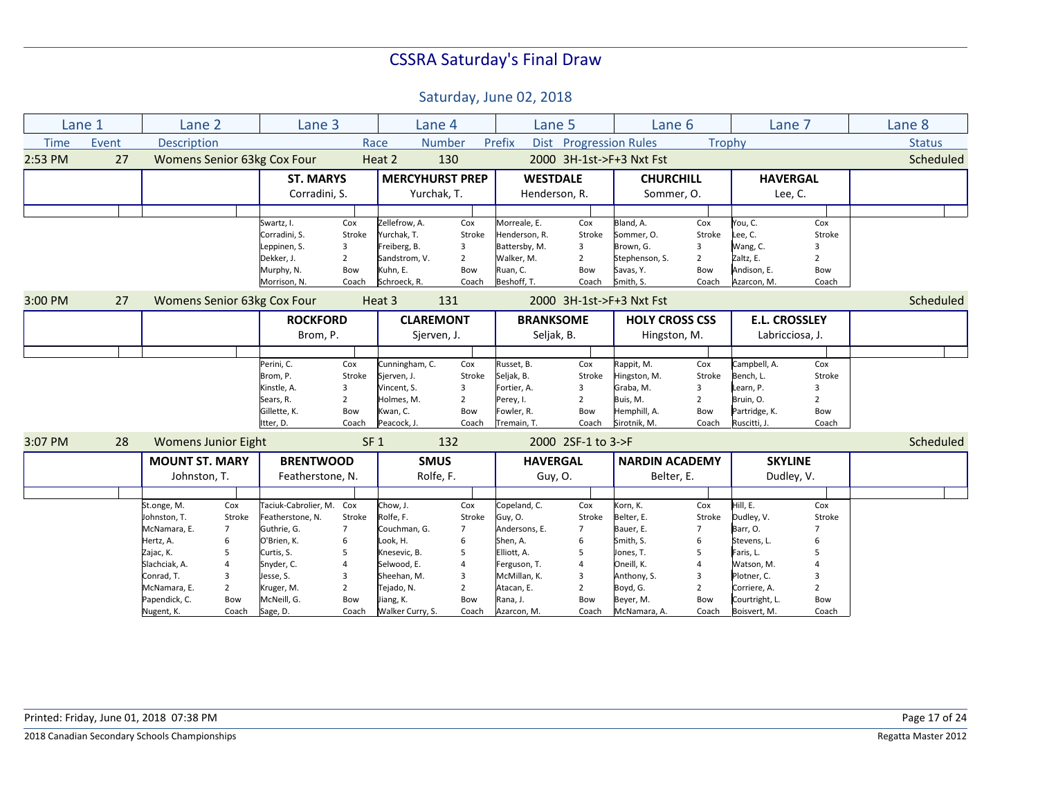|             | Lane 1 | Lane 2                     |                | Lane 3                      |                 |                        | Lane 4         | Lane 5           |                               | Lane 6                   |                |                | Lane 7               | Lane 8        |
|-------------|--------|----------------------------|----------------|-----------------------------|-----------------|------------------------|----------------|------------------|-------------------------------|--------------------------|----------------|----------------|----------------------|---------------|
| <b>Time</b> | Event  | Description                |                |                             |                 | Race                   | Number         | Prefix           | <b>Dist</b> Progression Rules |                          |                | Trophy         |                      | <b>Status</b> |
| 2:53 PM     | 27     |                            |                | Womens Senior 63kg Cox Four |                 | Heat 2                 | 130            |                  |                               | 2000 3H-1st->F+3 Nxt Fst |                |                |                      | Scheduled     |
|             |        |                            |                | <b>ST. MARYS</b>            |                 | <b>MERCYHURST PREP</b> |                | <b>WESTDALE</b>  |                               | <b>CHURCHILL</b>         |                |                | <b>HAVERGAL</b>      |               |
|             |        |                            |                | Corradini, S.               |                 | Yurchak, T.            |                | Henderson, R.    |                               | Sommer, O.               |                |                | Lee, C.              |               |
|             |        |                            |                |                             |                 |                        |                |                  |                               |                          |                |                |                      |               |
|             |        |                            |                | Swartz, I.                  | Cox             | Zellefrow, A.          | Cox            | Morreale, E.     | Cox                           | Bland, A.                | Cox            | You, C.        | Cox                  |               |
|             |        |                            |                | Corradini, S.               | Stroke          | Yurchak, T.            | Stroke         | Henderson, R.    | Stroke                        | Sommer, O.               | Stroke         | Lee, C.        | Stroke               |               |
|             |        |                            |                | Leppinen, S.                | 3               | Freiberg, B.           | 3              | Battersby, M.    | 3                             | Brown, G.                | 3              | Wang, C.       |                      |               |
|             |        |                            |                | Dekker, J.                  | $\overline{2}$  | Sandstrom, V.          | $\overline{2}$ | Walker, M.       | $\overline{2}$                | Stephenson, S.           | $\overline{2}$ | Zaltz, E.      | $\overline{2}$       |               |
|             |        |                            |                | Murphy, N.                  | Bow             | Kuhn. E.               | Bow            | Ruan, C.         | Bow                           | Savas, Y.                | Bow            | Andison, E.    | Bow                  |               |
|             |        |                            |                | Morrison, N.                | Coach           | Schroeck, R.           | Coach          | Beshoff, T.      | Coach                         | Smith, S.                | Coach          | Azarcon, M.    | Coach                |               |
| 3:00 PM     | 27     |                            |                | Womens Senior 63kg Cox Four |                 | Heat 3                 | 131            |                  |                               | 2000 3H-1st->F+3 Nxt Fst |                |                |                      | Scheduled     |
|             |        |                            |                | <b>ROCKFORD</b>             |                 | <b>CLAREMONT</b>       |                | <b>BRANKSOME</b> |                               | <b>HOLY CROSS CSS</b>    |                |                | <b>E.L. CROSSLEY</b> |               |
|             |        |                            |                | Brom, P.                    |                 |                        | Sjerven, J.    | Seljak, B.       |                               | Hingston, M.             |                |                | Labricciosa, J.      |               |
|             |        |                            |                |                             |                 |                        |                |                  |                               |                          |                |                |                      |               |
|             |        |                            |                | Perini, C.                  | Cox             | Cunningham, C.         | Cox            | Russet, B.       | Cox                           | Rappit, M.               | Cox            | Campbell, A.   | Cox                  |               |
|             |        |                            |                | Brom, P.                    | Stroke          | Sierven, J.            | Stroke         | Seljak, B.       | Stroke                        | Hingston, M.             | Stroke         | Bench, L.      | Stroke               |               |
|             |        |                            |                | Kinstle, A.                 | 3               | Vincent, S.            | 3              | Fortier, A.      | 3                             | Graba, M.                | 3              | Learn, P.      | 3                    |               |
|             |        |                            |                | Sears, R.                   | $\overline{2}$  | Holmes, M.             | $\overline{2}$ | Perey, I.        | $\overline{2}$                | Buis, M.                 | $\overline{2}$ | Bruin, O.      | $\overline{2}$       |               |
|             |        |                            |                | Gillette, K.                | Bow             | Kwan, C.               | Bow            | Fowler, R.       | Bow                           | Hemphill, A.             | Bow            | Partridge, K.  | Bow                  |               |
|             |        |                            |                | Itter, D.                   | Coach           | Peacock, J.            | Coach          | Tremain, T.      | Coach                         | Sirotnik, M.             | Coach          | Ruscitti, J.   | Coach                |               |
| 3:07 PM     | 28     | <b>Womens Junior Eight</b> |                |                             | SF <sub>1</sub> |                        | 132            |                  | 2000 2SF-1 to 3->F            |                          |                |                |                      | Scheduled     |
|             |        | <b>MOUNT ST. MARY</b>      |                | <b>BRENTWOOD</b>            |                 | <b>SMUS</b>            |                | <b>HAVERGAL</b>  |                               | <b>NARDIN ACADEMY</b>    |                |                | <b>SKYLINE</b>       |               |
|             |        |                            |                |                             |                 |                        |                |                  |                               |                          |                |                |                      |               |
|             |        | Johnston, T.               |                | Featherstone, N.            |                 |                        | Rolfe, F.      | Guy, O.          |                               | Belter, E.               |                |                | Dudley, V.           |               |
|             |        |                            |                |                             |                 |                        |                |                  |                               |                          |                |                |                      |               |
|             |        | St.onge, M.                | Cox            | Taciuk-Cabrolier, M. Cox    |                 | Chow, J.               | Cox            | Copeland, C.     | Cox                           | Korn, K.                 | Cox            | Hill, E.       | Cox                  |               |
|             |        | Johnston, T.               | Stroke         | Featherstone, N.            | Stroke          | Rolfe, F.              | Stroke         | Guy, O.          | Stroke                        | Belter, E.               | Stroke         | Dudley, V.     | Stroke               |               |
|             |        | McNamara, E.               | $\overline{7}$ | Guthrie, G.                 | $\overline{7}$  | Couchman, G.           | $\overline{7}$ | Andersons, E.    | $\overline{7}$                | Bauer, E.                | $\overline{7}$ | Barr, O.       | $\overline{7}$       |               |
|             |        | Hertz, A.                  | 6              | O'Brien, K.                 | 6               | Look, H.               | 6              | Shen, A.         | 6                             | Smith, S.                | 6              | Stevens, L.    | 6                    |               |
|             |        | Zajac, K.                  | 5              | Curtis, S.                  | 5               | Knesevic, B.           | 5              | Elliott, A.      | 5                             | Jones, T.                | 5              | Faris, L.      |                      |               |
|             |        | Slachciak, A.              | 4              | Snyder, C.                  |                 | Selwood, E.            | $\overline{4}$ | Ferguson, T.     | $\overline{4}$                | Oneill, K.               | $\overline{4}$ | Watson, M.     |                      |               |
|             |        | Conrad, T.                 | 3              | Jesse, S.                   | $\overline{3}$  | Sheehan, M.            | 3              | McMillan, K.     | $\overline{3}$                | Anthony, S.              | 3              | Plotner, C.    | 3                    |               |
|             |        | McNamara, E.               | $\overline{2}$ | Kruger, M.                  | $\overline{2}$  | Tejado, N.             | $\overline{2}$ | Atacan, E.       | $\overline{2}$                | Boyd, G.                 | $\overline{2}$ | Corriere, A.   | $\overline{2}$       |               |
|             |        | Papendick, C.              | <b>Bow</b>     | McNeill, G.                 | Bow             | Jiang, K.              | Bow            | Rana, J.         | Bow                           | Beyer, M.                | Bow            | Courtright, L. | Bow                  |               |
|             |        | Nugent, K.                 | Coach          | Sage, D.                    | Coach           | Walker Curry, S.       | Coach          | Azarcon, M.      | Coach                         | McNamara, A.             | Coach          | Boisvert, M.   | Coach                |               |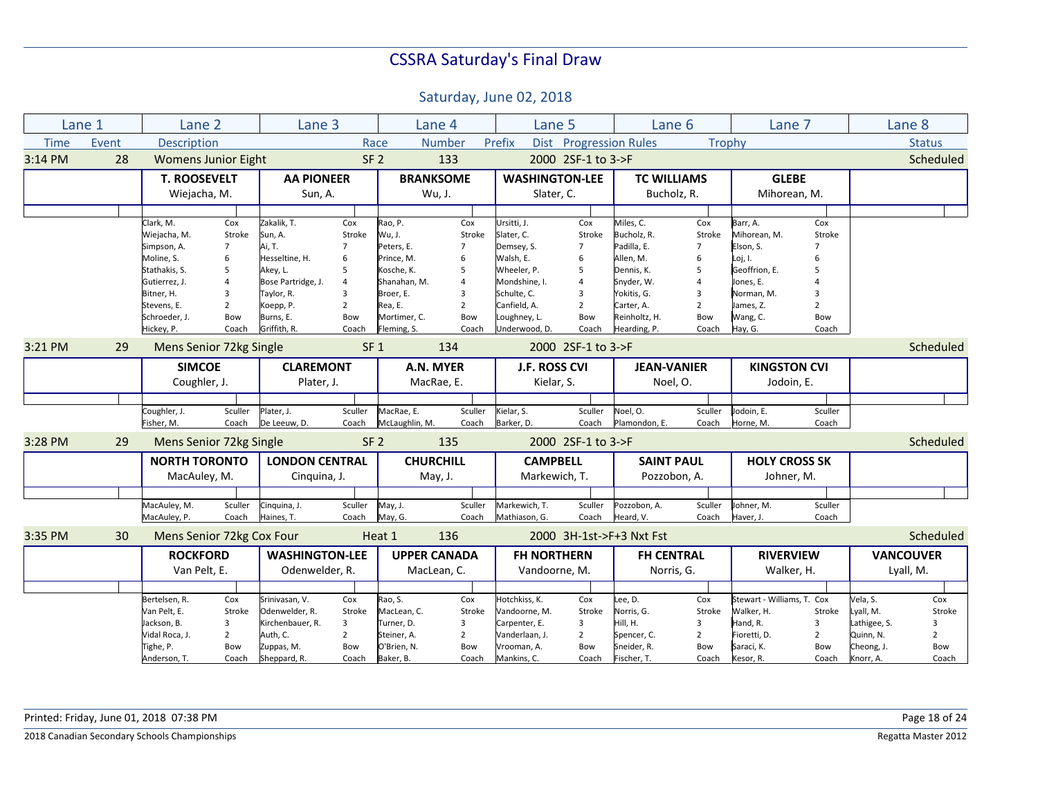Saturday, June 02, 2018

|             | Lane 1 | Lane 2                      |                | Lane 3                    |                 |                             | Lane 4              | Lane 5                        |                        | Lane 6                        |                | Lane 7                     |                | Lane 8           |                |
|-------------|--------|-----------------------------|----------------|---------------------------|-----------------|-----------------------------|---------------------|-------------------------------|------------------------|-------------------------------|----------------|----------------------------|----------------|------------------|----------------|
| <b>Time</b> | Event  | <b>Description</b>          |                |                           | Race            |                             | <b>Number</b>       | Prefix                        | Dist Progression Rules |                               | Trophy         |                            |                |                  | <b>Status</b>  |
| 3:14 PM     | 28     | <b>Womens Junior Eight</b>  |                |                           | SF <sub>2</sub> |                             | 133                 |                               | 2000 2SF-1 to 3->F     |                               |                |                            |                |                  | Scheduled      |
|             |        | <b>T. ROOSEVELT</b>         |                | <b>AA PIONEER</b>         |                 |                             | <b>BRANKSOME</b>    | <b>WASHINGTON-LEE</b>         |                        | <b>TC WILLIAMS</b>            |                | <b>GLEBE</b>               |                |                  |                |
|             |        | Wiejacha, M.                |                | Sun, A.                   |                 |                             | Wu, J.              | Slater, C.                    |                        | Bucholz, R.                   |                | Mihorean, M.               |                |                  |                |
|             |        |                             |                |                           |                 |                             |                     |                               |                        |                               |                |                            |                |                  |                |
|             |        | Clark, M.                   | Cox            | Zakalik. T.               | Cox             | Rao, P.                     | Cox                 | Ursitti, J.                   | Cox                    | Miles, C.                     | Cox            | Barr, A.                   | Cox            |                  |                |
|             |        | Wiejacha, M.                | Stroke         | Sun, A.                   | Stroke          | Wu, J.                      | Stroke              | Slater, C.                    | Stroke                 | Bucholz, R.                   | Stroke         | Mihorean. M.               | Stroke         |                  |                |
|             |        | Simpson, A.                 | $\overline{7}$ | Ai, T.                    | $\overline{7}$  | Peters, E.                  | $\overline{7}$      | Demsey, S.                    | $\overline{7}$         | Padilla, E.                   | $\overline{7}$ | Elson, S.                  | $\overline{7}$ |                  |                |
|             |        | Moline, S.                  | 6              | Hesseltine, H.            | 6               | Prince, M.                  | 6                   | Walsh, E.                     | 6                      | Allen, M.                     | 6              | Loj, I.                    | 6              |                  |                |
|             |        | Stathakis, S.               | 5              | Akey, L.                  | 5               | Kosche, K.                  | 5                   | Wheeler, P.                   | 5                      | Dennis, K.                    | 5              | Geoffrion, E.              | 5              |                  |                |
|             |        | Gutierrez, J.               | $\overline{4}$ | Bose Partridge, J.        | $\overline{4}$  | Shanahan, M.                | $\overline{a}$      | Mondshine, I.                 | $\overline{4}$         | Snyder, W.                    | 4              | Jones, E.                  |                |                  |                |
|             |        | Bitner, H.                  | 3              | Taylor, R.                | 3               | Broer, E.                   | 3                   | Schulte, C.                   | 3                      | Yokitis, G.                   | 3              | Norman, M.                 | $\overline{3}$ |                  |                |
|             |        | Stevens, E.                 | $\overline{2}$ | Koepp, P.                 | $\overline{2}$  | Rea, E.                     | $\overline{2}$      | Canfield, A.                  | $\overline{2}$         | Carter, A.                    | $\overline{2}$ | James, Z.                  | $\mathcal{P}$  |                  |                |
|             |        | Schroeder, J.<br>Hickey, P. | Bow<br>Coach   | Burns, E.<br>Griffith, R. | Bow<br>Coach    | Mortimer, C.<br>Fleming, S. | Bow<br>Coach        | Loughney, L.<br>Underwood, D. | Bow<br>Coach           | Reinholtz, H.<br>Hearding, P. | Bow<br>Coach   | Wang, C.<br>Hay, G.        | Bow<br>Coach   |                  |                |
|             |        |                             |                |                           |                 |                             |                     |                               |                        |                               |                |                            |                |                  |                |
| 3:21 PM     | 29     | Mens Senior 72kg Single     |                |                           | SF <sub>1</sub> |                             | 134                 |                               | 2000 2SF-1 to 3->F     |                               |                |                            |                |                  | Scheduled      |
|             |        | <b>SIMCOE</b>               |                | <b>CLAREMONT</b>          |                 |                             | A.N. MYER           | J.F. ROSS CVI                 |                        | <b>JEAN-VANIER</b>            |                | <b>KINGSTON CVI</b>        |                |                  |                |
|             |        | Coughler, J.                |                | Plater, J.                |                 |                             | MacRae, E.          | Kielar, S.                    |                        | Noel, O.                      |                | Jodoin, E.                 |                |                  |                |
|             |        |                             |                |                           |                 |                             |                     |                               |                        |                               |                |                            |                |                  |                |
|             |        | Coughler, J.                | Sculler        | Plater, J.                | Sculler         | MacRae, E.                  | Sculler             | Kielar, S.                    | Sculler                | Noel, O.                      | Sculler        | Jodoin, E.                 | Sculler        |                  |                |
|             |        | Fisher, M.                  | Coach          | De Leeuw, D.              | Coach           | McLaughlin, M.              | Coach               | Barker, D.                    | Coach                  | Plamondon, E.                 | Coach          | Horne, M.                  | Coach          |                  |                |
| 3:28 PM     | 29     | Mens Senior 72kg Single     |                |                           | SF <sub>2</sub> |                             | 135                 |                               | 2000 2SF-1 to 3->F     |                               |                |                            |                |                  | Scheduled      |
|             |        | <b>NORTH TORONTO</b>        |                | <b>LONDON CENTRAL</b>     |                 |                             | <b>CHURCHILL</b>    | <b>CAMPBELL</b>               |                        | <b>SAINT PAUL</b>             |                | <b>HOLY CROSS SK</b>       |                |                  |                |
|             |        | MacAuley, M.                |                | Cinquina, J.              |                 |                             | May, J.             | Markewich, T.                 |                        | Pozzobon, A.                  |                | Johner, M.                 |                |                  |                |
|             |        |                             |                |                           |                 |                             |                     |                               |                        |                               |                |                            |                |                  |                |
|             |        | MacAuley, M.                | Sculler        | Cinguina, J.              | Sculler         | May, J.                     | Sculler             | Markewich, T.                 | Sculler                | Pozzobon, A.                  | Sculler        | Johner, M.                 | Sculler        |                  |                |
|             |        | MacAuley, P.                | Coach          | Haines, T.                | Coach           | May, G.                     | Coach               | Mathiason, G.                 | Coach                  | Heard, V.                     | Coach          | Haver, J.                  | Coach          |                  |                |
| 3:35 PM     | 30     | Mens Senior 72kg Cox Four   |                |                           |                 | Heat 1                      | 136                 |                               |                        | 2000 3H-1st->F+3 Nxt Fst      |                |                            |                |                  | Scheduled      |
|             |        | <b>ROCKFORD</b>             |                | <b>WASHINGTON-LEE</b>     |                 |                             | <b>UPPER CANADA</b> | <b>FH NORTHERN</b>            |                        | <b>FH CENTRAL</b>             |                | <b>RIVERVIEW</b>           |                | <b>VANCOUVER</b> |                |
|             |        | Van Pelt, E.                |                | Odenwelder, R.            |                 |                             | MacLean, C.         | Vandoorne, M.                 |                        | Norris, G.                    |                | Walker, H.                 |                | Lyall, M.        |                |
|             |        |                             |                |                           |                 |                             |                     |                               |                        |                               |                |                            |                |                  |                |
|             |        | Bertelsen, R.               | Cox            | Srinivasan, V.            | Cox             | Rao, S.                     | Cox                 | Hotchkiss, K.                 | Cox                    | Lee, D.                       | Cox            | Stewart - Williams, T. Cox |                | Vela, S.         | Cox            |
|             |        | Van Pelt, E.                | Stroke         | Odenwelder, R.            | Stroke          | MacLean, C.                 | Stroke              | Vandoorne, M.                 | Stroke                 | Norris, G.                    | Stroke         | Walker, H.                 | Stroke         | Lyall, M.        | Stroke         |
|             |        | Jackson, B.                 | 3              | Kirchenbauer, R.          | 3               | Turner, D.                  | 3                   | Carpenter, E.                 | 3                      | Hill, H.                      | 3              | Hand, R.                   | 3              | Lathigee, S.     | 3              |
|             |        | Vidal Roca, J.              | $\overline{2}$ | Auth, C.                  | $\overline{2}$  | Steiner, A.                 | $\overline{2}$      | Vanderlaan, J.                | $\overline{2}$         | Spencer, C.                   | $\overline{2}$ | Fioretti, D.               | $\overline{2}$ | Quinn, N.        | $\overline{2}$ |
|             |        | Tighe, P.                   | Bow            | Zuppas, M.                | Bow             | O'Brien, N.                 | Bow                 | Vrooman, A.                   | Bow                    | Sneider, R.                   | Bow            | Saraci, K.                 | Bow            | Cheong, J.       | Bow            |
|             |        | Anderson, T.                | Coach          | Sheppard, R.              | Coach           | Baker, B.                   | Coach               | Mankins, C.                   | Coach                  | Fischer, T.                   | Coach          | Kesor, R.                  | Coach          | Knorr, A.        | Coach          |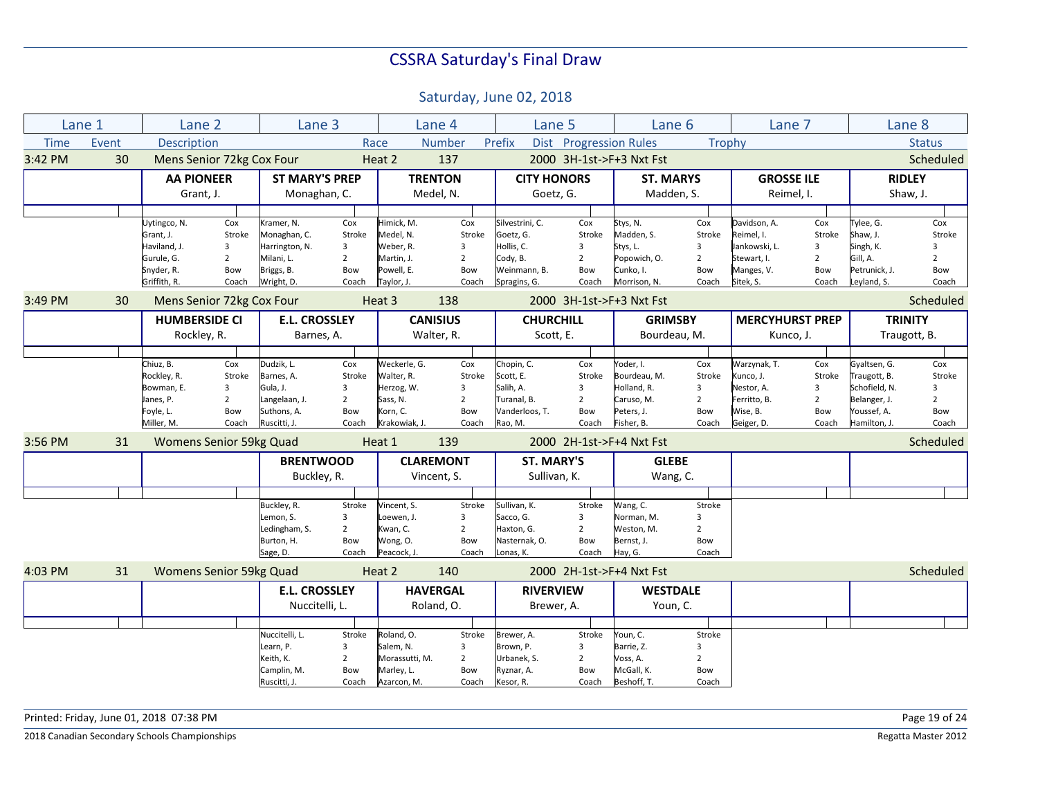Saturday, June 02, 2018

| Lane 1      |       | Lane <sub>2</sub>         |                | Lane 3                |                |                | Lane 4           | Lane 5             |                        | Lane <sub>6</sub>        |                | Lane 7                 |                | Lane 8         |                |
|-------------|-------|---------------------------|----------------|-----------------------|----------------|----------------|------------------|--------------------|------------------------|--------------------------|----------------|------------------------|----------------|----------------|----------------|
| <b>Time</b> | Event | <b>Description</b>        |                |                       |                | Race           | <b>Number</b>    | Prefix             | Dist Progression Rules |                          | <b>Trophy</b>  |                        |                |                | <b>Status</b>  |
| 3:42 PM     | 30    | Mens Senior 72kg Cox Four |                |                       |                | Heat 2         | 137              |                    |                        | 2000 3H-1st->F+3 Nxt Fst |                |                        |                |                | Scheduled      |
|             |       | <b>AA PIONEER</b>         |                | <b>ST MARY'S PREP</b> |                |                | <b>TRENTON</b>   | <b>CITY HONORS</b> |                        | <b>ST. MARYS</b>         |                | <b>GROSSE ILE</b>      |                | <b>RIDLEY</b>  |                |
|             |       | Grant, J.                 |                | Monaghan, C.          |                |                | Medel, N.        | Goetz, G.          |                        | Madden, S.               |                | Reimel, I.             |                | Shaw, J.       |                |
|             |       |                           |                |                       |                |                |                  |                    |                        |                          |                |                        |                |                |                |
|             |       | Uytingco, N.              | Cox            | Kramer, N.            | Cox            | Himick, M.     | Cox              | Silvestrini, C.    | Cox                    | Stys, N.                 | Cox            | Davidson, A.           | Cox            | Tylee, G.      | Cox            |
|             |       | Grant, J.                 | Stroke         | Monaghan, C.          | Stroke         | Medel, N.      | Stroke           | Goetz, G.          | Stroke                 | Madden, S.               | Stroke         | Reimel, I.             | Stroke         | Shaw, J.       | Stroke         |
|             |       | Haviland, J.              | 3              | Harrington, N.        | 3              | Weber, R.      | 3                | Hollis, C.         | 3                      | Stys, L.                 | 3              | Jankowski, L.          | 3              | Singh, K.      | 3              |
|             |       | Gurule, G.                | $\overline{2}$ | Milani, L.            | $\overline{2}$ | Martin, J.     | $\overline{2}$   | Cody, B.           | $\overline{2}$         | Popowich, O.             | $\overline{2}$ | Stewart, I.            | $\overline{2}$ | Gill, A.       | $\overline{2}$ |
|             |       | Snyder, R.                | Bow            | Briggs, B.            | Bow            | Powell, E.     | Bow              | Weinmann, B.       | Bow                    | Cunko, I.                | Bow            | Manges, V.             | Bow            | Petrunick, J.  | Bow            |
|             |       | Griffith, R.              | Coach          | Wright, D.            | Coach          | Taylor, J.     | Coach            | Spragins, G.       | Coach                  | Morrison, N.             | Coach          | Sitek, S.              | Coach          | Leyland, S.    | Coach          |
| 3:49 PM     | 30    | Mens Senior 72kg Cox Four |                |                       |                | Heat 3         | 138              |                    |                        | 2000 3H-1st->F+3 Nxt Fst |                |                        |                |                | Scheduled      |
|             |       | <b>HUMBERSIDE CI</b>      |                | <b>E.L. CROSSLEY</b>  |                |                | <b>CANISIUS</b>  | <b>CHURCHILL</b>   |                        | <b>GRIMSBY</b>           |                | <b>MERCYHURST PREP</b> |                | <b>TRINITY</b> |                |
|             |       | Rockley, R.               |                | Barnes, A.            |                |                | Walter, R.       | Scott, E.          |                        | Bourdeau, M.             |                | Kunco, J.              |                | Traugott, B.   |                |
|             |       |                           |                |                       |                |                |                  |                    |                        |                          |                |                        |                |                |                |
|             |       | Chiuz, B.                 | Cox            | Dudzik, L.            | Cox            | Weckerle, G.   | Cox              | Chopin, C.         | Cox                    | Yoder, I.                | Cox            | Warzynak, T.           | Cox            | Gyaltsen, G.   | Cox            |
|             |       | Rockley, R.               | Stroke         | Barnes, A.            | Stroke         | Walter, R.     | Stroke           | Scott, E.          | Stroke                 | Bourdeau, M.             | Stroke         | Kunco, J.              | Stroke         | Traugott, B.   | Stroke         |
|             |       | Bowman, E.                | 3              | Gula, J.              | 3              | Herzog, W.     | 3                | Salih, A.          | 3                      | Holland, R.              | 3              | Nestor, A.             | 3              | Schofield, N.  | 3              |
|             |       | Janes, P.                 | $\overline{2}$ | Langelaan, J.         | $\overline{2}$ | Sass, N.       | $\overline{2}$   | Turanal, B.        | $\overline{2}$         | Caruso, M.               | $\overline{2}$ | Ferritto, B.           | 2              | Belanger, J.   | $\overline{2}$ |
|             |       | Foyle, L.                 | Bow            | Suthons, A.           | Bow            | Korn. C.       | Bow              | Vanderloos, T.     | Bow                    | Peters, J.               | Bow            | Wise, B.               | Bow            | Youssef, A.    | Bow            |
|             |       | Miller, M.                | Coach          | Ruscitti, J.          | Coach          | Krakowiak, J.  | Coach            | Rao, M.            | Coach                  | Fisher, B.               | Coach          | Geiger, D.             | Coach          | Hamilton, J.   | Coach          |
| 3:56 PM     | 31    | Womens Senior 59kg Quad   |                |                       |                | Heat 1         | 139              |                    |                        | 2000 2H-1st->F+4 Nxt Fst |                |                        |                |                | Scheduled      |
|             |       |                           |                | <b>BRENTWOOD</b>      |                |                | <b>CLAREMONT</b> | <b>ST. MARY'S</b>  |                        | <b>GLEBE</b>             |                |                        |                |                |                |
|             |       |                           |                | Buckley, R.           |                |                | Vincent, S.      | Sullivan, K.       |                        | Wang, C.                 |                |                        |                |                |                |
|             |       |                           |                |                       |                |                |                  |                    |                        |                          |                |                        |                |                |                |
|             |       |                           |                | Buckley, R.           | Stroke         | Vincent, S.    | Stroke           | Sullivan, K.       | Stroke                 | Wang, C.                 | Stroke         |                        |                |                |                |
|             |       |                           |                | Lemon, S.             | 3              | Loewen, J.     | 3                | Sacco, G.          | 3                      | Norman, M.               | 3              |                        |                |                |                |
|             |       |                           |                | Ledingham, S.         | $\overline{2}$ | Kwan, C.       | $\overline{2}$   | Haxton, G.         | $\overline{2}$         | Weston, M.               | $\overline{2}$ |                        |                |                |                |
|             |       |                           |                | Burton, H.            | Bow            | Wong, O.       | Bow              | Nasternak, O.      | Bow                    | Bernst, J.               | Bow            |                        |                |                |                |
|             |       |                           |                | Sage, D.              | Coach          | Peacock, J.    | Coach            | Lonas, K.          | Coach                  | Hay, G.                  | Coach          |                        |                |                |                |
| 4:03 PM     | 31    | Womens Senior 59kg Quad   |                |                       |                | Heat 2         | 140              |                    |                        | 2000 2H-1st->F+4 Nxt Fst |                |                        |                |                | Scheduled      |
|             |       |                           |                | <b>E.L. CROSSLEY</b>  |                |                | <b>HAVERGAL</b>  | <b>RIVERVIEW</b>   |                        | <b>WESTDALE</b>          |                |                        |                |                |                |
|             |       |                           |                | Nuccitelli, L.        |                |                | Roland, O.       | Brewer, A.         |                        | Youn, C.                 |                |                        |                |                |                |
|             |       |                           |                |                       |                |                |                  |                    |                        |                          |                |                        |                |                |                |
|             |       |                           |                | Nuccitelli, L.        | Stroke         | Roland, O.     | Stroke           | Brewer, A.         | Stroke                 | Youn, C.                 | Stroke         |                        |                |                |                |
|             |       |                           |                | Learn, P.             | 3              | Salem, N.      | 3                | Brown, P.          | 3                      | Barrie, Z.               | 3              |                        |                |                |                |
|             |       |                           |                | Keith, K.             | $\overline{2}$ | Morassutti, M. | $\overline{2}$   | Urbanek, S.        | $\overline{2}$         | Voss, A.                 | $\overline{2}$ |                        |                |                |                |
|             |       |                           |                | Camplin, M.           | Bow            | Marley, L.     | Bow              | Ryznar, A.         | Bow                    | McGall, K.               | Bow            |                        |                |                |                |
|             |       |                           |                | Ruscitti, J.          | Coach          | Azarcon, M.    | Coach            | Kesor, R.          | Coach                  | Beshoff, T.              | Coach          |                        |                |                |                |

Printed: Friday, June 01, 2018 07:38 PM Page 19 of 24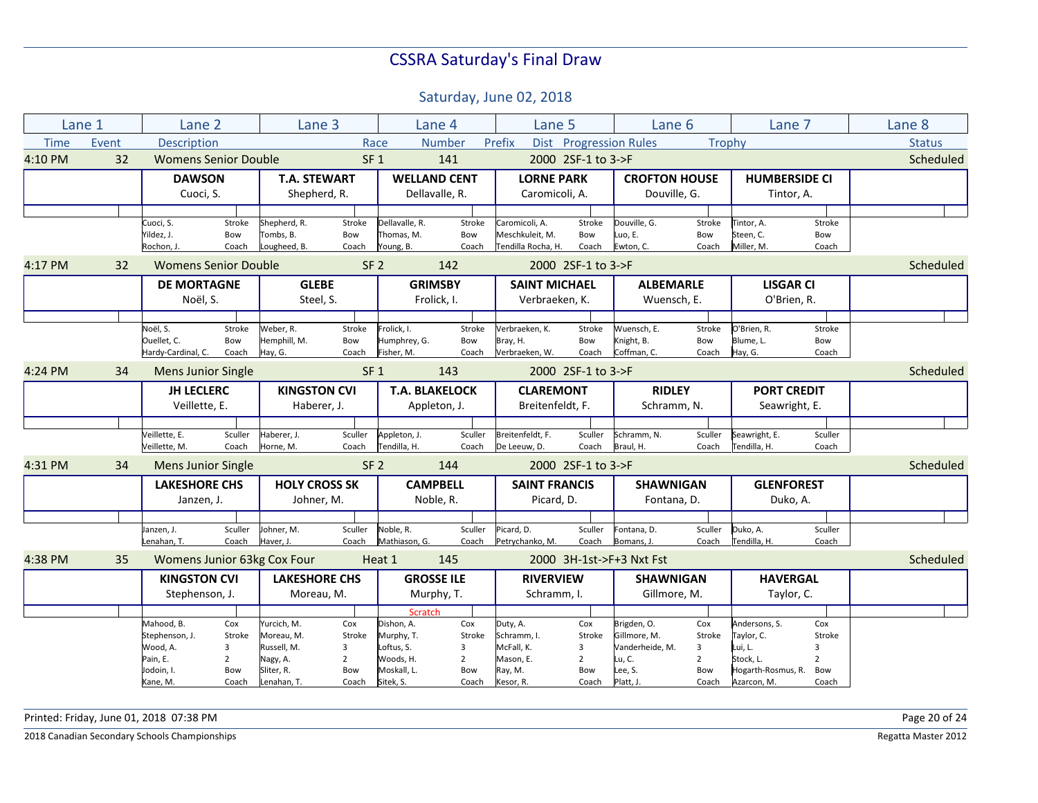Saturday, June 02, 2018

|             | Lane 1 | Lane 2                      |                       | Lane <sub>3</sub>           |                       |                          | Lane 4                  | Lane 5               |                       | Lane 6                   |                       | Lane 7                          |                       | Lane 8        |
|-------------|--------|-----------------------------|-----------------------|-----------------------------|-----------------------|--------------------------|-------------------------|----------------------|-----------------------|--------------------------|-----------------------|---------------------------------|-----------------------|---------------|
| <b>Time</b> | Event  | <b>Description</b>          |                       |                             |                       | Race                     | <b>Number</b>           | Prefix               |                       | Dist Progression Rules   | <b>Trophy</b>         |                                 |                       | <b>Status</b> |
| 4:10 PM     | 32     | <b>Womens Senior Double</b> |                       |                             |                       | SF <sub>1</sub>          | 141                     |                      | 2000 2SF-1 to 3->F    |                          |                       |                                 |                       | Scheduled     |
|             |        | <b>DAWSON</b>               |                       | <b>T.A. STEWART</b>         |                       |                          | <b>WELLAND CENT</b>     | <b>LORNE PARK</b>    |                       | <b>CROFTON HOUSE</b>     |                       | <b>HUMBERSIDE CI</b>            |                       |               |
|             |        | Cuoci, S.                   |                       | Shepherd, R.                |                       |                          | Dellavalle, R.          | Caromicoli, A.       |                       | Douville, G.             |                       | Tintor, A.                      |                       |               |
|             |        |                             |                       |                             |                       |                          |                         |                      |                       |                          |                       |                                 |                       |               |
|             |        | Cuoci, S.                   | Stroke                | Shepherd, R.                | Stroke                | Dellavalle, R.           | Stroke                  | Caromicoli, A.       | Stroke                | Douville, G.             | Stroke                | Tintor, A.                      | Stroke                |               |
|             |        | Yildez, J.                  | Bow                   | Tombs, B.                   | Bow                   | Thomas, M.               | Bow                     | Meschkuleit, M.      | Bow                   | Luo, E.                  | Bow                   | Steen, C.                       | Bow                   |               |
|             |        | Rochon, J.                  | Coach                 | Lougheed, B.                | Coach                 | Young, B.                | Coach                   | Tendilla Rocha, H.   | Coach                 | Ewton, C.                | Coach                 | Miller, M.                      | Coach                 |               |
| 4:17 PM     | 32     | <b>Womens Senior Double</b> |                       |                             |                       | SF <sub>2</sub>          | 142                     |                      | 2000 2SF-1 to 3->F    |                          |                       |                                 |                       | Scheduled     |
|             |        | <b>DE MORTAGNE</b>          |                       | <b>GLEBE</b>                |                       |                          | <b>GRIMSBY</b>          | <b>SAINT MICHAEL</b> |                       | <b>ALBEMARLE</b>         |                       | <b>LISGAR CI</b>                |                       |               |
|             |        | Noël, S.                    |                       | Steel, S.                   |                       |                          | Frolick, I.             | Verbraeken, K.       |                       | Wuensch, E.              |                       | O'Brien, R.                     |                       |               |
|             |        |                             |                       |                             |                       |                          |                         |                      |                       |                          |                       |                                 |                       |               |
|             |        | Noël, S.                    | Stroke                | Weber, R.                   | Stroke                | Frolick, I.              | Stroke                  | Verbraeken, K.       | Stroke                | Wuensch, E.              | Stroke                | O'Brien, R.                     | Stroke                |               |
|             |        | Ouellet. C.                 | Bow                   | Hemphill, M.                | Bow                   | Humphrey, G.             | Bow                     | Bray, H.             | Bow                   | Knight, B.               | Bow                   | Blume, L.                       | Bow                   |               |
|             |        | Hardy-Cardinal, C.          | Coach                 | Hay, G.                     | Coach                 | Fisher. M.               | Coach                   | Verbraeken, W.       | Coach                 | Coffman, C.              | Coach                 | Hay, G.                         | Coach                 |               |
| 4:24 PM     | 34     | <b>Mens Junior Single</b>   |                       |                             |                       | SF <sub>1</sub>          | 143                     |                      | 2000 2SF-1 to 3->F    |                          |                       |                                 |                       | Scheduled     |
|             |        | <b>JH LECLERC</b>           |                       | <b>KINGSTON CVI</b>         |                       |                          | <b>T.A. BLAKELOCK</b>   | <b>CLAREMONT</b>     |                       | <b>RIDLEY</b>            |                       | <b>PORT CREDIT</b>              |                       |               |
|             |        | Veillette, E.               |                       | Haberer, J.                 |                       |                          | Appleton, J.            | Breitenfeldt, F.     |                       | Schramm, N.              |                       | Seawright, E.                   |                       |               |
|             |        |                             |                       |                             |                       |                          |                         |                      |                       |                          |                       |                                 |                       |               |
|             |        | Veillette, E.               | Sculler               | Haberer, J.                 | Sculler               | Appleton, J.             | Sculler                 | Breitenfeldt, F.     | Sculler               | Schramm, N.              | Sculler               | Seawright, E.                   | Sculler               |               |
|             |        | Veillette, M.               | Coach                 | Horne, M.                   | Coach                 | Tendilla, H.             | Coach                   | De Leeuw, D.         | Coach                 | Braul, H.                | Coach                 | Tendilla, H.                    | Coach                 |               |
| 4:31 PM     | 34     | <b>Mens Junior Single</b>   |                       |                             |                       | SF <sub>2</sub>          | 144                     |                      | 2000 2SF-1 to 3->F    |                          |                       |                                 |                       | Scheduled     |
|             |        | <b>LAKESHORE CHS</b>        |                       | <b>HOLY CROSS SK</b>        |                       |                          | <b>CAMPBELL</b>         | <b>SAINT FRANCIS</b> |                       | <b>SHAWNIGAN</b>         |                       | <b>GLENFOREST</b>               |                       |               |
|             |        | Janzen, J.                  |                       | Johner, M.                  |                       |                          | Noble, R.               | Picard, D.           |                       | Fontana, D.              |                       | Duko, A.                        |                       |               |
|             |        |                             |                       |                             |                       |                          |                         |                      |                       |                          |                       |                                 |                       |               |
|             |        | Janzen, J.                  | Sculler               | Johner, M.                  | Sculler               | Noble, R.                | Sculler                 | Picard, D.           | Sculler               | Fontana, D.              | Sculler               | Duko, A.                        | Sculler               |               |
|             |        | Lenahan, T.                 | Coach                 | Haver, J.                   | Coach                 | Mathiason, G.            | Coach                   | Petrychanko, M.      | Coach                 | Bomans, J.               | Coach                 | Tendilla, H.                    | Coach                 |               |
| 4:38 PM     | 35     |                             |                       | Womens Junior 63kg Cox Four |                       | Heat 1                   | 145                     |                      |                       | 2000 3H-1st->F+3 Nxt Fst |                       |                                 |                       | Scheduled     |
|             |        | <b>KINGSTON CVI</b>         |                       | <b>LAKESHORE CHS</b>        |                       |                          | <b>GROSSE ILE</b>       | <b>RIVERVIEW</b>     |                       | <b>SHAWNIGAN</b>         |                       | <b>HAVERGAL</b>                 |                       |               |
|             |        | Stephenson, J.              |                       | Moreau, M.                  |                       |                          | Murphy, T.              | Schramm, I.          |                       | Gillmore, M.             |                       | Taylor, C.                      |                       |               |
|             |        |                             |                       |                             |                       | <b>Scratch</b>           |                         |                      |                       |                          |                       |                                 |                       |               |
|             |        | Mahood, B.                  | Cox                   | Yurcich, M.                 | Cox                   | Dishon, A.               | Cox                     | Duty, A.             | Cox                   | Brigden, O.              | Cox                   | Andersons, S.                   | Cox                   |               |
|             |        | Stephenson, J.              | Stroke                | Moreau, M.                  | Stroke                | Murphy, T.               | Stroke                  | Schramm, I.          | Stroke                | Gillmore. M.             | Stroke                | Taylor, C.                      | Stroke                |               |
|             |        | Wood, A.                    | 3                     | Russell, M.                 | 3                     | Loftus, S.               | $\overline{\mathbf{3}}$ | McFall, K.           | 3                     | Vanderheide, M.          | 3                     | Lui, L.                         | $\overline{3}$        |               |
|             |        | Pain, E.<br>Jodoin, I.      | $\overline{2}$<br>Bow | Nagy, A.<br>Sliter, R.      | $\overline{2}$<br>Bow | Woods, H.<br>Moskall, L. | $\overline{2}$<br>Bow   | Mason, E.<br>Ray, M. | $\overline{2}$<br>Bow | Lu, C.<br>Lee, S.        | $\overline{2}$<br>Bow | Stock, L.<br>Hogarth-Rosmus, R. | $\overline{2}$<br>Bow |               |
|             |        | Kane, M.                    | Coach                 | Lenahan, T.                 | Coach                 | Sitek, S.                | Coach                   | Kesor, R.            | Coach                 | Platt, J.                | Coach                 | Azarcon, M.                     | Coach                 |               |
|             |        |                             |                       |                             |                       |                          |                         |                      |                       |                          |                       |                                 |                       |               |

Printed: Friday, June 01, 2018 07:38 PM Page 20 of 24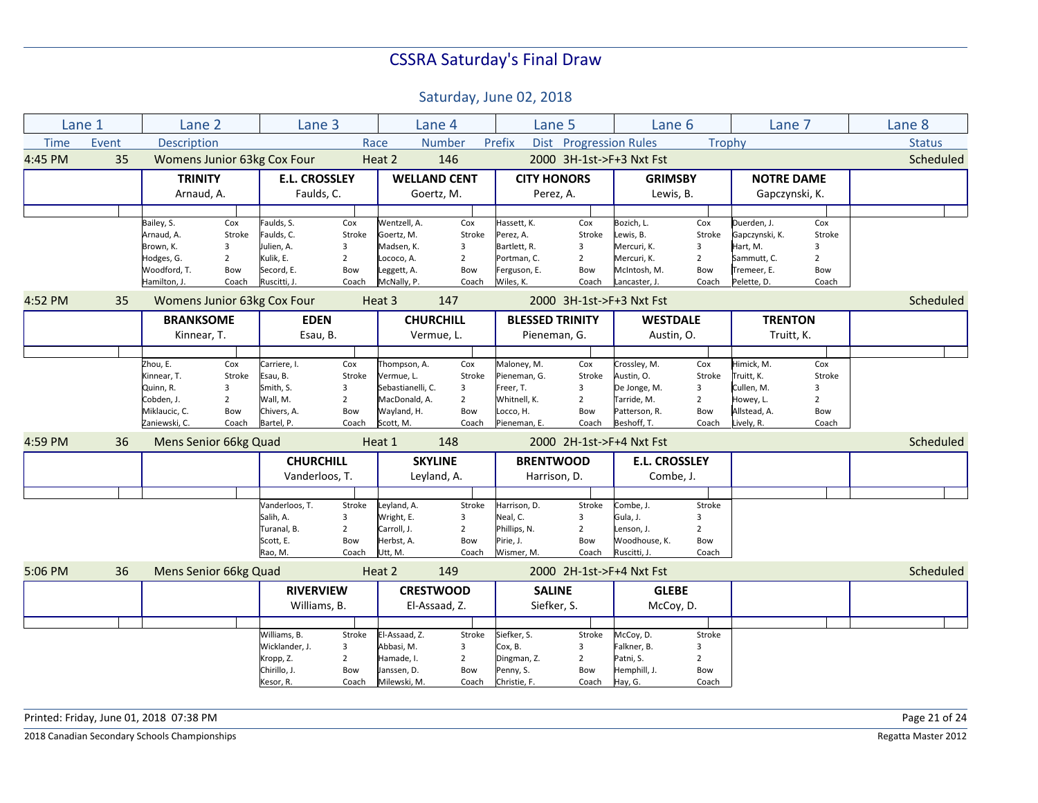Saturday, June 02, 2018

|             | Lane 1 | Lane <sub>2</sub>     |                | Lane 3                      |                |                   | Lane 4              |                        | Lane 5                        | Lane <sub>6</sub>        |                | Lane 7            |                | Lane 8        |
|-------------|--------|-----------------------|----------------|-----------------------------|----------------|-------------------|---------------------|------------------------|-------------------------------|--------------------------|----------------|-------------------|----------------|---------------|
| <b>Time</b> | Event  | <b>Description</b>    |                |                             |                | Race              | <b>Number</b>       | Prefix                 | <b>Dist</b> Progression Rules |                          | Trophy         |                   |                | <b>Status</b> |
| 4:45 PM     | 35     |                       |                | Womens Junior 63kg Cox Four |                | Heat 2            | 146                 |                        |                               | 2000 3H-1st->F+3 Nxt Fst |                |                   |                | Scheduled     |
|             |        | <b>TRINITY</b>        |                | <b>E.L. CROSSLEY</b>        |                |                   | <b>WELLAND CENT</b> | <b>CITY HONORS</b>     |                               | <b>GRIMSBY</b>           |                | <b>NOTRE DAME</b> |                |               |
|             |        | Arnaud, A.            |                | Faulds, C.                  |                |                   | Goertz, M.          |                        | Perez, A.                     | Lewis, B.                |                | Gapczynski, K.    |                |               |
|             |        |                       |                |                             |                |                   |                     |                        |                               |                          |                |                   |                |               |
|             |        | Bailey, S.            | Cox            | Faulds, S.                  | Cox            | Wentzell, A.      | Cox                 | Hassett, K.            | Cox                           | Bozich, L.               | Cox            | Duerden, J.       | Cox            |               |
|             |        | Arnaud, A.            | Stroke         | Faulds, C.                  | Stroke         | Goertz, M.        | Stroke              | Perez, A.              | Stroke                        | Lewis, B.                | Stroke         | Gapczynski, K.    | Stroke         |               |
|             |        | Brown, K.             | 3              | Julien, A.                  | 3              | Madsen, K.        | 3                   | Bartlett, R.           | 3                             | Mercuri, K.              | 3              | Hart, M.          | 3              |               |
|             |        | Hodges, G.            | $\overline{2}$ | Kulik, E.                   | $\overline{2}$ | Lococo, A.        | $\overline{2}$      | Portman, C.            | $\overline{2}$                | Mercuri, K.              | $\overline{2}$ | Sammutt, C.       | $\overline{2}$ |               |
|             |        | Woodford, T.          | Bow            | Secord, E.                  | Bow            | Leggett, A.       | Bow                 | Ferguson, E.           | Bow                           | McIntosh, M.             | Bow            | Tremeer, E.       | Bow            |               |
|             |        | Hamilton, J.          | Coach          | Ruscitti, J.                | Coach          | McNally, P.       | Coach               | Wiles, K.              | Coach                         | Lancaster, J.            | Coach          | Pelette, D.       | Coach          |               |
| 4:52 PM     | 35     |                       |                | Womens Junior 63kg Cox Four |                | Heat 3            | 147                 |                        |                               | 2000 3H-1st->F+3 Nxt Fst |                |                   |                | Scheduled     |
|             |        | <b>BRANKSOME</b>      |                | <b>EDEN</b>                 |                |                   | <b>CHURCHILL</b>    | <b>BLESSED TRINITY</b> |                               | <b>WESTDALE</b>          |                | <b>TRENTON</b>    |                |               |
|             |        | Kinnear, T.           |                | Esau, B.                    |                |                   | Vermue, L.          |                        | Pieneman, G.                  | Austin, O.               |                | Truitt, K.        |                |               |
|             |        |                       |                |                             |                |                   |                     |                        |                               |                          |                |                   |                |               |
|             |        | Zhou, E.              | Cox            | Carriere, I.                | Cox            | Thompson, A.      | Cox                 | Maloney, M.            | Cox                           | Crossley, M.             | Cox            | Himick, M.        | Cox            |               |
|             |        | Kinnear, T.           | Stroke         | Esau, B.                    | Stroke         | Vermue, L.        | Stroke              | Pieneman, G.           | Stroke                        | Austin, O.               | Stroke         | Truitt, K.        | Stroke         |               |
|             |        | Quinn, R.             | 3              | Smith, S.                   | 3              | Sebastianelli, C. | 3                   | Freer, T.              | 3                             | De Jonge, M.             | 3              | Cullen, M.        | 3              |               |
|             |        | Cobden, J.            | $\overline{2}$ | Wall, M.                    | $\overline{2}$ | MacDonald, A.     | $\overline{2}$      | Whitnell, K.           | $\overline{2}$                | Tarride, M.              | $\overline{2}$ | Howey, L.         | $\overline{2}$ |               |
|             |        | Miklaucic, C.         | Bow            | Chivers, A.                 | Bow            | Wayland, H.       | Bow                 | Locco, H.              | Bow                           | Patterson, R.            | Bow            | Allstead, A.      | Bow            |               |
|             |        | Zaniewski, C.         | Coach          | Bartel, P.                  | Coach          | Scott, M.         | Coach               | Pieneman, E.           | Coach                         | Beshoff, T.              | Coach          | Lively, R.        | Coach          |               |
| 4:59 PM     | 36     | Mens Senior 66kg Quad |                |                             |                | Heat 1            | 148                 |                        |                               | 2000 2H-1st->F+4 Nxt Fst |                |                   |                | Scheduled     |
|             |        |                       |                | <b>CHURCHILL</b>            |                |                   | <b>SKYLINE</b>      | <b>BRENTWOOD</b>       |                               | <b>E.L. CROSSLEY</b>     |                |                   |                |               |
|             |        |                       |                | Vanderloos, T.              |                |                   | Leyland, A.         | Harrison, D.           |                               | Combe, J.                |                |                   |                |               |
|             |        |                       |                |                             |                |                   |                     |                        |                               |                          |                |                   |                |               |
|             |        |                       |                | Vanderloos, T.              | Stroke         | Leyland, A.       | Stroke              | Harrison, D.           | Stroke                        | Combe, J.                | Stroke         |                   |                |               |
|             |        |                       |                | Salih, A.                   | 3              | Wright, E.        | 3                   | Neal, C.               | 3                             | Gula, J.                 | 3              |                   |                |               |
|             |        |                       |                | Turanal, B.                 | $\overline{2}$ | Carroll, J.       | $\overline{2}$      | Phillips, N.           | $\overline{2}$                | Lenson. J.               | $\overline{2}$ |                   |                |               |
|             |        |                       |                | Scott, E.                   | Bow            | Herbst, A.        | Bow                 | Pirie, J.              | Bow                           | Woodhouse, K.            | Bow            |                   |                |               |
|             |        |                       |                | Rao, M.                     | Coach          | Utt, M.           | Coach               | Wismer, M.             | Coach                         | Ruscitti, J              | Coach          |                   |                |               |
| 5:06 PM     | 36     | Mens Senior 66kg Quad |                |                             |                | Heat 2            | 149                 |                        |                               | 2000 2H-1st->F+4 Nxt Fst |                |                   |                | Scheduled     |
|             |        |                       |                | <b>RIVERVIEW</b>            |                |                   | <b>CRESTWOOD</b>    | <b>SALINE</b>          |                               | <b>GLEBE</b>             |                |                   |                |               |
|             |        |                       |                | Williams, B.                |                |                   | El-Assaad, Z.       |                        | Siefker, S.                   | McCoy, D.                |                |                   |                |               |
|             |        |                       |                |                             |                |                   |                     |                        |                               |                          |                |                   |                |               |
|             |        |                       |                | Williams, B.                | Stroke         | El-Assaad, Z.     | Stroke              | Siefker, S.            | Stroke                        | McCoy, D.                | Stroke         |                   |                |               |
|             |        |                       |                | Wicklander, J.              | 3              | Abbasi, M.        | 3                   | Cox, B.                | 3                             | Falkner, B.              | 3              |                   |                |               |
|             |        |                       |                | Kropp, Z.                   | $\overline{2}$ | Hamade, I.        | $\overline{2}$      | Dingman, Z.            | $\overline{2}$                | Patni, S.                | $\overline{2}$ |                   |                |               |
|             |        |                       |                | Chirillo, J.                | Bow            | Janssen, D.       | Bow                 | Penny, S.              | Bow                           | Hemphill, J.             | Bow            |                   |                |               |
|             |        |                       |                | Kesor, R.                   | Coach          | Milewski, M.      | Coach               | Christie, F.           | Coach                         | Hay, G.                  | Coach          |                   |                |               |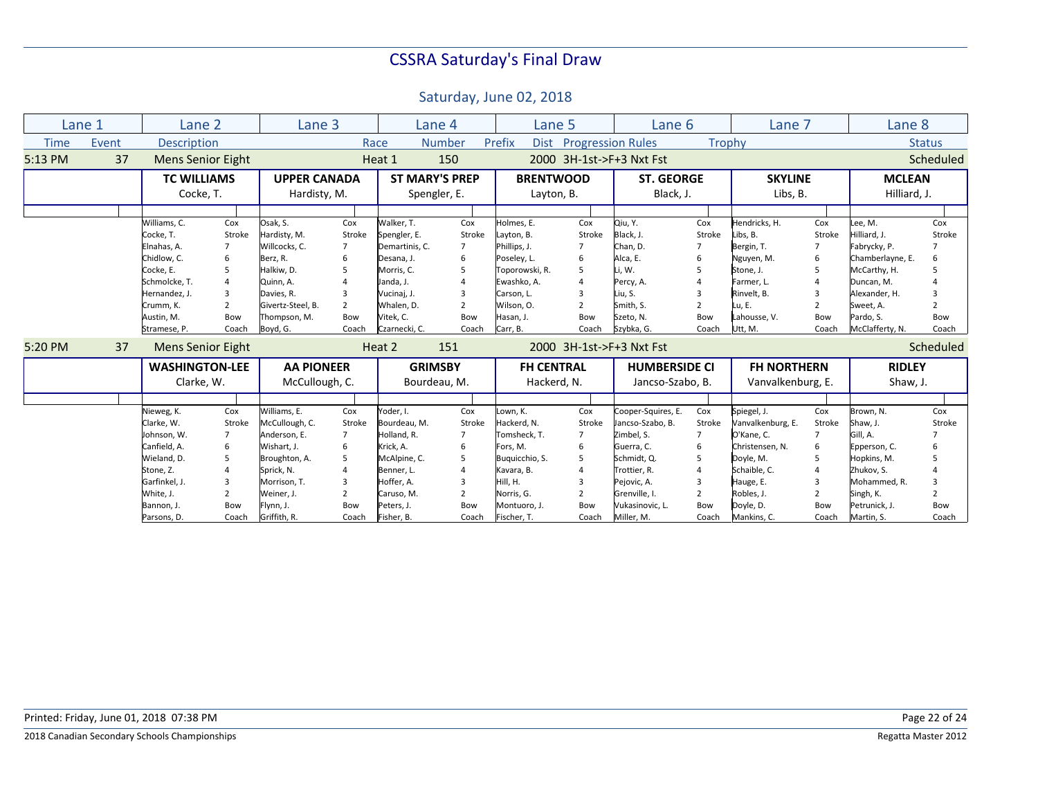|             | Lane 1 | Lane 2                                                                                                                                            |                                                                                                    | Lane 3                                                                                                                                          |                                                                                  | Lane 4                                                                                                                                           |                                                                                              | Lane 5                                                                                                                                        |                                                                                                    | Lane 6                                                                                                                                               |                                                                    | Lane 7                                                                                                                                 |                                                                                                       | Lane <sub>8</sub>                                                                                                                                       |                                                           |
|-------------|--------|---------------------------------------------------------------------------------------------------------------------------------------------------|----------------------------------------------------------------------------------------------------|-------------------------------------------------------------------------------------------------------------------------------------------------|----------------------------------------------------------------------------------|--------------------------------------------------------------------------------------------------------------------------------------------------|----------------------------------------------------------------------------------------------|-----------------------------------------------------------------------------------------------------------------------------------------------|----------------------------------------------------------------------------------------------------|------------------------------------------------------------------------------------------------------------------------------------------------------|--------------------------------------------------------------------|----------------------------------------------------------------------------------------------------------------------------------------|-------------------------------------------------------------------------------------------------------|---------------------------------------------------------------------------------------------------------------------------------------------------------|-----------------------------------------------------------|
| <b>Time</b> | Event  | <b>Description</b>                                                                                                                                |                                                                                                    |                                                                                                                                                 |                                                                                  | Race                                                                                                                                             | Number                                                                                       | Prefix<br><b>Dist</b>                                                                                                                         | <b>Progression Rules</b>                                                                           |                                                                                                                                                      |                                                                    | <b>Trophy</b>                                                                                                                          |                                                                                                       |                                                                                                                                                         | <b>Status</b>                                             |
| 5:13 PM     | 37     | <b>Mens Senior Eight</b>                                                                                                                          |                                                                                                    |                                                                                                                                                 |                                                                                  | Heat 1                                                                                                                                           | 150                                                                                          |                                                                                                                                               |                                                                                                    | 2000 3H-1st->F+3 Nxt Fst                                                                                                                             |                                                                    |                                                                                                                                        |                                                                                                       |                                                                                                                                                         | Scheduled                                                 |
|             |        | <b>TC WILLIAMS</b>                                                                                                                                |                                                                                                    | <b>UPPER CANADA</b>                                                                                                                             |                                                                                  | <b>ST MARY'S PREP</b>                                                                                                                            |                                                                                              | <b>BRENTWOOD</b>                                                                                                                              |                                                                                                    | <b>ST. GEORGE</b>                                                                                                                                    |                                                                    | <b>SKYLINE</b>                                                                                                                         |                                                                                                       | <b>MCLEAN</b>                                                                                                                                           |                                                           |
|             |        | Cocke, T.                                                                                                                                         |                                                                                                    | Hardisty, M.                                                                                                                                    |                                                                                  | Spengler, E.                                                                                                                                     |                                                                                              | Layton, B.                                                                                                                                    |                                                                                                    | Black, J.                                                                                                                                            |                                                                    | Libs, B.                                                                                                                               |                                                                                                       | Hilliard, J.                                                                                                                                            |                                                           |
|             |        |                                                                                                                                                   |                                                                                                    |                                                                                                                                                 |                                                                                  |                                                                                                                                                  |                                                                                              |                                                                                                                                               |                                                                                                    |                                                                                                                                                      |                                                                    |                                                                                                                                        |                                                                                                       |                                                                                                                                                         |                                                           |
|             |        | Williams, C.<br>Cocke, T.<br>Elnahas. A.<br>Chidlow, C.<br>Cocke, E.<br>Schmolcke, T.<br>Hernandez, J.<br>Crumm, K.<br>Austin, M.<br>Stramese, P. | Cox<br>Stroke<br>$\overline{7}$<br>6<br>5<br>$\overline{4}$<br>3<br>$\overline{2}$<br>Bow<br>Coach | Osak, S.<br>Hardisty, M.<br>Willcocks, C.<br>Berz, R.<br>Halkiw, D.<br>Quinn, A.<br>Davies, R.<br>Givertz-Steel, B.<br>Thompson, M.<br>Boyd, G. | Cox<br>Stroke<br>$\overline{7}$<br>6<br>5<br>3<br>$\overline{2}$<br>Bow<br>Coach | Walker. T.<br>Spengler, E.<br>Demartinis, C.<br>Desana, J.<br>Morris, C.<br>Janda, J.<br>Vucinaj, J.<br>Whalen, D.<br>Vitek, C.<br>Czarnecki, C. | Cox<br>Stroke<br>$\overline{7}$<br>6<br>5<br>4<br>3<br>$\overline{2}$<br><b>Bow</b><br>Coach | Holmes, E.<br>Layton, B.<br>Phillips, J.<br>Poseley, L.<br>Toporowski, R.<br>Ewashko, A.<br>Carson, L.<br>Wilson, O.<br>Hasan, J.<br>Carr, B. | Cox<br>Stroke<br>$\overline{7}$<br>6<br>5<br>$\overline{4}$<br>3<br>$\overline{2}$<br>Bow<br>Coach | Qiu, Y.<br>Black, J.<br>Chan. D.<br>Alca, E.<br>Li, W.<br>Percy, A.<br>Liu, S.<br>Smith, S.<br>Szeto, N.<br>Szybka, G.                               | Cox<br>Stroke<br>$\overline{7}$<br>2<br>Bow<br>Coach               | Hendricks. H.<br>Libs, B.<br>Bergin, T.<br>Nguyen, M.<br>Stone, J.<br>Farmer, L.<br>Rinvelt, B.<br>Lu, E.<br>Lahousse, V.<br>Utt, M.   | Cox<br>Stroke<br>$\overline{7}$<br>6<br>.5<br>$\overline{A}$<br>3<br>$\overline{2}$<br>Bow<br>Coach   | Lee, M.<br>Hilliard, J.<br>Fabrycky, P.<br>Chamberlayne, E.<br>McCarthy, H.<br>Duncan, M.<br>Alexander, H.<br>Sweet, A.<br>Pardo, S.<br>McClafferty, N. | Cox<br>Stroke<br>6<br>3<br>$\overline{2}$<br>Bow<br>Coach |
| 5:20 PM     | 37     | <b>Mens Senior Eight</b>                                                                                                                          |                                                                                                    |                                                                                                                                                 |                                                                                  | Heat 2                                                                                                                                           | 151                                                                                          |                                                                                                                                               |                                                                                                    | 2000 3H-1st->F+3 Nxt Fst                                                                                                                             |                                                                    |                                                                                                                                        |                                                                                                       |                                                                                                                                                         | Scheduled                                                 |
|             |        | <b>WASHINGTON-LEE</b>                                                                                                                             |                                                                                                    | <b>AA PIONEER</b>                                                                                                                               |                                                                                  | <b>GRIMSBY</b>                                                                                                                                   |                                                                                              | <b>FH CENTRAL</b>                                                                                                                             |                                                                                                    | <b>HUMBERSIDE CI</b>                                                                                                                                 |                                                                    | <b>FH NORTHERN</b>                                                                                                                     |                                                                                                       | <b>RIDLEY</b>                                                                                                                                           |                                                           |
|             |        | Clarke, W.                                                                                                                                        |                                                                                                    | McCullough, C.                                                                                                                                  |                                                                                  | Bourdeau, M.                                                                                                                                     |                                                                                              | Hackerd, N.                                                                                                                                   |                                                                                                    | Jancso-Szabo, B.                                                                                                                                     |                                                                    | Vanvalkenburg, E.                                                                                                                      |                                                                                                       | Shaw, J.                                                                                                                                                |                                                           |
|             |        |                                                                                                                                                   |                                                                                                    |                                                                                                                                                 |                                                                                  |                                                                                                                                                  |                                                                                              |                                                                                                                                               |                                                                                                    |                                                                                                                                                      |                                                                    |                                                                                                                                        |                                                                                                       |                                                                                                                                                         |                                                           |
|             |        | Nieweg, K.<br>Clarke, W.<br>Johnson, W.<br>Canfield, A.<br>Wieland, D.<br>Stone, Z.<br>Garfinkel, J.<br>White, J.<br>Bannon, J.                   | Cox<br>Stroke<br>$\overline{7}$<br>6<br>5<br>4<br>$\overline{3}$<br>$\overline{2}$<br>Bow          | Williams, E.<br>McCullough, C.<br>Anderson, E.<br>Wishart, J.<br>Broughton, A.<br>Sprick, N.<br>Morrison. T.<br>Weiner, J.<br>Flynn, J.         | Cox<br>Stroke<br>7<br>6<br>5<br>3<br>$\overline{2}$<br>Bow                       | Yoder, I.<br>Bourdeau, M.<br>Holland, R.<br>Krick, A.<br>McAlpine, C.<br>Benner, L.<br>Hoffer. A.<br>Caruso, M.<br>Peters, J.                    | Cox<br>Stroke<br>7<br>6<br>5<br>4<br>3<br>$\overline{2}$<br>Bow                              | Lown, K.<br>Hackerd, N.<br>Tomsheck, T.<br>Fors, M.<br>Buguicchio, S.<br>Kavara, B.<br>Hill, H.<br>Norris, G.<br>Montuoro, J.                 | Cox<br>Stroke<br>$\overline{7}$<br>6<br>5<br>4<br>3<br>$\overline{2}$<br>Bow                       | Cooper-Squires, E.<br>Jancso-Szabo, B.<br>Zimbel, S.<br>Guerra, C.<br>Schmidt, Q.<br>Trottier, R.<br>Pejovic, A.<br>Grenville, I.<br>Vukasinovic, L. | Cox<br>Stroke<br>$\overline{7}$<br>6<br>5<br>$\overline{2}$<br>Bow | Spiegel, J.<br>Vanvalkenburg, E.<br>O'Kane, C.<br>Christensen, N.<br>Doyle, M.<br>Schaible, C.<br>Hauge, E.<br>Robles, J.<br>Doyle, D. | Cox<br>Stroke<br>$\overline{7}$<br>6<br>.5<br>$\overline{A}$<br>$\mathbf{a}$<br>$\overline{2}$<br>Bow | Brown, N.<br>Shaw, J.<br>Gill, A.<br>Epperson, C.<br>Hopkins, M.<br>Zhukov. S.<br>Mohammed. R.<br>Singh, K.<br>Petrunick, J.                            | Cox<br>Stroke<br>6<br>5<br>3<br>$\overline{2}$<br>Bow     |
|             |        | Parsons, D.                                                                                                                                       | Coach                                                                                              | Griffith, R.                                                                                                                                    | Coach                                                                            | Fisher, B.                                                                                                                                       | Coach                                                                                        | Fischer, T.                                                                                                                                   | Coach                                                                                              | Miller, M.                                                                                                                                           | Coach                                                              | Mankins, C.                                                                                                                            | Coach                                                                                                 | Martin, S.                                                                                                                                              | Coach                                                     |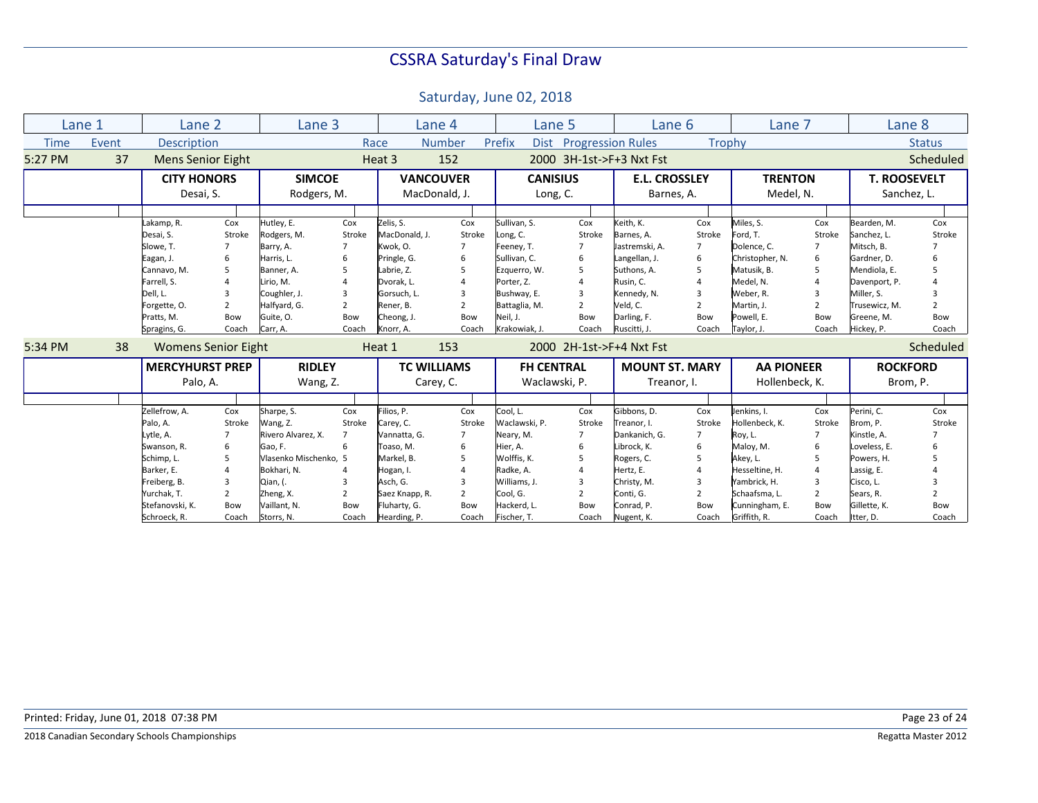|             | Lane 1 | Lane 2                                  |                                 | Lane 3                                 |                                 | Lane 4                                  |                     | Lane 5                                     |                                 | Lane 6                                    |                                 | Lane 7                                      |                                 | Lane 8                                       |                     |
|-------------|--------|-----------------------------------------|---------------------------------|----------------------------------------|---------------------------------|-----------------------------------------|---------------------|--------------------------------------------|---------------------------------|-------------------------------------------|---------------------------------|---------------------------------------------|---------------------------------|----------------------------------------------|---------------------|
| <b>Time</b> | Event  | <b>Description</b>                      |                                 |                                        |                                 | Race                                    | <b>Number</b>       | Prefix<br><b>Dist</b>                      | <b>Progression Rules</b>        |                                           |                                 | <b>Trophy</b>                               |                                 |                                              | <b>Status</b>       |
| 5:27 PM     | 37     | <b>Mens Senior Eight</b>                |                                 |                                        |                                 | Heat 3                                  | 152                 |                                            |                                 | 2000 3H-1st->F+3 Nxt Fst                  |                                 |                                             |                                 |                                              | Scheduled           |
|             |        | <b>CITY HONORS</b>                      |                                 | <b>SIMCOE</b>                          |                                 | <b>VANCOUVER</b>                        |                     | <b>CANISIUS</b>                            |                                 | <b>E.L. CROSSLEY</b>                      |                                 | <b>TRENTON</b>                              |                                 | <b>T. ROOSEVELT</b>                          |                     |
|             |        | Desai, S.                               |                                 | Rodgers, M.                            |                                 | MacDonald, J.                           |                     | Long, C.                                   |                                 | Barnes, A.                                |                                 | Medel, N.                                   |                                 | Sanchez, L.                                  |                     |
|             |        |                                         |                                 |                                        |                                 |                                         |                     |                                            |                                 |                                           |                                 |                                             |                                 |                                              |                     |
|             |        | Lakamp, R.<br>Desai, S.<br>Slowe. T.    | Cox<br>Stroke<br>$\overline{7}$ | Hutley, E.<br>Rodgers, M.<br>Barry, A. | Cox<br>Stroke<br>$\overline{7}$ | Zelis, S.<br>MacDonald, J.<br>Kwok, O.  | Cox<br>Stroke       | Sullivan. S.<br>Long, C.<br>Feeney, T.     | Cox<br>Stroke<br>$\overline{7}$ | Keith, K.<br>Barnes, A.<br>Jastremski, A. | Cox<br>Stroke<br>$\overline{7}$ | Miles, S.<br>Ford, T.<br>Dolence, C.        | Cox<br>Stroke<br>$\overline{7}$ | Bearden. M.<br>Sanchez, L.<br>Mitsch, B.     | Cox<br>Stroke       |
|             |        | Eagan, J.<br>Cannavo, M.<br>Farrell, S. | 6<br>5                          | Harris, L.<br>Banner, A.<br>Lirio, M.  | 6<br>5                          | Pringle, G.<br>Labrie, Z.<br>Dvorak, L. | 6<br>5<br>4         | Sullivan, C.<br>Ezquerro, W.<br>Porter, Z. | 6<br>5<br>$\overline{4}$        | Langellan, J.<br>Suthons, A.<br>Rusin, C. | 6<br>5                          | Christopher, N.<br>Matusik, B.<br>Medel, N. | 6<br>.5<br>$\overline{A}$       | Gardner, D.<br>Mendiola, E.<br>Davenport, P. | 6<br>5<br>4         |
|             |        | Dell, L.<br>Forgette, O.                | 3<br>$\overline{2}$             | Coughler, J.<br>Halfyard, G.           | 3<br>2                          | Gorsuch, L.<br>Rener, B.                | 3<br>$\overline{2}$ | Bushway, E.<br>Battaglia, M.               | 3<br>$\overline{2}$             | Kennedy, N.<br>Veld. C.                   | 3<br>2                          | Weber, R.<br>Martin, J.                     | 3<br>$\overline{2}$             | Miller. S.<br>Trusewicz, M.                  | 3<br>$\overline{2}$ |
|             |        | Pratts, M.<br>Spragins, G.              | Bow<br>Coach                    | Guite, O.<br>Carr, A.                  | Bow<br>Coach                    | Cheong, J.<br>Knorr, A.                 | Bow<br>Coach        | Neil, J.<br>Krakowiak, J.                  | Bow<br>Coach                    | Darling, F.<br>Ruscitti, J.               | Bow<br>Coach                    | Powell, E.<br>Taylor, J.                    | Bow<br>Coach                    | Greene, M.<br>Hickey, P.                     | Bow<br>Coach        |
| 5:34 PM     | 38     | <b>Womens Senior Eight</b>              |                                 |                                        |                                 | Heat 1                                  | 153                 |                                            |                                 | 2000 2H-1st->F+4 Nxt Fst                  |                                 |                                             |                                 |                                              | Scheduled           |
|             |        | <b>MERCYHURST PREP</b>                  |                                 | <b>RIDLEY</b>                          |                                 | <b>TC WILLIAMS</b>                      |                     | <b>FH CENTRAL</b>                          |                                 | <b>MOUNT ST. MARY</b>                     |                                 | <b>AA PIONEER</b>                           |                                 | <b>ROCKFORD</b>                              |                     |
|             |        | Palo, A.                                |                                 | Wang, Z.                               |                                 | Carey, C.                               |                     | Waclawski, P.                              |                                 | Treanor, I.                               |                                 | Hollenbeck, K.                              |                                 | Brom, P.                                     |                     |
|             |        |                                         |                                 |                                        |                                 |                                         |                     |                                            |                                 |                                           |                                 |                                             |                                 |                                              |                     |
|             |        | Zellefrow, A.<br>Palo, A.               | Cox<br>Stroke                   | Sharpe, S.<br>Wang, Z.                 | Cox<br>Stroke                   | Filios, P.<br>Carey, C.                 | Cox<br>Stroke       | Cool, L.<br>Waclawski, P.                  | Cox<br>Stroke                   | Gibbons, D.<br>Treanor, I.                | Cox<br>Stroke                   | Jenkins. I.<br>Hollenbeck, K.               | Cox<br>Stroke                   | Perini. C.<br>Brom, P.                       | Cox<br>Stroke       |
|             |        | Lytle, A.<br>Swanson, R.                | 7<br>6                          | Rivero Alvarez, X.<br>Gao, F.          | $\overline{7}$<br>6             | Vannatta, G.<br>Toaso, M.               | 6                   | Neary, M.<br>Hier, A.                      | $\overline{7}$<br>6             | Dankanich, G.<br>Librock, K.              | $\overline{7}$<br>6             | Roy, L.<br>Maloy, M.                        | $\overline{7}$<br>6             | Kinstle, A.<br>Loveless, E.                  | 6                   |
|             |        | Schimp, L.                              | 5                               | Vlasenko Mischenko, 5                  |                                 | Markel, B.                              | 5                   | Wolffis, K.                                | .5                              | Rogers, C.                                | 5                               | Akey, L.                                    | 5                               | Powers, H.                                   | 5                   |
|             |        | Barker, E.                              | $\overline{A}$                  | Bokhari, N.                            | 4                               | Hogan, I.                               |                     | Radke, A.                                  | $\overline{a}$                  | Hertz, E.                                 |                                 | Hesseltine, H.                              | $\overline{A}$                  | Lassig, E.                                   |                     |
|             |        | Freiberg, B.                            | $\overline{3}$                  | Qian, (.                               | 3                               | Asch, G.                                | 3                   | Williams, J.                               | 3                               | Christy, M.                               | 3                               | Yambrick, H.                                | 3                               | Cisco, L.                                    | 3                   |
|             |        | Yurchak, T.                             | $\overline{2}$                  | Zheng, X.                              | 2                               | Saez Knapp, R.                          | $\overline{2}$      | Cool, G.                                   | $\overline{2}$                  | Conti, G.                                 | 2                               | Schaafsma, L.                               | 2                               | Sears, R.                                    | $\overline{2}$      |
|             |        | Stefanovski, K.<br>Schroeck, R.         | Bow<br>Coach                    | Vaillant, N.<br>Storrs, N.             | Bow<br>Coach                    | Fluharty, G.<br>Hearding, P.            | Bow<br>Coach        | Hackerd, L.<br>Fischer, T.                 | Bow<br>Coach                    | Conrad, P.<br>Nugent, K.                  | Bow<br>Coach                    | Cunningham, E.<br>Griffith, R.              | Bow<br>Coach                    | Gillette, K.<br>Itter, D.                    | Bow<br>Coach        |